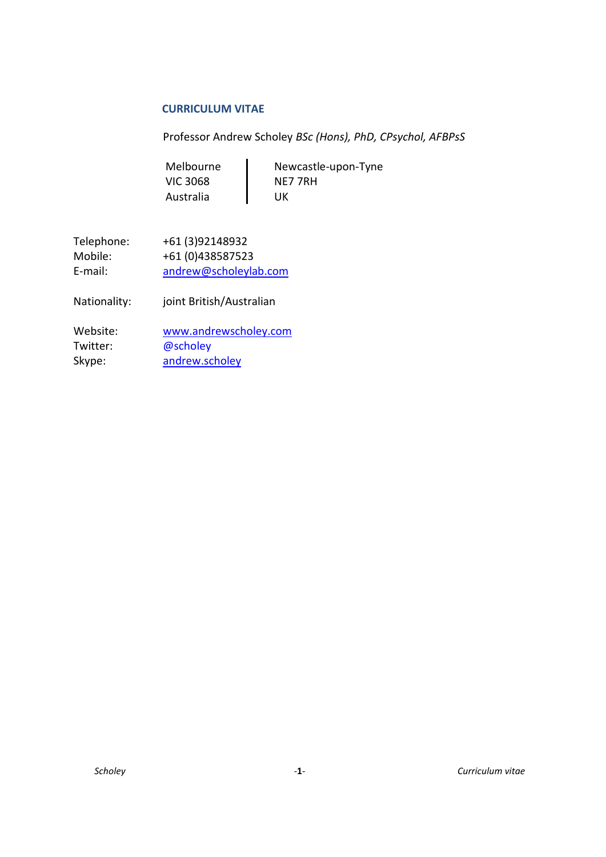#### **CURRICULUM VITAE**

Professor Andrew Scholey *BSc (Hons), PhD, CPsychol, AFBPsS*

| Newcastle-upon-Tyne |
|---------------------|
| NE7 7RH             |
| UK                  |
|                     |

| Telephone: | +61 (3) 92148932      |
|------------|-----------------------|
| Mobile:    | +61 (0)438587523      |
| E-mail:    | andrew@scholeylab.com |

Nationality: joint British/Australian

| Website: | www.andrewscholey.com |
|----------|-----------------------|
| Twitter: | @scholey              |
| Skype:   | andrew.scholey        |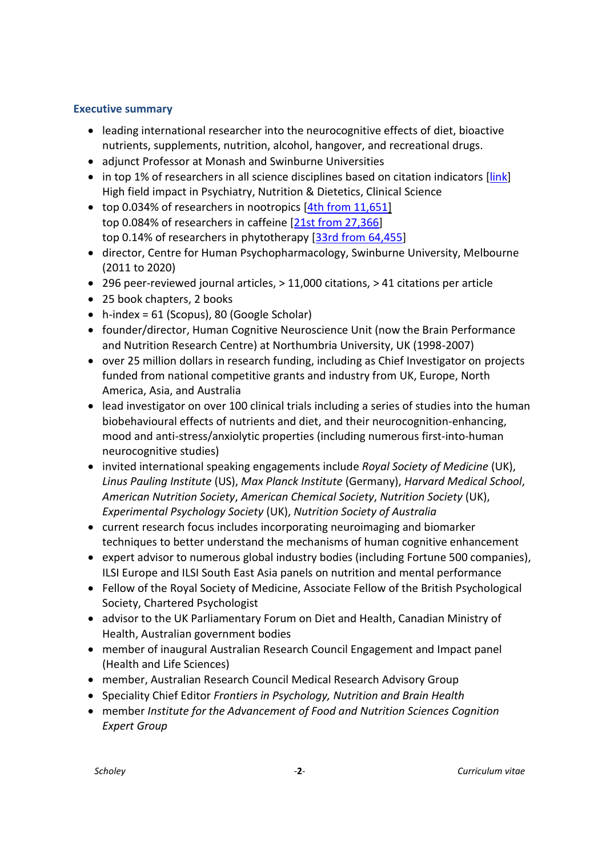# <span id="page-1-0"></span>**Executive summary**

- leading international researcher into the neurocognitive effects of diet, bioactive nutrients, supplements, nutrition, alcohol, hangover, and recreational drugs.
- adjunct Professor at Monash and Swinburne Universities
- in top 1% of researchers in all science disciplines based on citation indicators [\[link\]](https://elsevier.digitalcommonsdata.com/datasets/btchxktzyw/3) High field impact in Psychiatry, Nutrition & Dietetics, Clinical Science
- top 0.034% of researchers in nootropics [4th from [11,651\]](https://expertscape.com/au/nootropic+agents/Scholey%2C+Andrew) top 0.084% of researchers in caffeine [21st from [27,366\]](https://expertscape.com/au/caffeine/Scholey%2C+Andrew) top 0.14% of researchers in phytotherapy [33rd from [64,455\]](https://expertscape.com/au/phytotherapy/Scholey%2C+A)
- director, Centre for Human Psychopharmacology, Swinburne University, Melbourne (2011 to 2020)
- 296 peer-reviewed journal articles, > 11,000 citations, > 41 citations per article
- 25 book chapters, 2 books
- h-index = 61 (Scopus), 80 (Google Scholar)
- founder/director, Human Cognitive Neuroscience Unit (now the Brain Performance and Nutrition Research Centre) at Northumbria University, UK (1998-2007)
- over 25 million dollars in research funding, including as Chief Investigator on projects funded from national competitive grants and industry from UK, Europe, North America, Asia, and Australia
- lead investigator on over 100 clinical trials including a series of studies into the human biobehavioural effects of nutrients and diet, and their neurocognition-enhancing, mood and anti-stress/anxiolytic properties (including numerous first-into-human neurocognitive studies)
- invited international speaking engagements include *Royal Society of Medicine* (UK), *Linus Pauling Institute* (US), *Max Planck Institute* (Germany), *Harvard Medical School*, *American Nutrition Society*, *American Chemical Society*, *Nutrition Society* (UK), *Experimental Psychology Society* (UK), *Nutrition Society of Australia*
- current research focus includes incorporating neuroimaging and biomarker techniques to better understand the mechanisms of human cognitive enhancement
- expert advisor to numerous global industry bodies (including Fortune 500 companies), ILSI Europe and ILSI South East Asia panels on nutrition and mental performance
- Fellow of the Royal Society of Medicine, Associate Fellow of the British Psychological Society, Chartered Psychologist
- advisor to the UK Parliamentary Forum on Diet and Health, Canadian Ministry of Health, Australian government bodies
- member of inaugural Australian Research Council Engagement and Impact panel (Health and Life Sciences)
- member, Australian Research Council Medical Research Advisory Group
- Speciality Chief Editor *Frontiers in Psychology, Nutrition and Brain Health*
- member *Institute for the Advancement of Food and Nutrition Sciences Cognition Expert Group*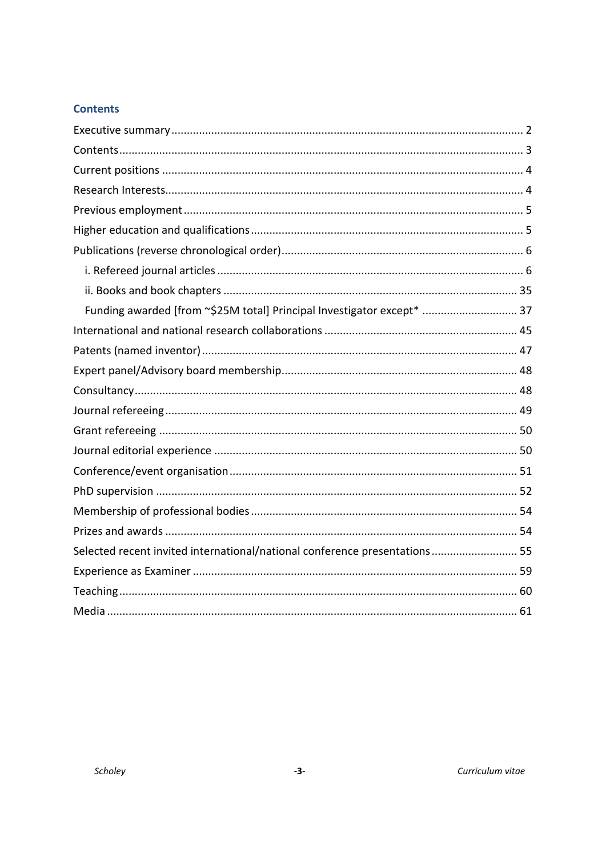# <span id="page-2-0"></span>**Contents**

| Funding awarded [from ~\$25M total] Principal Investigator except*  37     |
|----------------------------------------------------------------------------|
|                                                                            |
|                                                                            |
|                                                                            |
|                                                                            |
|                                                                            |
|                                                                            |
|                                                                            |
|                                                                            |
|                                                                            |
|                                                                            |
|                                                                            |
| Selected recent invited international/national conference presentations 55 |
|                                                                            |
|                                                                            |
|                                                                            |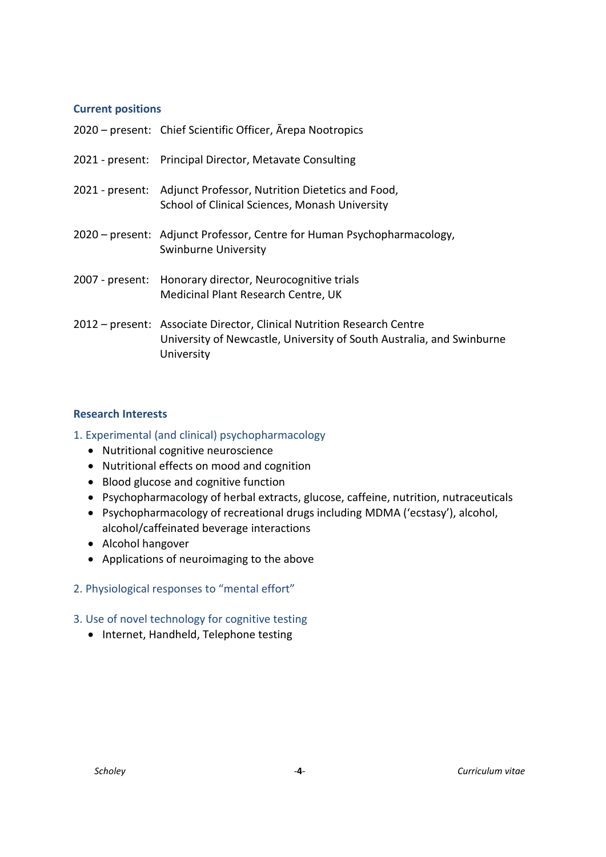### <span id="page-3-0"></span>**Current positions**

| 2020 – present: Chief Scientific Officer, Arepa Nootropics                                                                                                    |
|---------------------------------------------------------------------------------------------------------------------------------------------------------------|
| 2021 - present: Principal Director, Metavate Consulting                                                                                                       |
| 2021 - present: Adjunct Professor, Nutrition Dietetics and Food,<br>School of Clinical Sciences, Monash University                                            |
| 2020 – present: Adjunct Professor, Centre for Human Psychopharmacology,<br>Swinburne University                                                               |
| 2007 - present: Honorary director, Neurocognitive trials<br>Medicinal Plant Research Centre, UK                                                               |
| 2012 – present: Associate Director, Clinical Nutrition Research Centre<br>University of Newcastle, University of South Australia, and Swinburne<br>University |

# <span id="page-3-1"></span>**Research Interests**

### 1. Experimental (and clinical) psychopharmacology

- Nutritional cognitive neuroscience
- Nutritional effects on mood and cognition
- Blood glucose and cognitive function
- Psychopharmacology of herbal extracts, glucose, caffeine, nutrition, nutraceuticals
- Psychopharmacology of recreational drugs including MDMA ('ecstasy'), alcohol, alcohol/caffeinated beverage interactions
- Alcohol hangover
- Applications of neuroimaging to the above
- 2. Physiological responses to "mental effort"
- 3. Use of novel technology for cognitive testing
	- Internet, Handheld, Telephone testing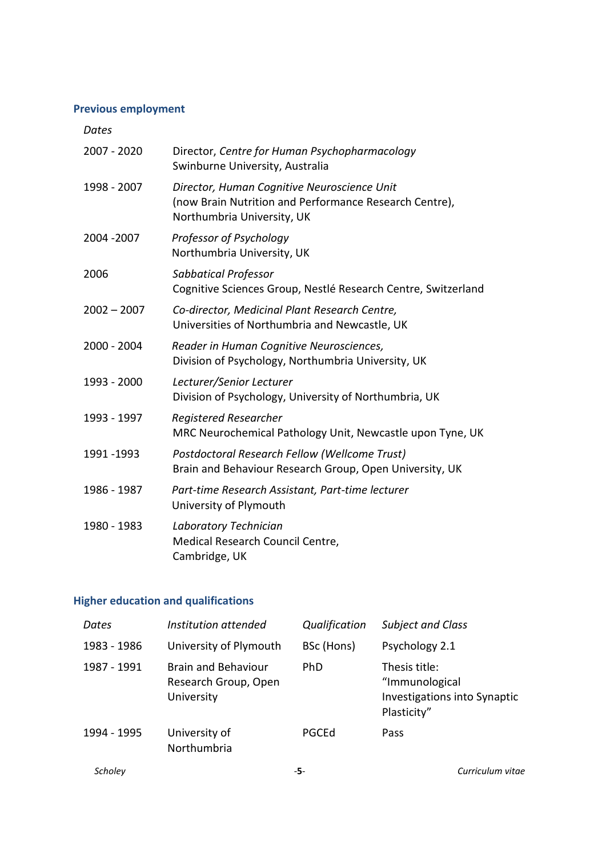# <span id="page-4-0"></span>**Previous employment**

#### *Dates*

| 2007 - 2020   | Director, Centre for Human Psychopharmacology<br>Swinburne University, Australia                                                    |
|---------------|-------------------------------------------------------------------------------------------------------------------------------------|
| 1998 - 2007   | Director, Human Cognitive Neuroscience Unit<br>(now Brain Nutrition and Performance Research Centre),<br>Northumbria University, UK |
| 2004 - 2007   | Professor of Psychology<br>Northumbria University, UK                                                                               |
| 2006          | Sabbatical Professor<br>Cognitive Sciences Group, Nestlé Research Centre, Switzerland                                               |
| $2002 - 2007$ | Co-director, Medicinal Plant Research Centre,<br>Universities of Northumbria and Newcastle, UK                                      |
| 2000 - 2004   | Reader in Human Cognitive Neurosciences,<br>Division of Psychology, Northumbria University, UK                                      |
| 1993 - 2000   | Lecturer/Senior Lecturer<br>Division of Psychology, University of Northumbria, UK                                                   |
| 1993 - 1997   | <b>Registered Researcher</b><br>MRC Neurochemical Pathology Unit, Newcastle upon Tyne, UK                                           |
| 1991 - 1993   | Postdoctoral Research Fellow (Wellcome Trust)<br>Brain and Behaviour Research Group, Open University, UK                            |
| 1986 - 1987   | Part-time Research Assistant, Part-time lecturer<br>University of Plymouth                                                          |
| 1980 - 1983   | Laboratory Technician<br>Medical Research Council Centre,<br>Cambridge, UK                                                          |

# <span id="page-4-1"></span>**Higher education and qualifications**

| Dates       | Institution attended                                             | Qualification | <b>Subject and Class</b>                                                              |
|-------------|------------------------------------------------------------------|---------------|---------------------------------------------------------------------------------------|
| 1983 - 1986 | University of Plymouth                                           | BSc (Hons)    | Psychology 2.1                                                                        |
| 1987 - 1991 | <b>Brain and Behaviour</b><br>Research Group, Open<br>University | <b>PhD</b>    | Thesis title:<br>"Immunological<br><b>Investigations into Synaptic</b><br>Plasticity" |
| 1994 - 1995 | University of<br>Northumbria                                     | PGCEd         | Pass                                                                                  |
| Scholev     |                                                                  | -5-           | Curriculum vitae                                                                      |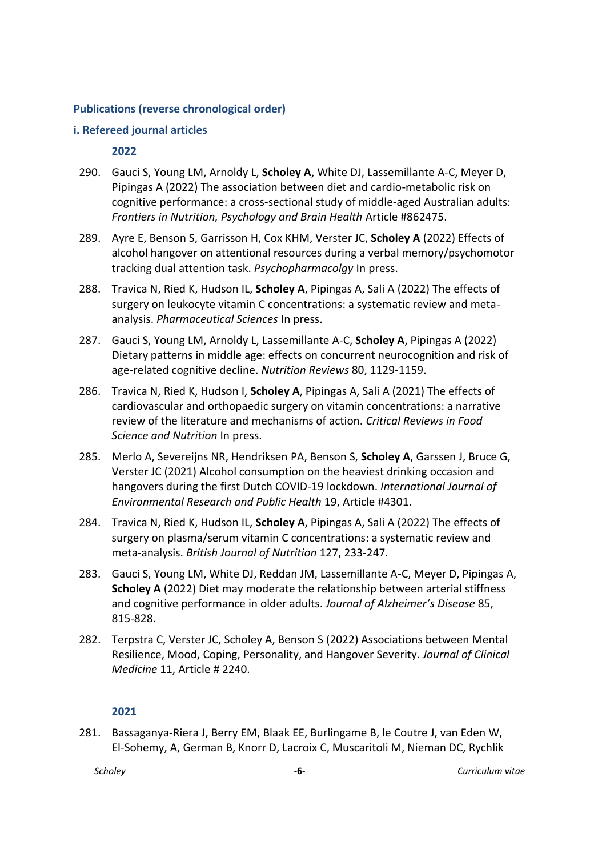### <span id="page-5-0"></span>**Publications (reverse chronological order)**

#### <span id="page-5-1"></span>**i. Refereed journal articles**

### **2022**

- 290. Gauci S, Young LM, Arnoldy L, **Scholey A**, White DJ, Lassemillante A-C, Meyer D, Pipingas A (2022) The association between diet and cardio-metabolic risk on cognitive performance: a cross-sectional study of middle-aged Australian adults: *Frontiers in Nutrition, Psychology and Brain Health* Article #862475.
- 289. Ayre E, Benson S, Garrisson H, Cox KHM, Verster JC, **Scholey A** (2022) Effects of alcohol hangover on attentional resources during a verbal memory/psychomotor tracking dual attention task. *Psychopharmacolgy* In press.
- 288. Travica N, Ried K, Hudson IL, **Scholey A**, Pipingas A, Sali A (2022) The effects of surgery on leukocyte vitamin C concentrations: a systematic review and metaanalysis. *Pharmaceutical Sciences* In press.
- 287. Gauci S, Young LM, Arnoldy L, Lassemillante A-C, **Scholey A**, Pipingas A (2022) Dietary patterns in middle age: effects on concurrent neurocognition and risk of age-related cognitive decline. *Nutrition Reviews* 80, 1129-1159.
- 286. Travica N, Ried K, Hudson I, **Scholey A**, Pipingas A, Sali A (2021) The effects of cardiovascular and orthopaedic surgery on vitamin concentrations: a narrative review of the literature and mechanisms of action. *Critical Reviews in Food Science and Nutrition* In press.
- 285. Merlo A, Severeijns NR, Hendriksen PA, Benson S, **Scholey A**, Garssen J, Bruce G, Verster JC (2021) Alcohol consumption on the heaviest drinking occasion and hangovers during the first Dutch COVID-19 lockdown. *International Journal of Environmental Research and Public Health* 19, Article #4301.
- 284. Travica N, Ried K, Hudson IL, **Scholey A**, Pipingas A, Sali A (2022) The effects of surgery on plasma/serum vitamin C concentrations: a systematic review and meta-analysis. *British Journal of Nutrition* 127, 233-247.
- 283. Gauci S, Young LM, White DJ, Reddan JM, Lassemillante A-C, Meyer D, Pipingas A, **Scholey A** (2022) Diet may moderate the relationship between arterial stiffness and cognitive performance in older adults. *Journal of Alzheimer's Disease* 85, 815-828.
- 282. Terpstra C, Verster JC, Scholey A, Benson S (2022) Associations between Mental Resilience, Mood, Coping, Personality, and Hangover Severity. *Journal of Clinical Medicine* 11, Article # 2240.

# **2021**

281. Bassaganya-Riera J, Berry EM, Blaak EE, Burlingame B, le Coutre J, van Eden W, El-Sohemy, A, German B, Knorr D, Lacroix C, Muscaritoli M, Nieman DC, Rychlik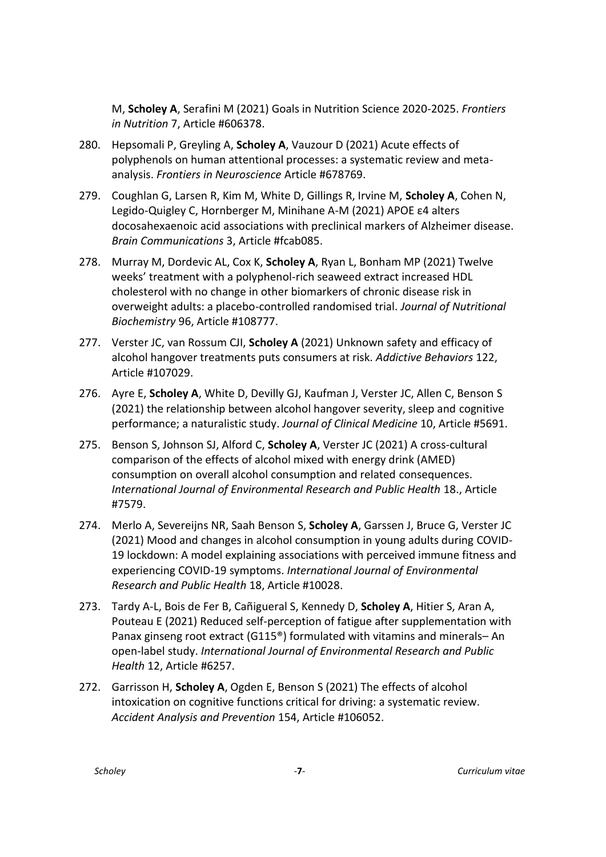M, **Scholey A**, Serafini M (2021) Goals in Nutrition Science 2020-2025. *Frontiers in Nutrition* 7, Article #606378.

- 280. Hepsomali P, Greyling A, **Scholey A**, Vauzour D (2021) Acute effects of polyphenols on human attentional processes: a systematic review and metaanalysis. *Frontiers in Neuroscience* Article #678769.
- 279. Coughlan G, Larsen R, Kim M, White D, Gillings R, Irvine M, **Scholey A**, Cohen N, Legido-Quigley C, Hornberger M, Minihane A-M (2021) APOE ε4 alters docosahexaenoic acid associations with preclinical markers of Alzheimer disease. *Brain Communications* 3, Article #fcab085.
- 278. Murray M, Dordevic AL, Cox K, **Scholey A**, Ryan L, Bonham MP (2021) Twelve weeks' treatment with a polyphenol-rich seaweed extract increased HDL cholesterol with no change in other biomarkers of chronic disease risk in overweight adults: a placebo-controlled randomised trial. *Journal of Nutritional Biochemistry* 96, Article #108777.
- 277. Verster JC, van Rossum CJI, **Scholey A** (2021) Unknown safety and efficacy of alcohol hangover treatments puts consumers at risk. *Addictive Behaviors* 122, Article #107029.
- 276. Ayre E, **Scholey A**, White D, Devilly GJ, Kaufman J, Verster JC, Allen C, Benson S (2021) the relationship between alcohol hangover severity, sleep and cognitive performance; a naturalistic study. *Journal of Clinical Medicine* 10, Article #5691.
- 275. Benson S, Johnson SJ, Alford C, **Scholey A**, Verster JC (2021) A cross-cultural comparison of the effects of alcohol mixed with energy drink (AMED) consumption on overall alcohol consumption and related consequences. *International Journal of Environmental Research and Public Health* 18., Article #7579.
- 274. Merlo A, Severeijns NR, Saah Benson S, **Scholey A**, Garssen J, Bruce G, Verster JC (2021) Mood and changes in alcohol consumption in young adults during COVID-19 lockdown: A model explaining associations with perceived immune fitness and experiencing COVID-19 symptoms. *International Journal of Environmental Research and Public Health* 18, Article #10028.
- 273. Tardy A-L, Bois de Fer B, Cañigueral S, Kennedy D, **Scholey A**, Hitier S, Aran A, Pouteau E (2021) Reduced self-perception of fatigue after supplementation with Panax ginseng root extract (G115®) formulated with vitamins and minerals– An open-label study. *International Journal of Environmental Research and Public Health* 12, Article #6257.
- 272. Garrisson H, **Scholey A**, Ogden E, Benson S (2021) The effects of alcohol intoxication on cognitive functions critical for driving: a systematic review. *Accident Analysis and Prevention* 154, Article #106052.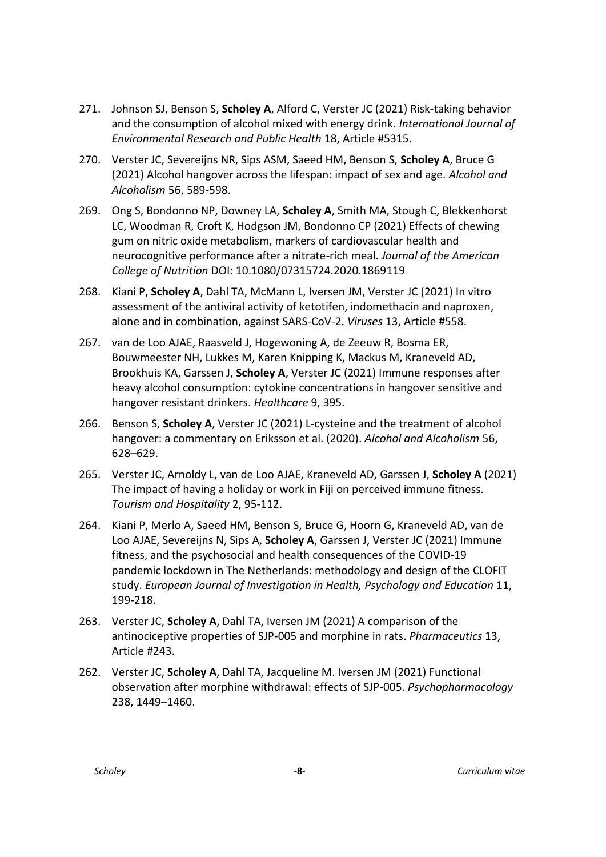- 271. Johnson SJ, Benson S, **Scholey A**, Alford C, Verster JC (2021) Risk-taking behavior and the consumption of alcohol mixed with energy drink. *International Journal of Environmental Research and Public Health* 18, Article #5315.
- 270. Verster JC, Severeijns NR, Sips ASM, Saeed HM, Benson S, **Scholey A**, Bruce G (2021) Alcohol hangover across the lifespan: impact of sex and age. *Alcohol and Alcoholism* 56, 589-598.
- 269. Ong S, Bondonno NP, Downey LA, **Scholey A**, Smith MA, Stough C, Blekkenhorst LC, Woodman R, Croft K, Hodgson JM, Bondonno CP (2021) Effects of chewing gum on nitric oxide metabolism, markers of cardiovascular health and neurocognitive performance after a nitrate-rich meal. *Journal of the American College of Nutrition* DOI: 10.1080/07315724.2020.1869119
- 268. Kiani P, **Scholey A**, Dahl TA, McMann L, Iversen JM, Verster JC (2021) In vitro assessment of the antiviral activity of ketotifen, indomethacin and naproxen, alone and in combination, against SARS-CoV-2. *Viruses* 13, Article #558.
- 267. van de Loo AJAE, Raasveld J, Hogewoning A, de Zeeuw R, Bosma ER, Bouwmeester NH, Lukkes M, Karen Knipping K, Mackus M, Kraneveld AD, Brookhuis KA, Garssen J, **Scholey A**, Verster JC (2021) Immune responses after heavy alcohol consumption: cytokine concentrations in hangover sensitive and hangover resistant drinkers. *Healthcare* 9, 395.
- 266. Benson S, **Scholey A**, Verster JC (2021) L-cysteine and the treatment of alcohol hangover: a commentary on Eriksson et al. (2020). *Alcohol and Alcoholism* 56, 628–629.
- 265. Verster JC, Arnoldy L, van de Loo AJAE, Kraneveld AD, Garssen J, **Scholey A** (2021) The impact of having a holiday or work in Fiji on perceived immune fitness. *Tourism and Hospitality* 2, 95-112.
- 264. Kiani P, Merlo A, Saeed HM, Benson S, Bruce G, Hoorn G, Kraneveld AD, van de Loo AJAE, Severeijns N, Sips A, **Scholey A**, Garssen J, Verster JC (2021) Immune fitness, and the psychosocial and health consequences of the COVID-19 pandemic lockdown in The Netherlands: methodology and design of the CLOFIT study. *European Journal of Investigation in Health, Psychology and Education* 11, 199-218.
- 263. Verster JC, **Scholey A**, Dahl TA, Iversen JM (2021) A comparison of the antinociceptive properties of SJP-005 and morphine in rats. *Pharmaceutics* 13, Article #243.
- 262. Verster JC, **Scholey A**, Dahl TA, Jacqueline M. Iversen JM (2021) Functional observation after morphine withdrawal: effects of SJP-005. *Psychopharmacology* 238, 1449–1460.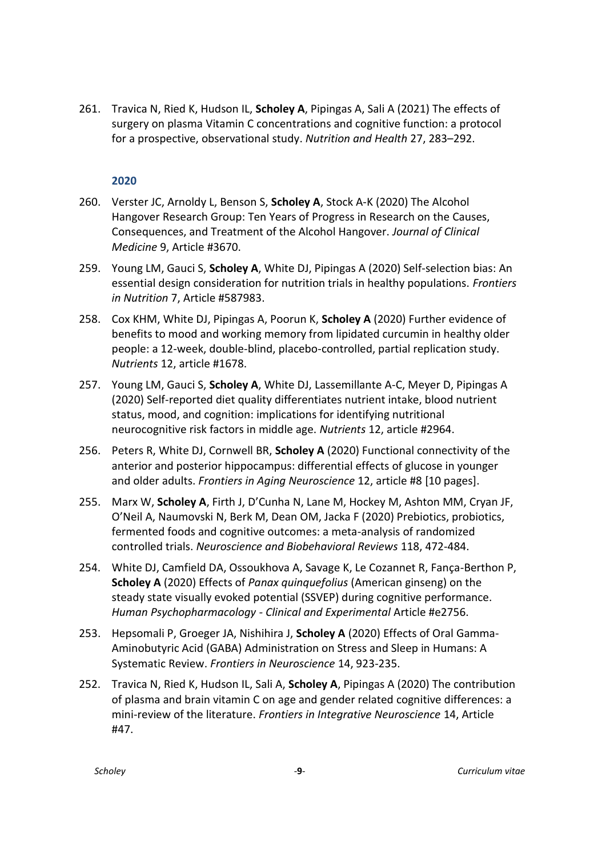261. Travica N, Ried K, Hudson IL, **Scholey A**, Pipingas A, Sali A (2021) The effects of surgery on plasma Vitamin C concentrations and cognitive function: a protocol for a prospective, observational study. *Nutrition and Health* 27, 283–292.

- 260. Verster JC, Arnoldy L, Benson S, **Scholey A**, Stock A-K (2020) The Alcohol Hangover Research Group: Ten Years of Progress in Research on the Causes, Consequences, and Treatment of the Alcohol Hangover. *Journal of Clinical Medicine* 9, Article #3670.
- 259. Young LM, Gauci S, **Scholey A**, White DJ, Pipingas A (2020) Self-selection bias: An essential design consideration for nutrition trials in healthy populations. *Frontiers in Nutrition* 7, Article #587983.
- 258. Cox KHM, White DJ, Pipingas A, Poorun K, **Scholey A** (2020) Further evidence of benefits to mood and working memory from lipidated curcumin in healthy older people: a 12-week, double-blind, placebo-controlled, partial replication study. *Nutrients* 12, article #1678.
- 257. Young LM, Gauci S, **Scholey A**, White DJ, Lassemillante A-C, Meyer D, Pipingas A (2020) Self-reported diet quality differentiates nutrient intake, blood nutrient status, mood, and cognition: implications for identifying nutritional neurocognitive risk factors in middle age. *Nutrients* 12, article #2964.
- 256. Peters R, White DJ, Cornwell BR, **Scholey A** (2020) Functional connectivity of the anterior and posterior hippocampus: differential effects of glucose in younger and older adults. *Frontiers in Aging Neuroscience* 12, article #8 [10 pages].
- 255. Marx W, **Scholey A**, Firth J, D'Cunha N, Lane M, Hockey M, Ashton MM, Cryan JF, O'Neil A, Naumovski N, Berk M, Dean OM, Jacka F (2020) Prebiotics, probiotics, fermented foods and cognitive outcomes: a meta-analysis of randomized controlled trials. *Neuroscience and Biobehavioral Reviews* 118, 472-484.
- 254. White DJ, Camfield DA, Ossoukhova A, Savage K, Le Cozannet R, Fança-Berthon P, **Scholey A** (2020) Effects of *Panax quinquefolius* (American ginseng) on the steady state visually evoked potential (SSVEP) during cognitive performance. *Human Psychopharmacology - Clinical and Experimental* Article #e2756.
- 253. Hepsomali P, Groeger JA, Nishihira J, **Scholey A** (2020) Effects of Oral Gamma-Aminobutyric Acid (GABA) Administration on Stress and Sleep in Humans: A Systematic Review. *Frontiers in Neuroscience* 14, 923-235.
- 252. Travica N, Ried K, Hudson IL, Sali A, **Scholey A**, Pipingas A (2020) The contribution of plasma and brain vitamin C on age and gender related cognitive differences: a mini-review of the literature. *Frontiers in Integrative Neuroscience* 14, Article #47.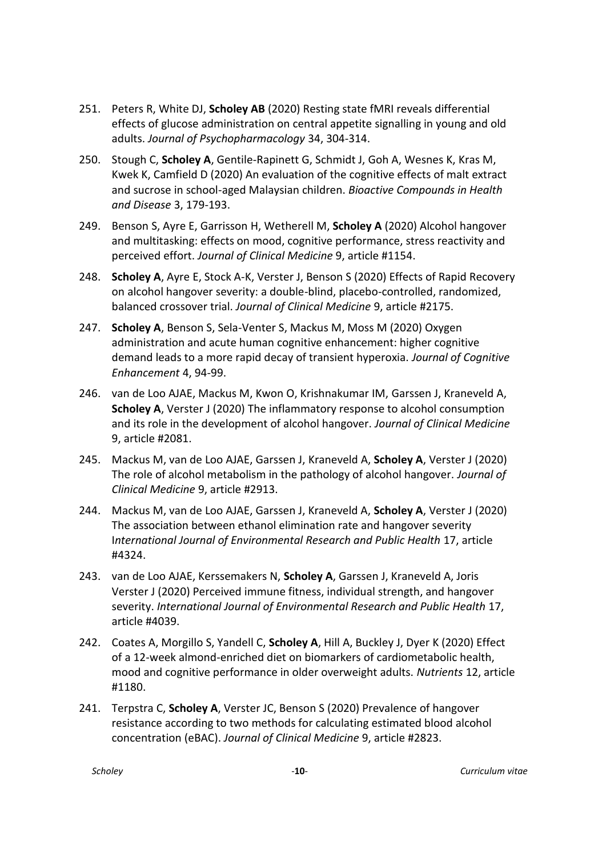- 251. Peters R, White DJ, **Scholey AB** (2020) Resting state fMRI reveals differential effects of glucose administration on central appetite signalling in young and old adults. *Journal of Psychopharmacology* 34, 304-314.
- 250. Stough C, **Scholey A**, Gentile-Rapinett G, Schmidt J, Goh A, Wesnes K, Kras M, Kwek K, Camfield D (2020) An evaluation of the cognitive effects of malt extract and sucrose in school-aged Malaysian children. *Bioactive Compounds in Health and Disease* 3, 179-193.
- 249. Benson S, Ayre E, Garrisson H, Wetherell M, **Scholey A** (2020) Alcohol hangover and multitasking: effects on mood, cognitive performance, stress reactivity and perceived effort. *Journal of Clinical Medicine* 9, article #1154.
- 248. **Scholey A**, Ayre E, Stock A-K, Verster J, Benson S (2020) Effects of Rapid Recovery on alcohol hangover severity: a double-blind, placebo-controlled, randomized, balanced crossover trial. *Journal of Clinical Medicine* 9, article #2175.
- 247. **Scholey A**, Benson S, Sela-Venter S, Mackus M, Moss M (2020) Oxygen administration and acute human cognitive enhancement: higher cognitive demand leads to a more rapid decay of transient hyperoxia. *Journal of Cognitive Enhancement* 4, 94-99.
- 246. van de Loo AJAE, Mackus M, Kwon O, Krishnakumar IM, Garssen J, Kraneveld A, **Scholey A**, Verster J (2020) The inflammatory response to alcohol consumption and its role in the development of alcohol hangover. *Journal of Clinical Medicine* 9, article #2081.
- 245. Mackus M, van de Loo AJAE, Garssen J, Kraneveld A, **Scholey A**, Verster J (2020) The role of alcohol metabolism in the pathology of alcohol hangover. *Journal of Clinical Medicine* 9, article #2913.
- 244. Mackus M, van de Loo AJAE, Garssen J, Kraneveld A, **Scholey A**, Verster J (2020) The association between ethanol elimination rate and hangover severity I*nternational Journal of Environmental Research and Public Health* 17, article #4324.
- 243. van de Loo AJAE, Kerssemakers N, **Scholey A**, Garssen J, Kraneveld A, Joris Verster J (2020) Perceived immune fitness, individual strength, and hangover severity. *International Journal of Environmental Research and Public Health* 17, article #4039.
- 242. Coates A, Morgillo S, Yandell C, **Scholey A**, Hill A, Buckley J, Dyer K (2020) Effect of a 12-week almond-enriched diet on biomarkers of cardiometabolic health, mood and cognitive performance in older overweight adults. *Nutrients* 12, article #1180.
- 241. Terpstra C, **Scholey A**, Verster JC, Benson S (2020) Prevalence of hangover resistance according to two methods for calculating estimated blood alcohol concentration (eBAC). *Journal of Clinical Medicine* 9, article #2823.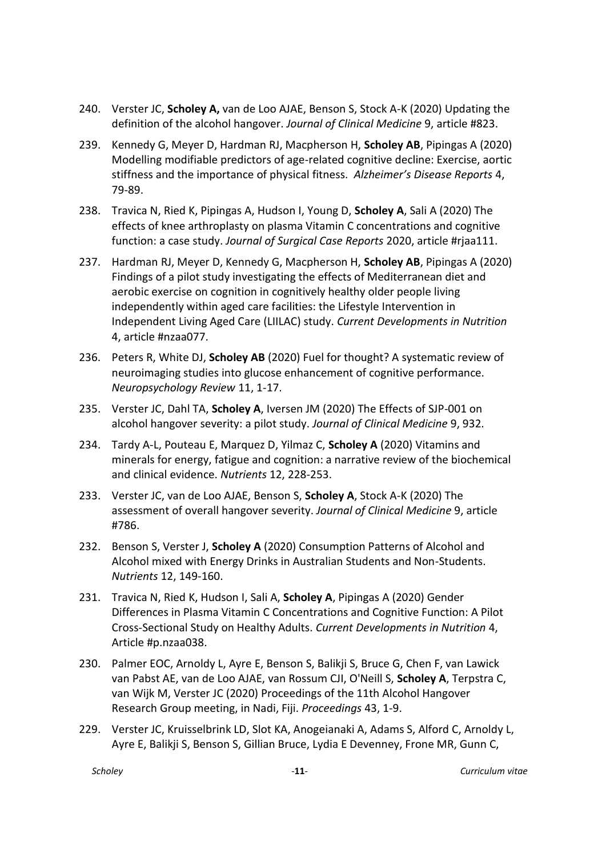- 240. Verster JC, **Scholey A,** van de Loo AJAE, Benson S, Stock A-K (2020) Updating the definition of the alcohol hangover. *Journal of Clinical Medicine* 9, article #823.
- 239. Kennedy G, Meyer D, Hardman RJ, Macpherson H, **Scholey AB**, Pipingas A (2020) Modelling modifiable predictors of age-related cognitive decline: Exercise, aortic stiffness and the importance of physical fitness. *Alzheimer's Disease Reports* 4, 79-89.
- 238. Travica N, Ried K, Pipingas A, Hudson I, Young D, **Scholey A**, Sali A (2020) The effects of knee arthroplasty on plasma Vitamin C concentrations and cognitive function: a case study. *Journal of Surgical Case Reports* 2020, article #rjaa111.
- 237. Hardman RJ, Meyer D, Kennedy G, Macpherson H, **Scholey AB**, Pipingas A (2020) Findings of a pilot study investigating the effects of Mediterranean diet and aerobic exercise on cognition in cognitively healthy older people living independently within aged care facilities: the Lifestyle Intervention in Independent Living Aged Care (LIILAC) study. *Current Developments in Nutrition* 4, article #nzaa077.
- 236. Peters R, White DJ, **Scholey AB** (2020) Fuel for thought? A systematic review of neuroimaging studies into glucose enhancement of cognitive performance. *Neuropsychology Review* 11, 1-17.
- 235. Verster JC, Dahl TA, **Scholey A**, Iversen JM (2020) The Effects of SJP-001 on alcohol hangover severity: a pilot study. *Journal of Clinical Medicine* 9, 932.
- 234. Tardy A-L, Pouteau E, Marquez D, Yilmaz C, **Scholey A** (2020) Vitamins and minerals for energy, fatigue and cognition: a narrative review of the biochemical and clinical evidence. *Nutrients* 12, 228-253.
- 233. Verster JC, van de Loo AJAE, Benson S, **Scholey A**, Stock A-K (2020) The assessment of overall hangover severity. *Journal of Clinical Medicine* 9, article #786.
- 232. Benson S, Verster J, **Scholey A** (2020) Consumption Patterns of Alcohol and Alcohol mixed with Energy Drinks in Australian Students and Non-Students. *Nutrients* 12, 149-160.
- 231. Travica N, Ried K, Hudson I, Sali A, **Scholey A**, Pipingas A (2020) Gender Differences in Plasma Vitamin C Concentrations and Cognitive Function: A Pilot Cross-Sectional Study on Healthy Adults. *Current Developments in Nutrition* 4, Article #p.nzaa038.
- 230. Palmer EOC, Arnoldy L, Ayre E, Benson S, Balikji S, Bruce G, Chen F, van Lawick van Pabst AE, van de Loo AJAE, van Rossum CJI, O'Neill S, **Scholey A**, Terpstra C, van Wijk M, Verster JC (2020) Proceedings of the 11th Alcohol Hangover Research Group meeting, in Nadi, Fiji. *Proceedings* 43, 1-9.
- 229. Verster JC, Kruisselbrink LD, Slot KA, Anogeianaki A, Adams S, Alford C, Arnoldy L, Ayre E, Balikji S, Benson S, Gillian Bruce, Lydia E Devenney, Frone MR, Gunn C,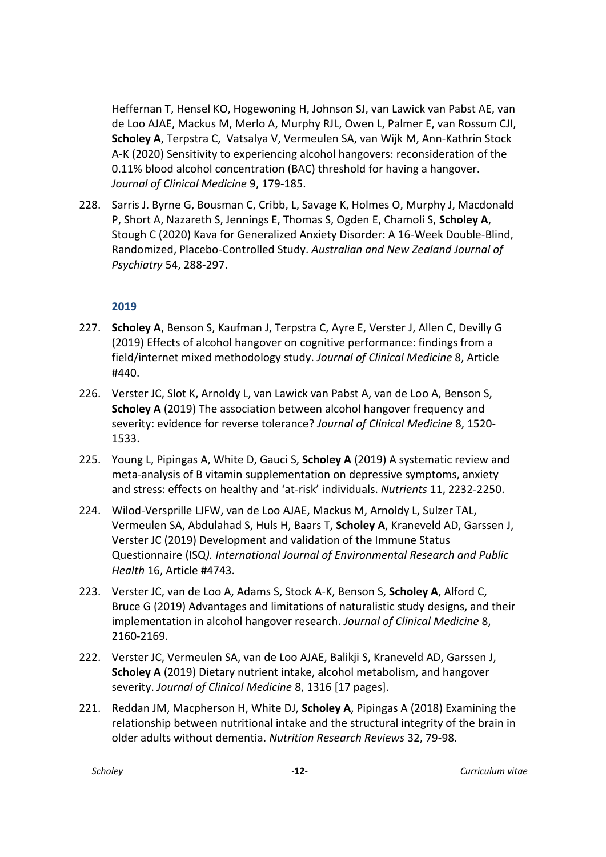Heffernan T, Hensel KO, Hogewoning H, Johnson SJ, van Lawick van Pabst AE, van de Loo AJAE, Mackus M, Merlo A, Murphy RJL, Owen L, Palmer E, van Rossum CJI, **Scholey A**, Terpstra C, Vatsalya V, Vermeulen SA, van Wijk M, Ann-Kathrin Stock A-K (2020) Sensitivity to experiencing alcohol hangovers: reconsideration of the 0.11% blood alcohol concentration (BAC) threshold for having a hangover. *Journal of Clinical Medicine* 9, 179-185.

228. Sarris J. Byrne G, Bousman C, Cribb, L, Savage K, Holmes O, Murphy J, Macdonald P, Short A, Nazareth S, Jennings E, Thomas S, Ogden E, Chamoli S, **Scholey A**, Stough C (2020) Kava for Generalized Anxiety Disorder: A 16-Week Double-Blind, Randomized, Placebo-Controlled Study. *Australian and New Zealand Journal of Psychiatry* 54, 288-297.

- 227. **Scholey A**, Benson S, Kaufman J, Terpstra C, Ayre E, Verster J, Allen C, Devilly G (2019) Effects of alcohol hangover on cognitive performance: findings from a field/internet mixed methodology study. *Journal of Clinical Medicine* 8, Article #440.
- 226. Verster JC, Slot K, Arnoldy L, van Lawick van Pabst A, van de Loo A, Benson S, **Scholey A** (2019) The association between alcohol hangover frequency and severity: evidence for reverse tolerance? *Journal of Clinical Medicine* 8, 1520- 1533.
- 225. Young L, Pipingas A, White D, Gauci S, **Scholey A** (2019) A systematic review and meta-analysis of B vitamin supplementation on depressive symptoms, anxiety and stress: effects on healthy and 'at-risk' individuals. *Nutrients* 11, 2232-2250.
- 224. Wilod-Versprille LJFW, van de Loo AJAE, Mackus M, Arnoldy L, Sulzer TAL, Vermeulen SA, Abdulahad S, Huls H, Baars T, **Scholey A**, Kraneveld AD, Garssen J, Verster JC (2019) Development and validation of the Immune Status Questionnaire (ISQ*). International Journal of Environmental Research and Public Health* 16, Article #4743.
- 223. Verster JC, van de Loo A, Adams S, Stock A-K, Benson S, **Scholey A**, Alford C, Bruce G (2019) Advantages and limitations of naturalistic study designs, and their implementation in alcohol hangover research. *Journal of Clinical Medicine* 8, 2160-2169.
- 222. Verster JC, Vermeulen SA, van de Loo AJAE, Balikji S, Kraneveld AD, Garssen J, **Scholey A** (2019) Dietary nutrient intake, alcohol metabolism, and hangover severity. *Journal of Clinical Medicine* 8, 1316 [17 pages].
- 221. Reddan JM, Macpherson H, White DJ, **Scholey A**, Pipingas A (2018) Examining the relationship between nutritional intake and the structural integrity of the brain in older adults without dementia. *Nutrition Research Reviews* 32, 79-98.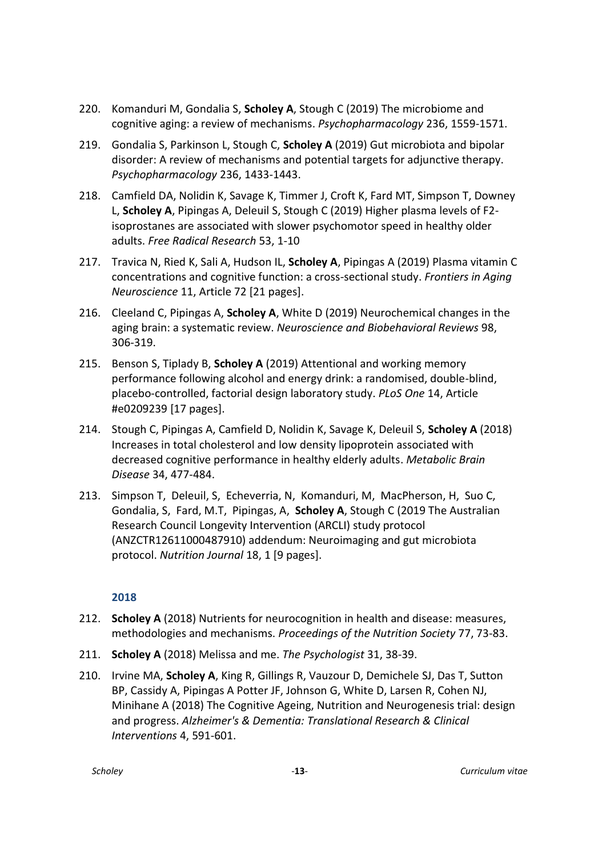- 220. Komanduri M, Gondalia S, **Scholey A**, Stough C (2019) The microbiome and cognitive aging: a review of mechanisms. *Psychopharmacology* 236, 1559-1571.
- 219. Gondalia S, Parkinson L, Stough C, **Scholey A** (2019) Gut microbiota and bipolar disorder: A review of mechanisms and potential targets for adjunctive therapy. *Psychopharmacology* 236, 1433-1443.
- 218. Camfield DA, Nolidin K, Savage K, Timmer J, Croft K, Fard MT, Simpson T, Downey L, **Scholey A**, Pipingas A, Deleuil S, Stough C (2019) Higher plasma levels of F2 isoprostanes are associated with slower psychomotor speed in healthy older adults. *Free Radical Research* 53, 1-10
- 217. Travica N, Ried K, Sali A, Hudson IL, **Scholey A**, Pipingas A (2019) Plasma vitamin C concentrations and cognitive function: a cross-sectional study. *Frontiers in Aging Neuroscience* 11, Article 72 [21 pages].
- 216. Cleeland C, Pipingas A, **Scholey A**, White D (2019) Neurochemical changes in the aging brain: a systematic review. *Neuroscience and Biobehavioral Reviews* 98, 306-319.
- 215. Benson S, Tiplady B, **Scholey A** (2019) Attentional and working memory performance following alcohol and energy drink: a randomised, double-blind, placebo-controlled, factorial design laboratory study. *PLoS One* 14, Article #e0209239 [17 pages].
- 214. Stough C, Pipingas A, Camfield D, Nolidin K, Savage K, Deleuil S, **Scholey A** (2018) Increases in total cholesterol and low density lipoprotein associated with decreased cognitive performance in healthy elderly adults. *Metabolic Brain Disease* 34, 477-484.
- 213. Simpson T, Deleuil, S, Echeverria, N, Komanduri, M, MacPherson, H, Suo C, Gondalia, S, Fard, M.T, Pipingas, A, **Scholey A**, Stough C (2019 The Australian Research Council Longevity Intervention (ARCLI) study protocol (ANZCTR12611000487910) addendum: Neuroimaging and gut microbiota protocol. *Nutrition Journal* 18, 1 [9 pages].

- 212. **Scholey A** (2018) Nutrients for neurocognition in health and disease: measures, methodologies and mechanisms. *Proceedings of the Nutrition Society* 77, 73-83.
- 211. **Scholey A** (2018) Melissa and me. *The Psychologist* 31, 38-39.
- 210. Irvine MA, **Scholey A**, King R, Gillings R, Vauzour D, Demichele SJ, Das T, Sutton BP, Cassidy A, Pipingas A Potter JF, Johnson G, White D, Larsen R, Cohen NJ, Minihane A (2018) The Cognitive Ageing, Nutrition and Neurogenesis trial: design and progress. *Alzheimer's & Dementia: Translational Research & Clinical Interventions* 4, 591-601.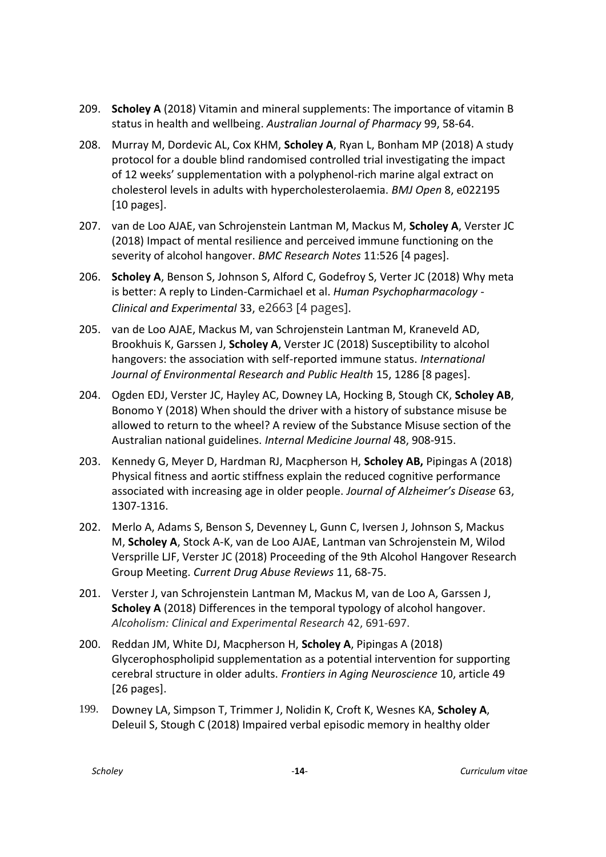- 209. **Scholey A** (2018) Vitamin and mineral supplements: The importance of vitamin B status in health and wellbeing. *Australian Journal of Pharmacy* 99, 58-64.
- 208. Murray M, Dordevic AL, Cox KHM, **Scholey A**, Ryan L, Bonham MP (2018) A study protocol for a double blind randomised controlled trial investigating the impact of 12 weeks' supplementation with a polyphenol-rich marine algal extract on cholesterol levels in adults with hypercholesterolaemia. *BMJ Open* 8, e022195 [10 pages].
- 207. van de Loo AJAE, van Schrojenstein Lantman M, Mackus M, **Scholey A**, Verster JC (2018) Impact of mental resilience and perceived immune functioning on the severity of alcohol hangover. *BMC Research Notes* 11:526 [4 pages].
- 206. **Scholey A**, Benson S, Johnson S, Alford C, Godefroy S, Verter JC (2018) Why meta is better: A reply to Linden-Carmichael et al. *Human Psychopharmacology - Clinical and Experimental* 33, e2663 [4 pages].
- 205. van de Loo AJAE, Mackus M, van Schrojenstein Lantman M, Kraneveld AD, Brookhuis K, Garssen J, **Scholey A**, Verster JC (2018) Susceptibility to alcohol hangovers: the association with self-reported immune status. *International Journal of Environmental Research and Public Health* 15, 1286 [8 pages].
- 204. Ogden EDJ, Verster JC, Hayley AC, Downey LA, Hocking B, Stough CK, **Scholey AB**, Bonomo Y (2018) When should the driver with a history of substance misuse be allowed to return to the wheel? A review of the Substance Misuse section of the Australian national guidelines. *Internal Medicine Journal* 48, 908-915.
- 203. Kennedy G, Meyer D, Hardman RJ, Macpherson H, **Scholey AB,** Pipingas A (2018) Physical fitness and aortic stiffness explain the reduced cognitive performance associated with increasing age in older people. *Journal of Alzheimer's Disease* 63, 1307-1316.
- 202. Merlo A, Adams S, Benson S, Devenney L, Gunn C, Iversen J, Johnson S, Mackus M, **Scholey A**, Stock A-K, van de Loo AJAE, Lantman van Schrojenstein M, Wilod Versprille LJF, Verster JC (2018) Proceeding of the 9th Alcohol Hangover Research Group Meeting. *Current Drug Abuse Reviews* 11, 68-75.
- 201. Verster J, van Schrojenstein Lantman M, Mackus M, van de Loo A, Garssen J, **Scholey A** (2018) Differences in the temporal typology of alcohol hangover. *Alcoholism: Clinical and Experimental Research* 42, 691-697.
- 200. Reddan JM, White DJ, Macpherson H, **Scholey A**, Pipingas A (2018) Glycerophospholipid supplementation as a potential intervention for supporting cerebral structure in older adults. *Frontiers in Aging Neuroscience* 10, article 49 [26 pages].
- 199. Downey LA, Simpson T, Trimmer J, Nolidin K, Croft K, Wesnes KA, **Scholey A**, Deleuil S, Stough C (2018) Impaired verbal episodic memory in healthy older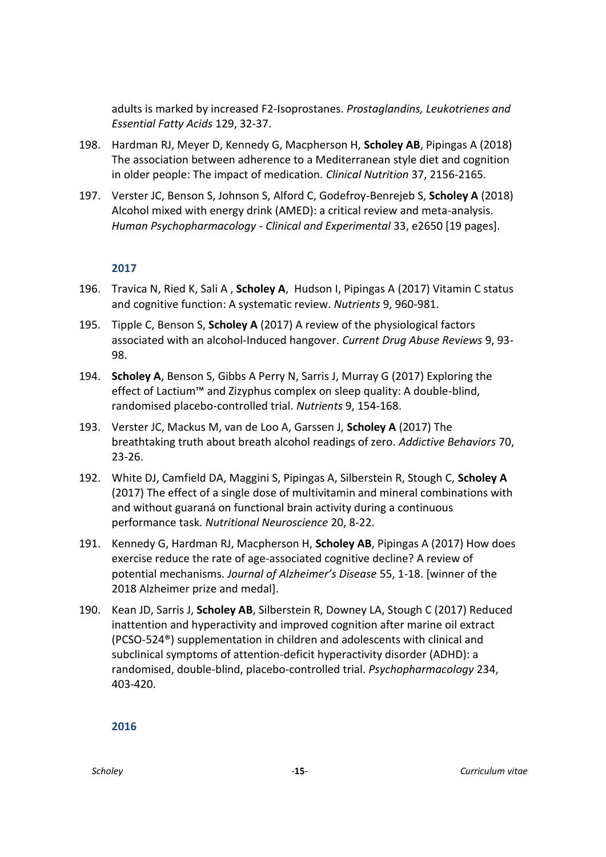adults is marked by increased F2-Isoprostanes. *Prostaglandins, Leukotrienes and Essential Fatty Acids* 129, 32-37.

- 198. Hardman RJ, Meyer D, Kennedy G, Macpherson H, **Scholey AB**, Pipingas A (2018) The association between adherence to a Mediterranean style diet and cognition in older people: The impact of medication. *Clinical Nutrition* 37, 2156-2165.
- 197. Verster JC, Benson S, Johnson S, Alford C, Godefroy-Benrejeb S, **Scholey A** (2018) Alcohol mixed with energy drink (AMED): a critical review and meta-analysis. *Human Psychopharmacology - Clinical and Experimental* 33, e2650 [19 pages].

#### **2017**

- 196. Travica N, Ried K, Sali A , **Scholey A**, Hudson I, Pipingas A (2017) Vitamin C status and cognitive function: A systematic review. *Nutrients* 9, 960-981.
- 195. Tipple C, Benson S, **Scholey A** (2017) A review of the physiological factors associated with an alcohol-Induced hangover. *Current Drug Abuse Reviews* 9, 93- 98.
- 194. **Scholey A**, Benson S, Gibbs A Perry N, Sarris J, Murray G (2017) Exploring the effect of Lactium™ and Zizyphus complex on sleep quality: A double-blind, randomised placebo-controlled trial. *Nutrients* 9, 154-168.
- 193. Verster JC, Mackus M, van de Loo A, Garssen J, **Scholey A** (2017) The breathtaking truth about breath alcohol readings of zero. *Addictive Behaviors* 70, 23-26.
- 192. White DJ, Camfield DA, Maggini S, Pipingas A, Silberstein R, Stough C, **Scholey A** (2017) The effect of a single dose of multivitamin and mineral combinations with and without guaraná on functional brain activity during a continuous performance task. *Nutritional Neuroscience* 20, 8-22.
- 191. Kennedy G, Hardman RJ, Macpherson H, **Scholey AB**, Pipingas A (2017) How does exercise reduce the rate of age-associated cognitive decline? A review of potential mechanisms. *Journal of Alzheimer's Disease* 55, 1-18. [winner of the 2018 Alzheimer prize and medal].
- 190. Kean JD, Sarris J, **Scholey AB**, Silberstein R, Downey LA, Stough C (2017) Reduced inattention and hyperactivity and improved cognition after marine oil extract (PCSO-524®) supplementation in children and adolescents with clinical and subclinical symptoms of attention-deficit hyperactivity disorder (ADHD): a randomised, double-blind, placebo-controlled trial. *Psychopharmacology* 234, 403-420.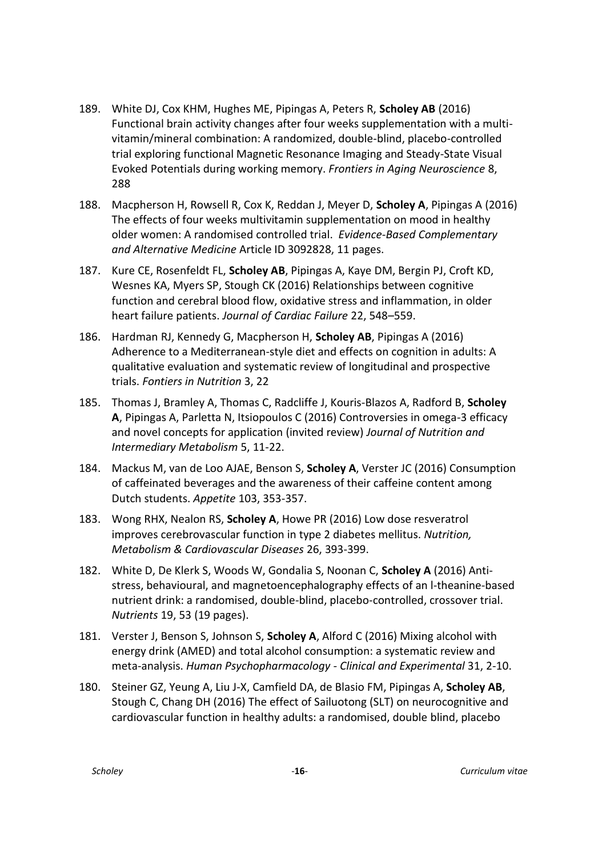- 189. White DJ, Cox KHM, Hughes ME, Pipingas A, Peters R, **Scholey AB** (2016) Functional brain activity changes after four weeks supplementation with a multivitamin/mineral combination: A randomized, double-blind, placebo-controlled trial exploring functional Magnetic Resonance Imaging and Steady-State Visual Evoked Potentials during working memory. *Frontiers in Aging Neuroscience* 8, 288
- 188. Macpherson H, Rowsell R, Cox K, Reddan J, Meyer D, **Scholey A**, Pipingas A (2016) The effects of four weeks multivitamin supplementation on mood in healthy older women: A randomised controlled trial. *Evidence-Based Complementary and Alternative Medicine* Article ID 3092828, 11 pages.
- 187. Kure CE, Rosenfeldt FL, **Scholey AB**, Pipingas A, Kaye DM, Bergin PJ, Croft KD, Wesnes KA, Myers SP, Stough CK (2016) Relationships between cognitive function and cerebral blood flow, oxidative stress and inflammation, in older heart failure patients. *Journal of Cardiac Failure* 22, 548–559.
- 186. Hardman RJ, Kennedy G, Macpherson H, **Scholey AB**, Pipingas A (2016) Adherence to a Mediterranean-style diet and effects on cognition in adults: A qualitative evaluation and systematic review of longitudinal and prospective trials. *Fontiers in Nutrition* 3, 22
- 185. Thomas J, Bramley A, Thomas C, Radcliffe J, Kouris-Blazos A, Radford B, **Scholey A**, Pipingas A, Parletta N, Itsiopoulos C (2016) Controversies in omega-3 efficacy and novel concepts for application (invited review) *Journal of Nutrition and Intermediary Metabolism* 5, 11-22.
- 184. Mackus M, van de Loo AJAE, Benson S, **Scholey A**, Verster JC (2016) Consumption of caffeinated beverages and the awareness of their caffeine content among Dutch students. *Appetite* 103, 353-357.
- 183. Wong RHX, Nealon RS, **Scholey A**, Howe PR (2016) Low dose resveratrol improves cerebrovascular function in type 2 diabetes mellitus. *Nutrition, Metabolism & Cardiovascular Diseases* 26, 393-399.
- 182. White D, De Klerk S, Woods W, Gondalia S, Noonan C, **Scholey A** (2016) Antistress, behavioural, and magnetoencephalography effects of an l-theanine-based nutrient drink: a randomised, double-blind, placebo-controlled, crossover trial. *Nutrients* 19, 53 (19 pages).
- 181. Verster J, Benson S, Johnson S, **Scholey A**, Alford C (2016) Mixing alcohol with energy drink (AMED) and total alcohol consumption: a systematic review and meta-analysis. *Human Psychopharmacology - Clinical and Experimental* 31, 2-10.
- 180. Steiner GZ, Yeung A, Liu J-X, Camfield DA, de Blasio FM, Pipingas A, **Scholey AB**, Stough C, Chang DH (2016) The effect of Sailuotong (SLT) on neurocognitive and cardiovascular function in healthy adults: a randomised, double blind, placebo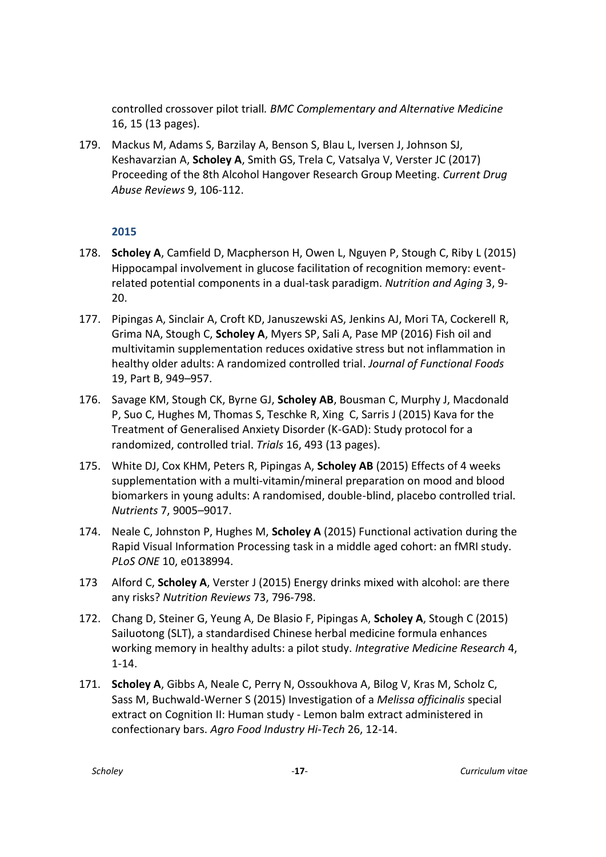controlled crossover pilot triall*. BMC Complementary and Alternative Medicine* 16, 15 (13 pages).

179. Mackus M, Adams S, Barzilay A, Benson S, Blau L, Iversen J, Johnson SJ, Keshavarzian A, **Scholey A**, Smith GS, Trela C, Vatsalya V, Verster JC (2017) Proceeding of the 8th Alcohol Hangover Research Group Meeting. *Current Drug Abuse Reviews* 9, 106-112.

- 178. **Scholey A**, Camfield D, Macpherson H, Owen L, Nguyen P, Stough C, Riby L (2015) Hippocampal involvement in glucose facilitation of recognition memory: eventrelated potential components in a dual-task paradigm. *Nutrition and Aging* 3, 9- 20.
- 177. Pipingas A, Sinclair A, Croft KD, Januszewski AS, Jenkins AJ, Mori TA, Cockerell R, Grima NA, Stough C, **Scholey A**, Myers SP, Sali A, Pase MP (2016) Fish oil and multivitamin supplementation reduces oxidative stress but not inflammation in healthy older adults: A randomized controlled trial . *Journal of Functional Foods*  19, Part B, 949–957.
- 176. Savage KM, Stough CK, Byrne GJ, **Scholey AB**, Bousman C, Murphy J, Macdonald P, Suo C, Hughes M, Thomas S, Teschke R, Xing C, Sarris J (2015) Kava for the Treatment of Generalised Anxiety Disorder (K-GAD): Study protocol for a randomized, controlled trial. *Trials* 16, 493 (13 pages).
- 175. White DJ, Cox KHM, Peters R, Pipingas A, **Scholey AB** (2015) Effects of 4 weeks supplementation with a multi-vitamin/mineral preparation on mood and blood biomarkers in young adults: A randomised, double-blind, placebo controlled trial. *Nutrients* 7, 9005–9017.
- 174. Neale C, Johnston P, Hughes M, **Scholey A** (2015) Functional activation during the Rapid Visual Information Processing task in a middle aged cohort: an fMRI study. *PLoS ONE* 10, e0138994.
- 173 Alford C, **Scholey A**, Verster J (2015) Energy drinks mixed with alcohol: are there any risks? *Nutrition Reviews* 73, 796-798.
- 172. Chang D, Steiner G, Yeung A, De Blasio F, Pipingas A, **Scholey A**, Stough C (2015) Sailuotong (SLT), a standardised Chinese herbal medicine formula enhances working memory in healthy adults: a pilot study. *Integrative Medicine Research* 4, 1-14.
- 171. **Scholey A**, Gibbs A, Neale C, Perry N, Ossoukhova A, Bilog V, Kras M, Scholz C, Sass M, Buchwald-Werner S (2015) Investigation of a *Melissa officinalis* special extract on Cognition II: Human study - Lemon balm extract administered in confectionary bars. *Agro Food Industry Hi-Tech* 26, 12-14.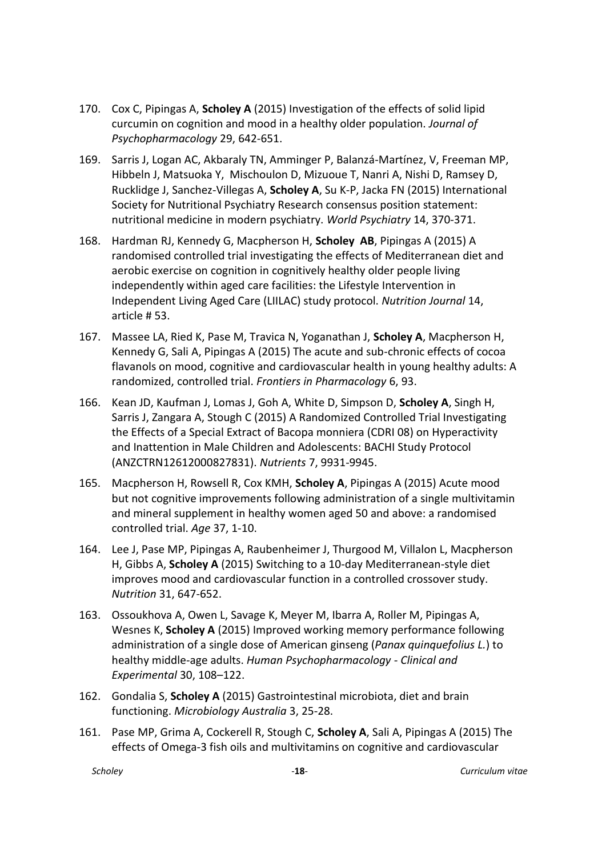- 170. Cox C, Pipingas A, **Scholey A** (2015) Investigation of the effects of solid lipid curcumin on cognition and mood in a healthy older population. *Journal of Psychopharmacology* 29, 642-651.
- 169. Sarris J, Logan AC, Akbaraly TN, Amminger P, Balanzá-Martínez, V, Freeman MP, Hibbeln J, Matsuoka Y, Mischoulon D, Mizuoue T, Nanri A, Nishi D, Ramsey D, Rucklidge J, Sanchez-Villegas A, **Scholey A**, Su K-P, Jacka FN (2015) International Society for Nutritional Psychiatry Research consensus position statement: nutritional medicine in modern psychiatry. *World Psychiatry* 14, 370-371.
- 168. Hardman RJ, Kennedy G, Macpherson H, **Scholey AB**, Pipingas A (2015) A randomised controlled trial investigating the effects of Mediterranean diet and aerobic exercise on cognition in cognitively healthy older people living independently within aged care facilities: the Lifestyle Intervention in Independent Living Aged Care (LIILAC) study protocol. *Nutrition Journal* 14, article # 53.
- 167. Massee LA, Ried K, Pase M, Travica N, Yoganathan J, **Scholey A**, Macpherson H, Kennedy G, Sali A, Pipingas A (2015) The acute and sub-chronic effects of cocoa flavanols on mood, cognitive and cardiovascular health in young healthy adults: A randomized, controlled trial. *Frontiers in Pharmacology* 6, 93.
- 166. Kean JD, Kaufman J, Lomas J, Goh A, White D, Simpson D, **Scholey A**, Singh H, Sarris J, Zangara A, Stough C (2015) A Randomized Controlled Trial Investigating the Effects of a Special Extract of Bacopa monniera (CDRI 08) on Hyperactivity and Inattention in Male Children and Adolescents: BACHI Study Protocol (ANZCTRN12612000827831). *Nutrients* 7, 9931-9945.
- 165. Macpherson H, Rowsell R, Cox KMH, **Scholey A**, Pipingas A (2015) Acute mood but not cognitive improvements following administration of a single multivitamin and mineral supplement in healthy women aged 50 and above: a randomised controlled trial. *Age* 37, 1-10.
- 164. Lee J, Pase MP, Pipingas A, Raubenheimer J, Thurgood M, Villalon L, Macpherson H, Gibbs A, **Scholey A** (2015) Switching to a 10-day Mediterranean-style diet improves mood and cardiovascular function in a controlled crossover study. *Nutrition* 31, 647-652.
- 163. Ossoukhova A, Owen L, Savage K, Meyer M, Ibarra A, Roller M, Pipingas A, Wesnes K, **Scholey A** (2015) Improved working memory performance following administration of a single dose of American ginseng (*Panax quinquefolius L.*) to healthy middle-age adults. *Human Psychopharmacology - Clinical and Experimental* 30, 108–122.
- 162. Gondalia S, **Scholey A** (2015) Gastrointestinal microbiota, diet and brain functioning. *Microbiology Australia* 3, 25-28.
- 161. Pase MP, Grima A, Cockerell R, Stough C, **Scholey A**, Sali A, Pipingas A (2015) The effects of Omega-3 fish oils and multivitamins on cognitive and cardiovascular

*Scholey* -**18**- *Curriculum vitae*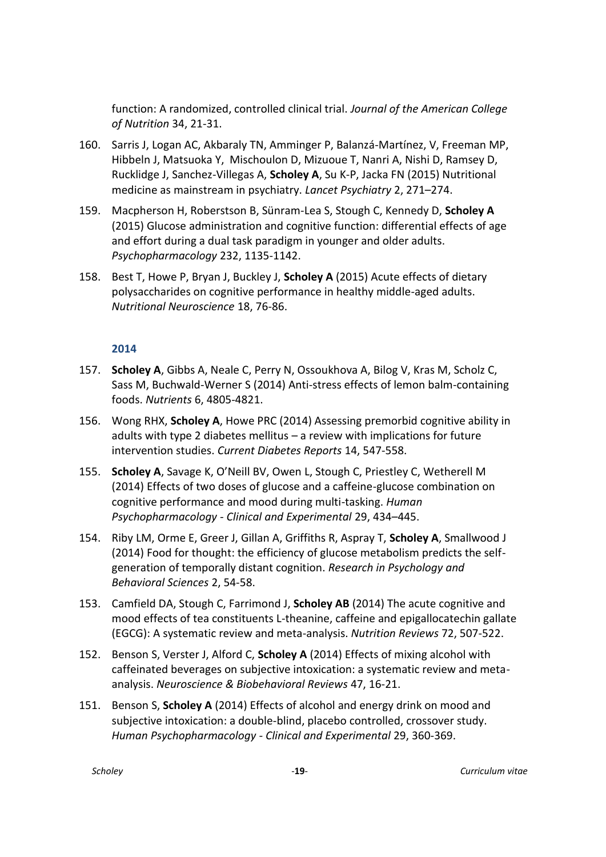function: A randomized, controlled clinical trial. *Journal of the American College of Nutrition* 34, 21-31.

- 160. Sarris J, Logan AC, Akbaraly TN, Amminger P, Balanzá-Martínez, V, Freeman MP, Hibbeln J, Matsuoka Y, Mischoulon D, Mizuoue T, Nanri A, Nishi D, Ramsey D, Rucklidge J, Sanchez-Villegas A, **Scholey A**, Su K-P, Jacka FN (2015) Nutritional medicine as mainstream in psychiatry. *Lancet Psychiatry* 2, 271–274.
- 159. Macpherson H, Roberstson B, Sünram-Lea S, Stough C, Kennedy D, **Scholey A**  (2015) Glucose administration and cognitive function: differential effects of age and effort during a dual task paradigm in younger and older adults. *Psychopharmacology* 232, 1135-1142.
- 158. Best T, Howe P, Bryan J, Buckley J, **Scholey A** (2015) Acute effects of dietary polysaccharides on cognitive performance in healthy middle-aged adults. *Nutritional Neuroscience* 18, 76-86.

- 157. **Scholey A**, Gibbs A, Neale C, Perry N, Ossoukhova A, Bilog V, Kras M, Scholz C, Sass M, Buchwald-Werner S (2014) Anti-stress effects of lemon balm-containing foods. *Nutrients* 6, 4805-4821.
- 156. Wong RHX, **Scholey A**, Howe PRC (2014) Assessing premorbid cognitive ability in adults with type 2 diabetes mellitus – a review with implications for future intervention studies. *Current Diabetes Reports* 14, 547-558.
- 155. **Scholey A**, Savage K, O'Neill BV, Owen L, Stough C, Priestley C, Wetherell M (2014) Effects of two doses of glucose and a caffeine-glucose combination on cognitive performance and mood during multi-tasking. *Human Psychopharmacology - Clinical and Experimental* 29, 434–445.
- 154. Riby LM, Orme E, Greer J, Gillan A, Griffiths R, Aspray T, **Scholey A**, Smallwood J (2014) Food for thought: the efficiency of glucose metabolism predicts the selfgeneration of temporally distant cognition. *Research in Psychology and Behavioral Sciences* 2, 54-58.
- 153. Camfield DA, Stough C, Farrimond J, **Scholey AB** (2014) The acute cognitive and mood effects of tea constituents L-theanine, caffeine and epigallocatechin gallate (EGCG): A systematic review and meta-analysis. *Nutrition Reviews* 72, 507-522.
- 152. Benson S, Verster J, Alford C, **Scholey A** (2014) Effects of mixing alcohol with caffeinated beverages on subjective intoxication: a systematic review and metaanalysis. *Neuroscience & Biobehavioral Reviews* 47, 16-21.
- 151. Benson S, **Scholey A** (2014) Effects of alcohol and energy drink on mood and subjective intoxication: a double-blind, placebo controlled, crossover study. *Human Psychopharmacology - Clinical and Experimental* 29, 360-369.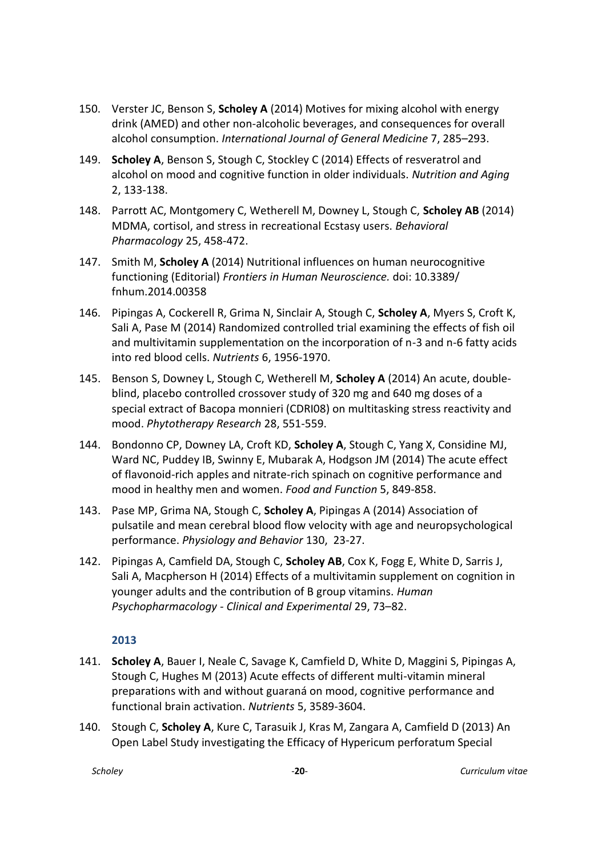- 150. Verster JC, Benson S, **Scholey A** (2014) Motives for mixing alcohol with energy drink (AMED) and other non-alcoholic beverages, and consequences for overall alcohol consumption. *International Journal of General Medicine* 7, 285–293.
- 149. **Scholey A**, Benson S, Stough C, Stockley C (2014) Effects of resveratrol and alcohol on mood and cognitive function in older individuals. *Nutrition and Aging*  2, 133-138.
- 148. Parrott AC, Montgomery C, Wetherell M, Downey L, Stough C, **Scholey AB** (2014) MDMA, cortisol, and stress in recreational Ecstasy users. *Behavioral Pharmacology* 25, 458-472.
- 147. Smith M, **Scholey A** (2014) Nutritional influences on human neurocognitive functioning (Editorial) *Frontiers in Human Neuroscience.* doi: 10.3389/ fnhum.2014.00358
- 146. Pipingas A, Cockerell R, Grima N, Sinclair A, Stough C, **Scholey A**, Myers S, Croft K, Sali A, Pase M (2014) Randomized controlled trial examining the effects of fish oil and multivitamin supplementation on the incorporation of n-3 and n-6 fatty acids into red blood cells. *Nutrients* 6, 1956-1970.
- 145. Benson S, Downey L, Stough C, Wetherell M, **Scholey A** (2014) An acute, doubleblind, placebo controlled crossover study of 320 mg and 640 mg doses of a special extract of Bacopa monnieri (CDRI08) on multitasking stress reactivity and mood. *Phytotherapy Research* 28, 551-559.
- 144. Bondonno CP, Downey LA, Croft KD, **Scholey A**, Stough C, Yang X, Considine MJ, Ward NC, Puddey IB, Swinny E, Mubarak A, Hodgson JM (2014) The acute effect of flavonoid-rich apples and nitrate-rich spinach on cognitive performance and mood in healthy men and women. *Food and Function* 5, 849-858.
- 143. Pase MP, Grima NA, Stough C, **Scholey A**, Pipingas A (2014) Association of pulsatile and mean cerebral blood flow velocity with age and neuropsychological performance. *Physiology and Behavior* 130, 23-27.
- 142. Pipingas A, Camfield DA, Stough C, **Scholey AB**, Cox K, Fogg E, White D, Sarris J, Sali A, Macpherson H (2014) Effects of a multivitamin supplement on cognition in younger adults and the contribution of B group vitamins. *Human Psychopharmacology - Clinical and Experimental* 29, 73–82.

- 141. **Scholey A**, Bauer I, Neale C, Savage K, Camfield D, White D, Maggini S, Pipingas A, Stough C, Hughes M (2013) Acute effects of different multi-vitamin mineral preparations with and without guaraná on mood, cognitive performance and functional brain activation. *Nutrients* 5, 3589-3604.
- 140. Stough C, **Scholey A**, Kure C, Tarasuik J, Kras M, Zangara A, Camfield D (2013) An Open Label Study investigating the Efficacy of Hypericum perforatum Special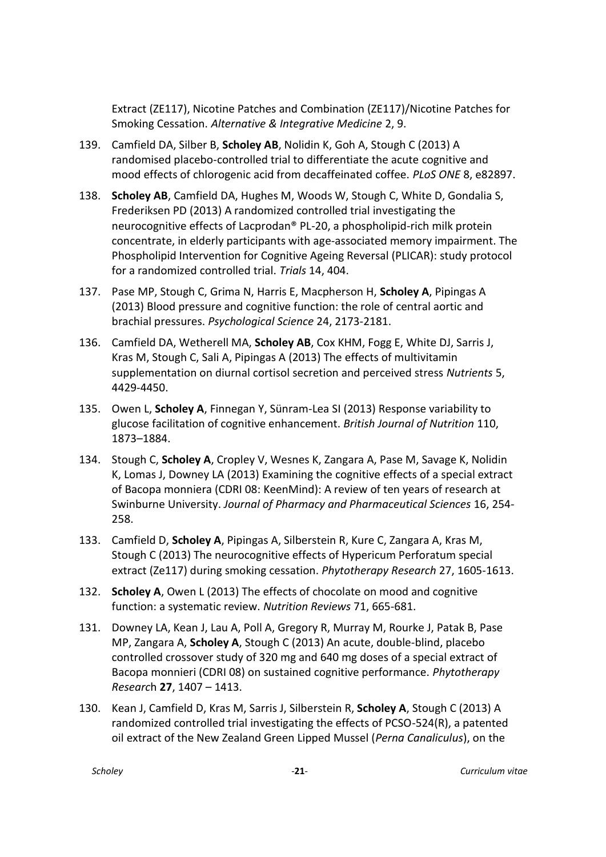Extract (ZE117), Nicotine Patches and Combination (ZE117)/Nicotine Patches for Smoking Cessation. *Alternative & Integrative Medicine* 2, 9.

- 139. Camfield DA, Silber B, **Scholey AB**, Nolidin K, Goh A, Stough C (2013) A randomised placebo-controlled trial to differentiate the acute cognitive and mood effects of chlorogenic acid from decaffeinated coffee. *PLoS ONE* 8, e82897.
- 138. **Scholey AB**, Camfield DA, Hughes M, Woods W, Stough C, White D, Gondalia S, Frederiksen PD (2013) A randomized controlled trial investigating the neurocognitive effects of Lacprodan® PL-20, a phospholipid-rich milk protein concentrate, in elderly participants with age-associated memory impairment. The Phospholipid Intervention for Cognitive Ageing Reversal (PLICAR): study protocol for a randomized controlled trial. *Trials* 14, 404.
- 137. Pase MP, Stough C, Grima N, Harris E, Macpherson H, **Scholey A**, Pipingas A (2013) Blood pressure and cognitive function: the role of central aortic and brachial pressures. *Psychological Science* 24, 2173-2181.
- 136. Camfield DA, Wetherell MA, **Scholey AB**, Cox KHM, Fogg E, White DJ, Sarris J, Kras M, Stough C, Sali A, Pipingas A (2013) The effects of multivitamin supplementation on diurnal cortisol secretion and perceived stress *Nutrients* 5, 4429-4450.
- 135. Owen L, **Scholey A**, Finnegan Y, Sünram-Lea SI (2013) Response variability to glucose facilitation of cognitive enhancement. *British Journal of Nutrition* 110, 1873–1884.
- 134. Stough C, **Scholey A**, Cropley V, Wesnes K, Zangara A, Pase M, Savage K, Nolidin K, Lomas J, Downey LA (2013) Examining the cognitive effects of a special extract of Bacopa monniera (CDRI 08: KeenMind): A review of ten years of research at Swinburne University. *Journal of Pharmacy and Pharmaceutical Sciences* 16, 254- 258.
- 133. Camfield D, **Scholey A**, Pipingas A, Silberstein R, Kure C, Zangara A, Kras M, Stough C (2013) The neurocognitive effects of Hypericum Perforatum special extract (Ze117) during smoking cessation. *Phytotherapy Research* 27, 1605-1613.
- 132. **Scholey A**, Owen L (2013) The effects of chocolate on mood and cognitive function: a systematic review. *Nutrition Reviews* 71, 665-681.
- 131. Downey LA, Kean J, Lau A, Poll A, Gregory R, Murray M, Rourke J, Patak B, Pase MP, Zangara A, **Scholey A**, Stough C (2013) An acute, double-blind, placebo controlled crossover study of 320 mg and 640 mg doses of a special extract of Bacopa monnieri (CDRI 08) on sustained cognitive performance. *Phytotherapy Researc*h **27**, 1407 – 1413.
- 130. Kean J, Camfield D, Kras M, Sarris J, Silberstein R, **Scholey A**, Stough C (2013) A randomized controlled trial investigating the effects of PCSO-524(R), a patented oil extract of the New Zealand Green Lipped Mussel (*Perna Canaliculus*), on the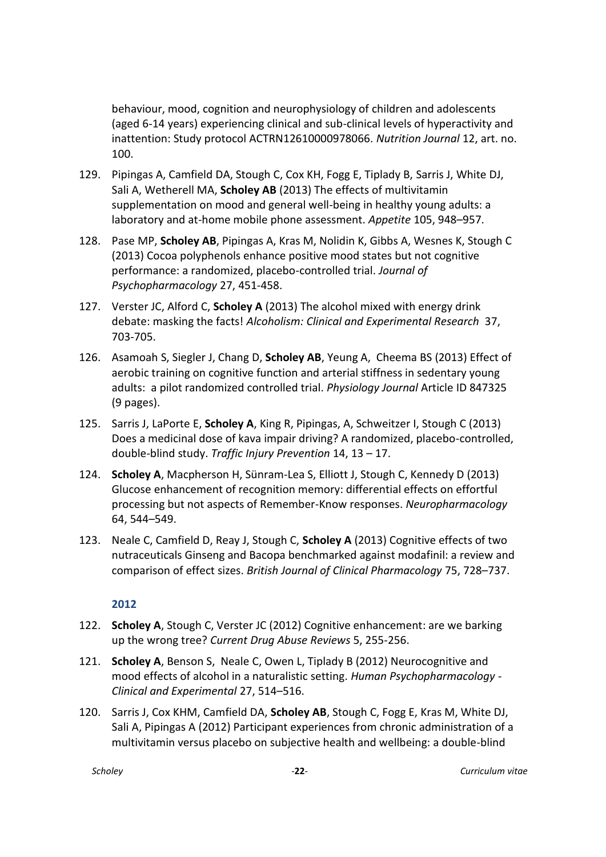behaviour, mood, cognition and neurophysiology of children and adolescents (aged 6-14 years) experiencing clinical and sub-clinical levels of hyperactivity and inattention: Study protocol ACTRN12610000978066. *Nutrition Journal* 12, art. no. 100.

- 129. Pipingas A, Camfield DA, Stough C, Cox KH, Fogg E, Tiplady B, Sarris J, White DJ, Sali A, Wetherell MA, **Scholey AB** (2013) The effects of multivitamin supplementation on mood and general well-being in healthy young adults: a laboratory and at-home mobile phone assessment. *Appetite* 105, 948–957.
- 128. Pase MP, **Scholey AB**, Pipingas A, Kras M, Nolidin K, Gibbs A, Wesnes K, Stough C (2013) Cocoa polyphenols enhance positive mood states but not cognitive performance: a randomized, placebo-controlled trial. *Journal of Psychopharmacology* 27, 451-458.
- 127. Verster JC, Alford C, **Scholey A** (2013) The alcohol mixed with energy drink debate: masking the facts! *Alcoholism: Clinical and Experimental Research* 37, 703-705.
- 126. Asamoah S, Siegler J, Chang D, **Scholey AB**, Yeung A, Cheema BS (2013) Effect of aerobic training on cognitive function and arterial stiffness in sedentary young adults: a pilot randomized controlled trial. *Physiology Journal* Article ID 847325 (9 pages).
- 125. Sarris J, LaPorte E, **Scholey A**, King R, Pipingas, A, Schweitzer I, Stough C (2013) Does a medicinal dose of kava impair driving? A randomized, placebo-controlled, double-blind study. *Traffic Injury Prevention* 14, 13 – 17.
- 124. **Scholey A**, Macpherson H, Sünram-Lea S, Elliott J, Stough C, Kennedy D (2013) Glucose enhancement of recognition memory: differential effects on effortful processing but not aspects of Remember-Know responses. *Neuropharmacology*  64, 544–549.
- 123. Neale C, Camfield D, Reay J, Stough C, **Scholey A** (2013) Cognitive effects of two nutraceuticals Ginseng and Bacopa benchmarked against modafinil: a review and comparison of effect sizes. *British Journal of Clinical Pharmacology* 75, 728–737.

- 122. **Scholey A**, Stough C, Verster JC (2012) Cognitive enhancement: are we barking up the wrong tree? *Current Drug Abuse Reviews* 5, 255-256.
- 121. **Scholey A**, Benson S, Neale C, Owen L, Tiplady B (2012) Neurocognitive and mood effects of alcohol in a naturalistic setting. *Human Psychopharmacology - Clinical and Experimental* 27, 514–516.
- 120. Sarris J, Cox KHM, Camfield DA, **Scholey AB**, Stough C, Fogg E, Kras M, White DJ, Sali A, Pipingas A (2012) Participant experiences from chronic administration of a multivitamin versus placebo on subjective health and wellbeing: a double-blind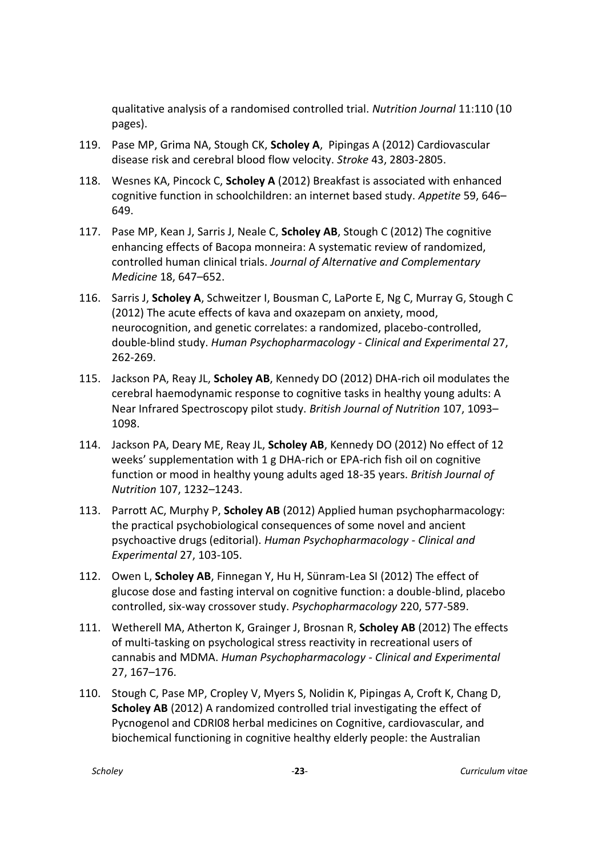qualitative analysis of a randomised controlled trial. *Nutrition Journal* 11:110 (10 pages).

- 119. Pase MP, Grima NA, Stough CK, **Scholey A**, Pipingas A (2012) Cardiovascular disease risk and cerebral blood flow velocity. *Stroke* 43, 2803-2805.
- 118. Wesnes KA, Pincock C, **Scholey A** (2012) Breakfast is associated with enhanced cognitive function in schoolchildren: an internet based study. *Appetite* 59, 646– 649.
- 117. Pase MP, Kean J, Sarris J, Neale C, **Scholey AB**, Stough C (2012) The cognitive enhancing effects of Bacopa monneira: A systematic review of randomized, controlled human clinical trials. *Journal of Alternative and Complementary Medicine* 18, 647–652.
- 116. Sarris J, **Scholey A**, Schweitzer I, Bousman C, LaPorte E, Ng C, Murray G, Stough C (2012) The acute effects of kava and oxazepam on anxiety, mood, neurocognition, and genetic correlates: a randomized, placebo-controlled, double-blind study. *Human Psychopharmacology - Clinical and Experimental* 27, 262-269.
- 115. Jackson PA, Reay JL, **Scholey AB**, Kennedy DO (2012) DHA-rich oil modulates the cerebral haemodynamic response to cognitive tasks in healthy young adults: A Near Infrared Spectroscopy pilot study. *British Journal of Nutrition* 107, 1093– 1098.
- 114. Jackson PA, Deary ME, Reay JL, **Scholey AB**, Kennedy DO (2012) No effect of 12 weeks' supplementation with 1 g DHA-rich or EPA-rich fish oil on cognitive function or mood in healthy young adults aged 18-35 years. *British Journal of Nutrition* 107, 1232–1243.
- 113. Parrott AC, Murphy P, **Scholey AB** (2012) Applied human psychopharmacology: the practical psychobiological consequences of some novel and ancient psychoactive drugs (editorial). *Human Psychopharmacology - Clinical and Experimental* 27, 103-105.
- 112. Owen L, **Scholey AB**, Finnegan Y, Hu H, Sünram-Lea SI (2012) The effect of glucose dose and fasting interval on cognitive function: a double-blind, placebo controlled, six-way crossover study. *Psychopharmacology* 220, 577-589.
- 111. Wetherell MA, Atherton K, Grainger J, Brosnan R, **Scholey AB** (2012) The effects of multi-tasking on psychological stress reactivity in recreational users of cannabis and MDMA. *Human Psychopharmacology - Clinical and Experimental*  27, 167–176.
- 110. Stough C, Pase MP, Cropley V, Myers S, Nolidin K, Pipingas A, Croft K, Chang D, **Scholey AB** (2012) A randomized controlled trial investigating the effect of Pycnogenol and CDRI08 herbal medicines on Cognitive, cardiovascular, and biochemical functioning in cognitive healthy elderly people: the Australian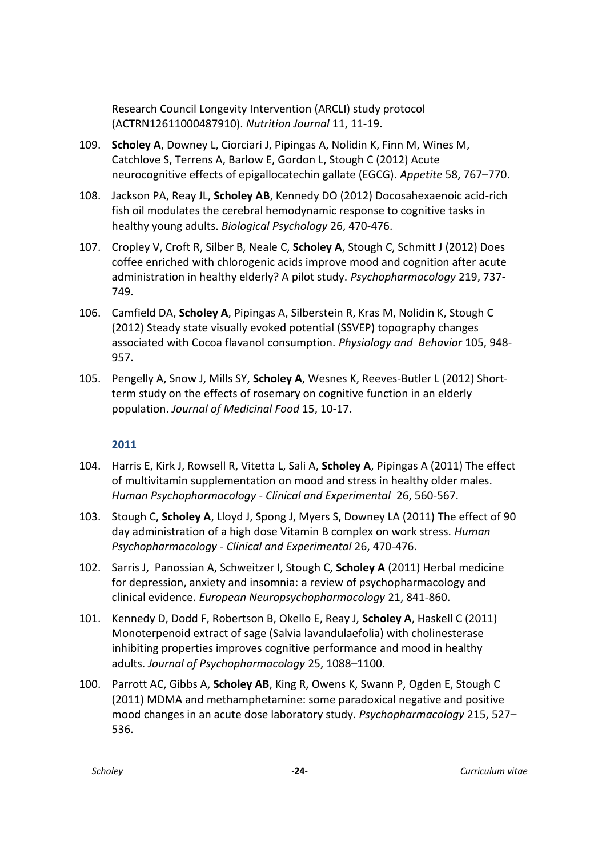Research Council Longevity Intervention (ARCLI) study protocol (ACTRN12611000487910). *Nutrition Journal* 11, 11-19.

- 109. **Scholey A**, Downey L, Ciorciari J, Pipingas A, Nolidin K, Finn M, Wines M, Catchlove S, Terrens A, Barlow E, Gordon L, Stough C (2012) Acute neurocognitive effects of epigallocatechin gallate (EGCG). *Appetite* 58, 767–770.
- 108. Jackson PA, Reay JL, **Scholey AB**, Kennedy DO (2012) Docosahexaenoic acid-rich fish oil modulates the cerebral hemodynamic response to cognitive tasks in healthy young adults. *Biological Psychology* 26, 470-476.
- 107. Cropley V, Croft R, Silber B, Neale C, **Scholey A**, Stough C, Schmitt J (2012) Does coffee enriched with chlorogenic acids improve mood and cognition after acute administration in healthy elderly? A pilot study. *Psychopharmacology* 219, 737- 749.
- 106. Camfield DA, **Scholey A**, Pipingas A, Silberstein R, Kras M, Nolidin K, Stough C (2012) Steady state visually evoked potential (SSVEP) topography changes associated with Cocoa flavanol consumption. *Physiology and Behavior* 105, 948- 957.
- 105. Pengelly A, Snow J, Mills SY, **Scholey A**, Wesnes K, Reeves-Butler L (2012) Shortterm study on the effects of rosemary on cognitive function in an elderly population. *Journal of Medicinal Food* 15, 10-17.

- 104. Harris E, Kirk J, Rowsell R, Vitetta L, Sali A, **Scholey A**, Pipingas A (2011) The effect of multivitamin supplementation on mood and stress in healthy older males. *Human Psychopharmacology - Clinical and Experimental* 26, 560-567.
- 103. Stough C, **Scholey A**, Lloyd J, Spong J, Myers S, Downey LA (2011) The effect of 90 day administration of a high dose Vitamin B complex on work stress. *Human Psychopharmacology - Clinical and Experimental* 26, 470-476.
- 102. Sarris J, Panossian A, Schweitzer I, Stough C, **Scholey A** (2011) Herbal medicine for depression, anxiety and insomnia: a review of psychopharmacology and clinical evidence. *European Neuropsychopharmacology* 21, 841-860.
- 101. Kennedy D, Dodd F, Robertson B, Okello E, Reay J, **Scholey A**, Haskell C (2011) Monoterpenoid extract of sage (Salvia lavandulaefolia) with cholinesterase inhibiting properties improves cognitive performance and mood in healthy adults. *Journal of Psychopharmacology* 25, 1088–1100.
- 100. Parrott AC, Gibbs A, **Scholey AB**, King R, Owens K, Swann P, Ogden E, Stough C (2011) MDMA and methamphetamine: some paradoxical negative and positive mood changes in an acute dose laboratory study. *Psychopharmacology* 215, 527– 536.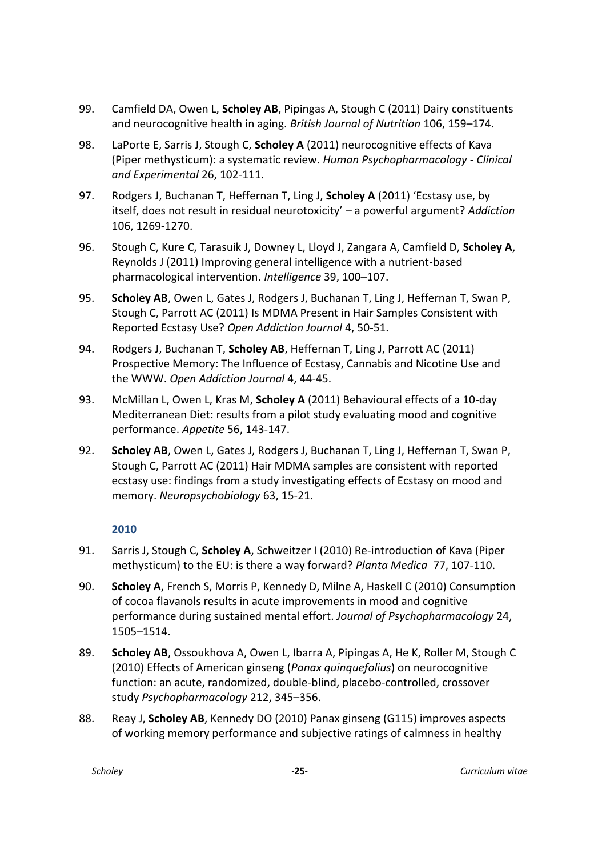- 99. Camfield DA, Owen L, **Scholey AB**, Pipingas A, Stough C (2011) Dairy constituents and neurocognitive health in aging. *British Journal of Nutrition* 106, 159–174.
- 98. LaPorte E, Sarris J, Stough C, **Scholey A** (2011) neurocognitive effects of Kava (Piper methysticum): a systematic review. *Human Psychopharmacology - Clinical and Experimental* 26, 102-111.
- 97. Rodgers J, Buchanan T, Heffernan T, Ling J, **Scholey A** (2011) 'Ecstasy use, by itself, does not result in residual neurotoxicity' – a powerful argument? *Addiction*  106, 1269-1270.
- 96. Stough C, Kure C, Tarasuik J, Downey L, Lloyd J, Zangara A, Camfield D, **Scholey A**, Reynolds J (2011) Improving general intelligence with a nutrient-based pharmacological intervention. *Intelligence* 39, 100–107.
- 95. **Scholey AB**, Owen L, Gates J, Rodgers J, Buchanan T, Ling J, Heffernan T, Swan P, Stough C, Parrott AC (2011) Is MDMA Present in Hair Samples Consistent with Reported Ecstasy Use? *Open Addiction Journal* 4, 50-51.
- 94. Rodgers J, Buchanan T, **Scholey AB**, Heffernan T, Ling J, Parrott AC (2011) Prospective Memory: The Influence of Ecstasy, Cannabis and Nicotine Use and the WWW. *Open Addiction Journal* 4, 44-45.
- 93. McMillan L, Owen L, Kras M, **Scholey A** (2011) Behavioural effects of a 10-day Mediterranean Diet: results from a pilot study evaluating mood and cognitive performance. *Appetite* 56, 143-147.
- 92. **Scholey AB**, Owen L, Gates J, Rodgers J, Buchanan T, Ling J, Heffernan T, Swan P, Stough C, Parrott AC (2011) Hair MDMA samples are consistent with reported ecstasy use: findings from a study investigating effects of Ecstasy on mood and memory. *Neuropsychobiology* 63, 15-21.

- 91. Sarris J, Stough C, **Scholey A**, Schweitzer I (2010) Re-introduction of Kava (Piper methysticum) to the EU: is there a way forward? *Planta Medica* 77, 107-110.
- 90. **Scholey A**, French S, Morris P, Kennedy D, Milne A, Haskell C (2010) Consumption of cocoa flavanols results in acute improvements in mood and cognitive performance during sustained mental effort. *Journal of Psychopharmacology* 24, 1505–1514.
- 89. **Scholey AB**, Ossoukhova A, Owen L, Ibarra A, Pipingas A, He K, Roller M, Stough C (2010) Effects of American ginseng (*Panax quinquefolius*) on neurocognitive function: an acute, randomized, double-blind, placebo-controlled, crossover study *Psychopharmacology* 212, 345–356.
- 88. Reay J, **Scholey AB**, Kennedy DO (2010) Panax ginseng (G115) improves aspects of working memory performance and subjective ratings of calmness in healthy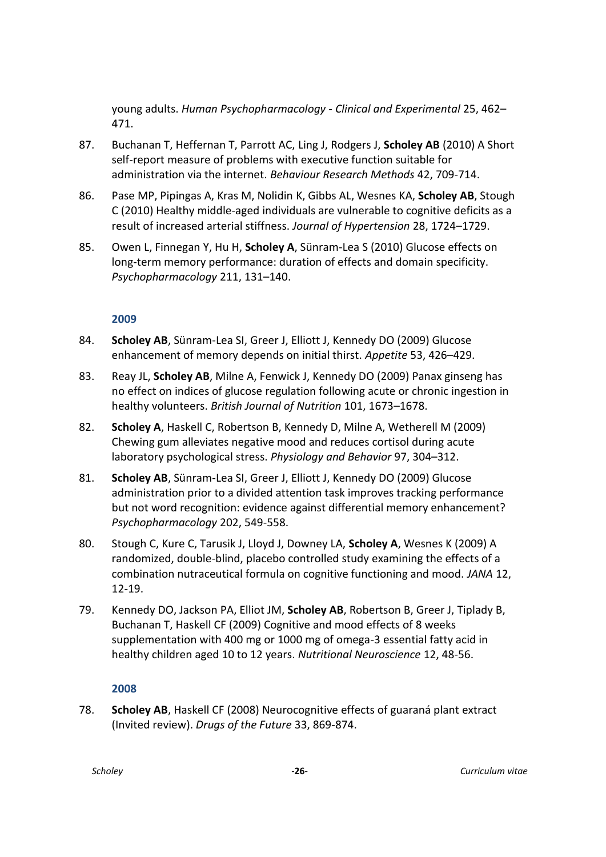young adults. *Human Psychopharmacology - Clinical and Experimental* 25, 462– 471.

- 87. Buchanan T, Heffernan T, Parrott AC, Ling J, Rodgers J, **Scholey AB** (2010) A Short self-report measure of problems with executive function suitable for administration via the internet. *Behaviour Research Methods* 42, 709-714.
- 86. Pase MP, Pipingas A, Kras M, Nolidin K, Gibbs AL, Wesnes KA, **Scholey AB**, Stough C (2010) Healthy middle-aged individuals are vulnerable to cognitive deficits as a result of increased arterial stiffness. *Journal of Hypertension* 28, 1724–1729.
- 85. Owen L, Finnegan Y, Hu H, **Scholey A**, Sünram-Lea S (2010) Glucose effects on long-term memory performance: duration of effects and domain specificity. *Psychopharmacology* 211, 131–140.

# **2009**

- 84. **Scholey AB**, Sünram-Lea SI, Greer J, Elliott J, Kennedy DO (2009) Glucose enhancement of memory depends on initial thirst. *Appetite* 53, 426–429.
- 83. Reay JL, **Scholey AB**, Milne A, Fenwick J, Kennedy DO (2009) Panax ginseng has no effect on indices of glucose regulation following acute or chronic ingestion in healthy volunteers. *British Journal of Nutrition* 101, 1673–1678.
- 82. **Scholey A**, Haskell C, Robertson B, Kennedy D, Milne A, Wetherell M (2009) Chewing gum alleviates negative mood and reduces cortisol during acute laboratory psychological stress. *Physiology and Behavior* 97, 304–312.
- 81. **Scholey AB**, Sünram-Lea SI, Greer J, Elliott J, Kennedy DO (2009) Glucose administration prior to a divided attention task improves tracking performance but not word recognition: evidence against differential memory enhancement? *Psychopharmacology* 202, 549-558.
- 80. Stough C, Kure C, Tarusik J, Lloyd J, Downey LA, **Scholey A**, Wesnes K (2009) A randomized, double-blind, placebo controlled study examining the effects of a combination nutraceutical formula on cognitive functioning and mood. *JANA* 12, 12-19.
- 79. Kennedy DO, Jackson PA, Elliot JM, **Scholey AB**, Robertson B, Greer J, Tiplady B, Buchanan T, Haskell CF (2009) Cognitive and mood effects of 8 weeks supplementation with 400 mg or 1000 mg of omega-3 essential fatty acid in healthy children aged 10 to 12 years. *Nutritional Neuroscience* 12, 48-56.

#### **2008**

78. **Scholey AB**, Haskell CF (2008) Neurocognitive effects of guaraná plant extract (Invited review). *Drugs of the Future* 33, 869-874.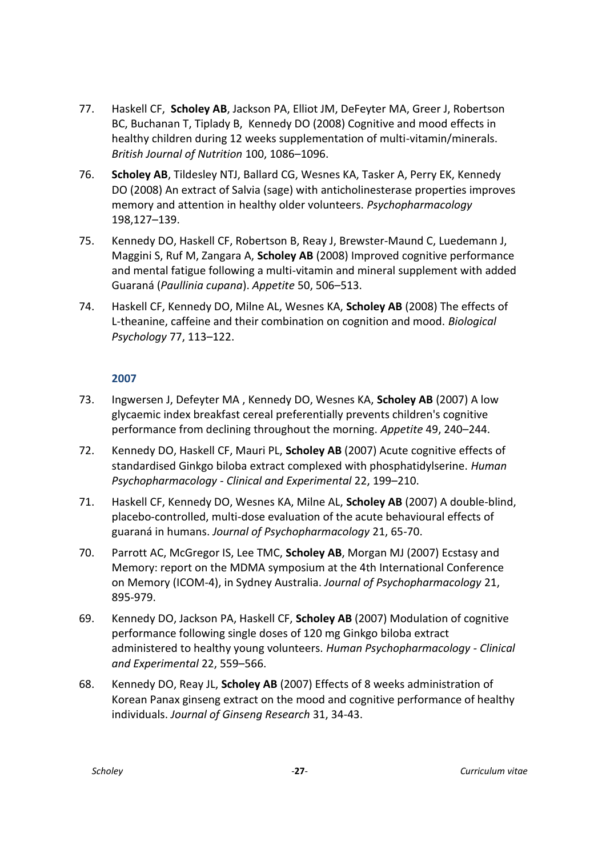- 77. Haskell CF, **Scholey AB**, Jackson PA, Elliot JM, DeFeyter MA, Greer J, Robertson BC, Buchanan T, Tiplady B, Kennedy DO (2008) Cognitive and mood effects in healthy children during 12 weeks supplementation of multi-vitamin/minerals. *British Journal of Nutrition* 100, 1086–1096.
- 76. **Scholey AB**, Tildesley NTJ, Ballard CG, Wesnes KA, Tasker A, Perry EK, Kennedy DO (2008) An extract of Salvia (sage) with anticholinesterase properties improves memory and attention in healthy older volunteers. *Psychopharmacology*  198,127–139.
- 75. Kennedy DO, Haskell CF, Robertson B, Reay J, Brewster-Maund C, Luedemann J, Maggini S, Ruf M, Zangara A, **Scholey AB** (2008) Improved cognitive performance and mental fatigue following a multi-vitamin and mineral supplement with added Guaraná (*Paullinia cupana*). *Appetite* 50, 506–513.
- 74. Haskell CF, Kennedy DO, Milne AL, Wesnes KA, **Scholey AB** (2008) The effects of L-theanine, caffeine and their combination on cognition and mood. *Biological Psychology* 77, 113–122.

- 73. Ingwersen J, Defeyter MA , Kennedy DO, Wesnes KA, **Scholey AB** (2007) A low glycaemic index breakfast cereal preferentially prevents children's cognitive performance from declining throughout the morning. *Appetite* 49, 240–244.
- 72. Kennedy DO, Haskell CF, Mauri PL, **Scholey AB** (2007) Acute cognitive effects of standardised Ginkgo biloba extract complexed with phosphatidylserine. *Human Psychopharmacology - Clinical and Experimental* 22, 199–210.
- 71. Haskell CF, Kennedy DO, Wesnes KA, Milne AL, **Scholey AB** (2007) A double-blind, placebo-controlled, multi-dose evaluation of the acute behavioural effects of guaraná in humans. *Journal of Psychopharmacology* 21, 65-70.
- 70. Parrott AC, McGregor IS, Lee TMC, **Scholey AB**, Morgan MJ (2007) Ecstasy and Memory: report on the MDMA symposium at the 4th International Conference on Memory (ICOM-4), in Sydney Australia. *Journal of Psychopharmacology* 21, 895-979.
- 69. Kennedy DO, Jackson PA, Haskell CF, **Scholey AB** (2007) Modulation of cognitive performance following single doses of 120 mg Ginkgo biloba extract administered to healthy young volunteers. *Human Psychopharmacology - Clinical and Experimental* 22, 559–566.
- 68. Kennedy DO, Reay JL, **Scholey AB** (2007) Effects of 8 weeks administration of Korean Panax ginseng extract on the mood and cognitive performance of healthy individuals. *Journal of Ginseng Research* 31, 34-43.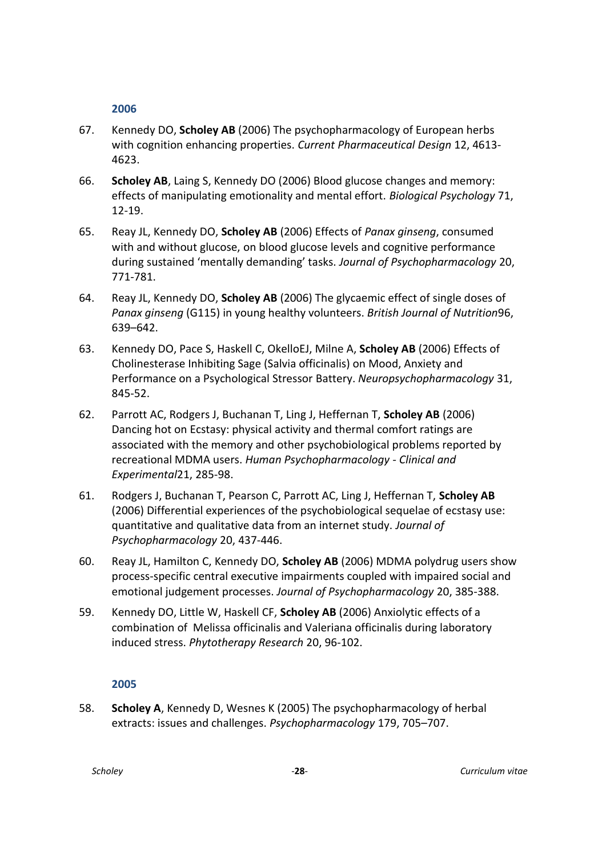- 67. Kennedy DO, **Scholey AB** (2006) The psychopharmacology of European herbs with cognition enhancing properties. *Current Pharmaceutical Design* 12, 4613- 4623.
- 66. **Scholey AB**, Laing S, Kennedy DO (2006) Blood glucose changes and memory: effects of manipulating emotionality and mental effort. *Biological Psychology* 71, 12-19.
- 65. Reay JL, Kennedy DO, **Scholey AB** (2006) Effects of *Panax ginseng*, consumed with and without glucose, on blood glucose levels and cognitive performance during sustained 'mentally demanding' tasks. *Journal of Psychopharmacology* 20, 771-781.
- 64. Reay JL, Kennedy DO, **Scholey AB** (2006) The glycaemic effect of single doses of *Panax ginseng* (G115) in young healthy volunteers. *British Journal of Nutrition*96, 639–642.
- 63. Kennedy DO, Pace S, Haskell C, OkelloEJ, Milne A, **Scholey AB** (2006) Effects of Cholinesterase Inhibiting Sage (Salvia officinalis) on Mood, Anxiety and Performance on a Psychological Stressor Battery. *Neuropsychopharmacology* 31, 845-52.
- 62. Parrott AC, Rodgers J, Buchanan T, Ling J, Heffernan T, **Scholey AB** (2006) Dancing hot on Ecstasy: physical activity and thermal comfort ratings are associated with the memory and other psychobiological problems reported by recreational MDMA users. *Human Psychopharmacology - Clinical and Experimental*21, 285-98.
- 61. Rodgers J, Buchanan T, Pearson C, Parrott AC, Ling J, Heffernan T, **Scholey AB** (2006) Differential experiences of the psychobiological sequelae of ecstasy use: quantitative and qualitative data from an internet study. *Journal of Psychopharmacology* 20, 437-446.
- 60. Reay JL, Hamilton C, Kennedy DO, **Scholey AB** (2006) MDMA polydrug users show process-specific central executive impairments coupled with impaired social and emotional judgement processes. *Journal of Psychopharmacology* 20, 385-388.
- 59. Kennedy DO, Little W, Haskell CF, **Scholey AB** (2006) Anxiolytic effects of a combination of Melissa officinalis and Valeriana officinalis during laboratory induced stress. *Phytotherapy Research* 20, 96-102.

#### **2005**

58. **Scholey A**, Kennedy D, Wesnes K (2005) The psychopharmacology of herbal extracts: issues and challenges. *Psychopharmacology* 179, 705–707.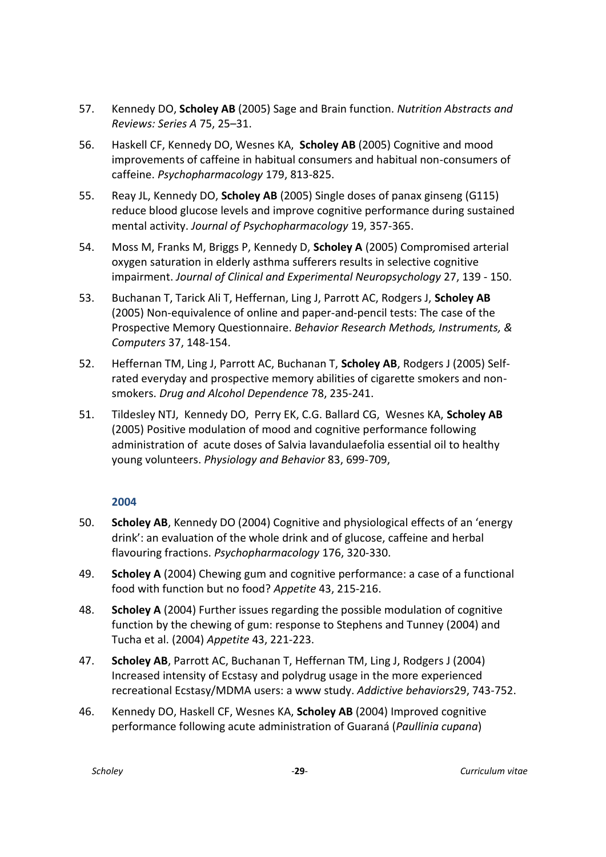- 57. Kennedy DO, **Scholey AB** (2005) Sage and Brain function. *Nutrition Abstracts and Reviews: Series A* 75, 25–31.
- 56. Haskell CF, Kennedy DO, Wesnes KA, **Scholey AB** (2005) Cognitive and mood improvements of caffeine in habitual consumers and habitual non-consumers of caffeine. *Psychopharmacology* 179, 813-825.
- 55. Reay JL, Kennedy DO, **Scholey AB** (2005) Single doses of panax ginseng (G115) reduce blood glucose levels and improve cognitive performance during sustained mental activity. *Journal of Psychopharmacology* 19, 357-365.
- 54. Moss M, Franks M, Briggs P, Kennedy D, **Scholey A** (2005) Compromised arterial oxygen saturation in elderly asthma sufferers results in selective cognitive impairment. *Journal of Clinical and Experimental Neuropsychology* 27, 139 - 150.
- 53. Buchanan T, Tarick Ali T, Heffernan, Ling J, Parrott AC, Rodgers J, **Scholey AB** (2005) Non-equivalence of online and paper-and-pencil tests: The case of the Prospective Memory Questionnaire. *Behavior Research Methods, Instruments, & Computers* 37, 148-154.
- 52. Heffernan TM, Ling J, Parrott AC, Buchanan T, **Scholey AB**, Rodgers J (2005) Selfrated everyday and prospective memory abilities of cigarette smokers and nonsmokers. *Drug and Alcohol Dependence* 78, 235-241.
- 51. Tildesley NTJ, Kennedy DO, Perry EK, C.G. Ballard CG, Wesnes KA, **Scholey AB** (2005) Positive modulation of mood and cognitive performance following administration of acute doses of Salvia lavandulaefolia essential oil to healthy young volunteers. *Physiology and Behavior* 83, 699-709,

- 50. **Scholey AB**, Kennedy DO (2004) Cognitive and physiological effects of an 'energy drink': an evaluation of the whole drink and of glucose, caffeine and herbal flavouring fractions. *Psychopharmacology* 176, 320-330.
- 49. **Scholey A** (2004) Chewing gum and cognitive performance: a case of a functional food with function but no food? *Appetite* 43, 215-216.
- 48. **Scholey A** (2004) Further issues regarding the possible modulation of cognitive function by the chewing of gum: response to Stephens and Tunney (2004) and Tucha et al. (2004) *Appetite* 43, 221-223.
- 47. **Scholey AB**, Parrott AC, Buchanan T, Heffernan TM, Ling J, Rodgers J (2004) Increased intensity of Ecstasy and polydrug usage in the more experienced recreational Ecstasy/MDMA users: a www study. *Addictive behaviors*29, 743-752.
- 46. Kennedy DO, Haskell CF, Wesnes KA, **Scholey AB** (2004) Improved cognitive performance following acute administration of Guaraná (*Paullinia cupana*)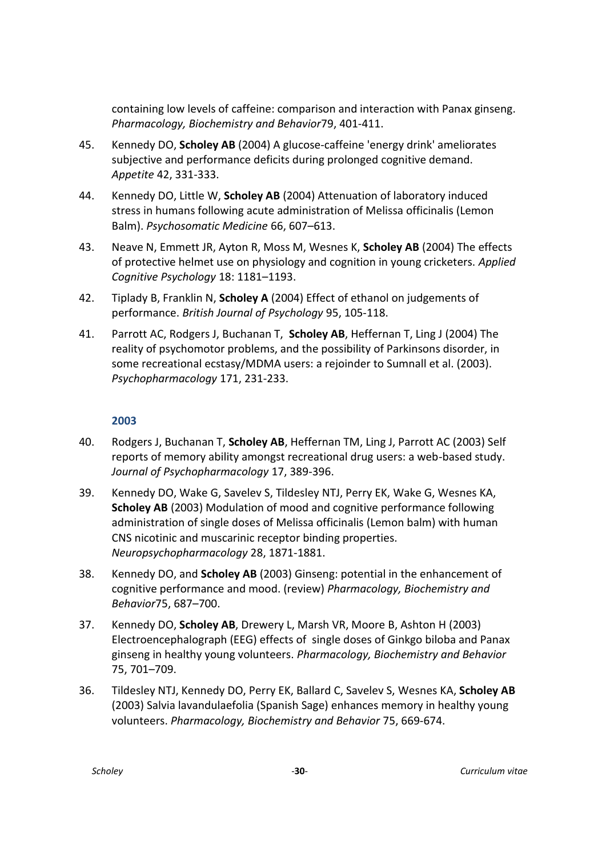containing low levels of caffeine: comparison and interaction with Panax ginseng. *Pharmacology, Biochemistry and Behavior*79, 401-411.

- 45. Kennedy DO, **Scholey AB** (2004) A glucose-caffeine 'energy drink' ameliorates subjective and performance deficits during prolonged cognitive demand. *Appetite* 42, 331-333.
- 44. Kennedy DO, Little W, **Scholey AB** (2004) Attenuation of laboratory induced stress in humans following acute administration of Melissa officinalis (Lemon Balm). *Psychosomatic Medicine* 66, 607–613.
- 43. Neave N, Emmett JR, Ayton R, Moss M, Wesnes K, **Scholey AB** (2004) The effects of protective helmet use on physiology and cognition in young cricketers. *Applied Cognitive Psychology* 18: 1181–1193.
- 42. Tiplady B, Franklin N, **Scholey A** (2004) Effect of ethanol on judgements of performance. *British Journal of Psychology* 95, 105-118.
- 41. Parrott AC, Rodgers J, Buchanan T, **Scholey AB**, Heffernan T, Ling J (2004) The reality of psychomotor problems, and the possibility of Parkinsons disorder, in some recreational ecstasy/MDMA users: a rejoinder to Sumnall et al. (2003). *Psychopharmacology* 171, 231-233.

- 40. Rodgers J, Buchanan T, **Scholey AB**, Heffernan TM, Ling J, Parrott AC (2003) Self reports of memory ability amongst recreational drug users: a web-based study. *Journal of Psychopharmacology* 17, 389-396.
- 39. Kennedy DO, Wake G, Savelev S, Tildesley NTJ, Perry EK, Wake G, Wesnes KA, **Scholey AB** (2003) Modulation of mood and cognitive performance following administration of single doses of Melissa officinalis (Lemon balm) with human CNS nicotinic and muscarinic receptor binding properties. *Neuropsychopharmacology* 28, 1871-1881.
- 38. Kennedy DO, and **Scholey AB** (2003) Ginseng: potential in the enhancement of cognitive performance and mood. (review) *Pharmacology, Biochemistry and Behavior*75, 687–700.
- 37. Kennedy DO, **Scholey AB**, Drewery L, Marsh VR, Moore B, Ashton H (2003) Electroencephalograph (EEG) effects of single doses of Ginkgo biloba and Panax ginseng in healthy young volunteers. *Pharmacology, Biochemistry and Behavior*  75, 701–709.
- 36. Tildesley NTJ, Kennedy DO, Perry EK, Ballard C, Savelev S, Wesnes KA, **Scholey AB** (2003) Salvia lavandulaefolia (Spanish Sage) enhances memory in healthy young volunteers. *Pharmacology, Biochemistry and Behavior* 75, 669-674.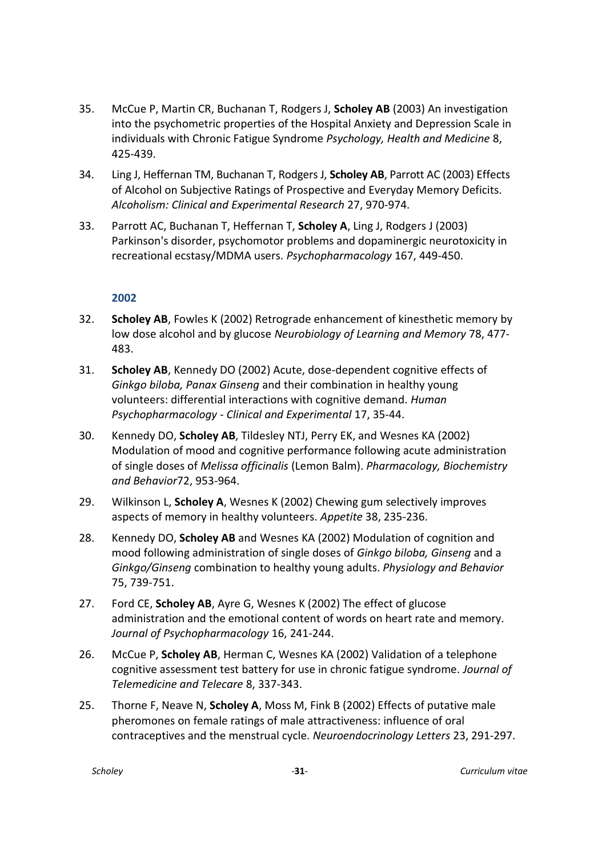- 35. McCue P, Martin CR, Buchanan T, Rodgers J, **Scholey AB** (2003) An investigation into the psychometric properties of the Hospital Anxiety and Depression Scale in individuals with Chronic Fatigue Syndrome *Psychology, Health and Medicine* 8, 425-439.
- 34. Ling J, Heffernan TM, Buchanan T, Rodgers J, **Scholey AB**, Parrott AC (2003) Effects of Alcohol on Subjective Ratings of Prospective and Everyday Memory Deficits. *Alcoholism: Clinical and Experimental Research* 27, 970-974.
- 33. Parrott AC, Buchanan T, Heffernan T, **Scholey A**, Ling J, Rodgers J (2003) Parkinson's disorder, psychomotor problems and dopaminergic neurotoxicity in recreational ecstasy/MDMA users. *Psychopharmacology* 167, 449-450.

- 32. **Scholey AB**, Fowles K (2002) Retrograde enhancement of kinesthetic memory by low dose alcohol and by glucose *Neurobiology of Learning and Memory* 78, 477- 483.
- 31. **Scholey AB**, Kennedy DO (2002) Acute, dose-dependent cognitive effects of *Ginkgo biloba, Panax Ginseng* and their combination in healthy young volunteers: differential interactions with cognitive demand. *Human Psychopharmacology - Clinical and Experimental* 17, 35-44.
- 30. Kennedy DO, **Scholey AB**, Tildesley NTJ, Perry EK, and Wesnes KA (2002) Modulation of mood and cognitive performance following acute administration of single doses of *Melissa officinalis* (Lemon Balm). *Pharmacology, Biochemistry and Behavior*72, 953-964.
- 29. Wilkinson L, **Scholey A**, Wesnes K (2002) Chewing gum selectively improves aspects of memory in healthy volunteers. *Appetite* 38, 235-236.
- 28. Kennedy DO, **Scholey AB** and Wesnes KA (2002) Modulation of cognition and mood following administration of single doses of *Ginkgo biloba, Ginseng* and a *Ginkgo/Ginseng* combination to healthy young adults. *Physiology and Behavior*  75, 739-751.
- 27. Ford CE, **Scholey AB**, Ayre G, Wesnes K (2002) The effect of glucose administration and the emotional content of words on heart rate and memory. *Journal of Psychopharmacology* 16, 241-244.
- 26. McCue P, **Scholey AB**, Herman C, Wesnes KA (2002) Validation of a telephone cognitive assessment test battery for use in chronic fatigue syndrome. *Journal of Telemedicine and Telecare* 8, 337-343.
- 25. Thorne F, Neave N, **Scholey A**, Moss M, Fink B (2002) Effects of putative male pheromones on female ratings of male attractiveness: influence of oral contraceptives and the menstrual cycle. *Neuroendocrinology Letters* 23, 291-297.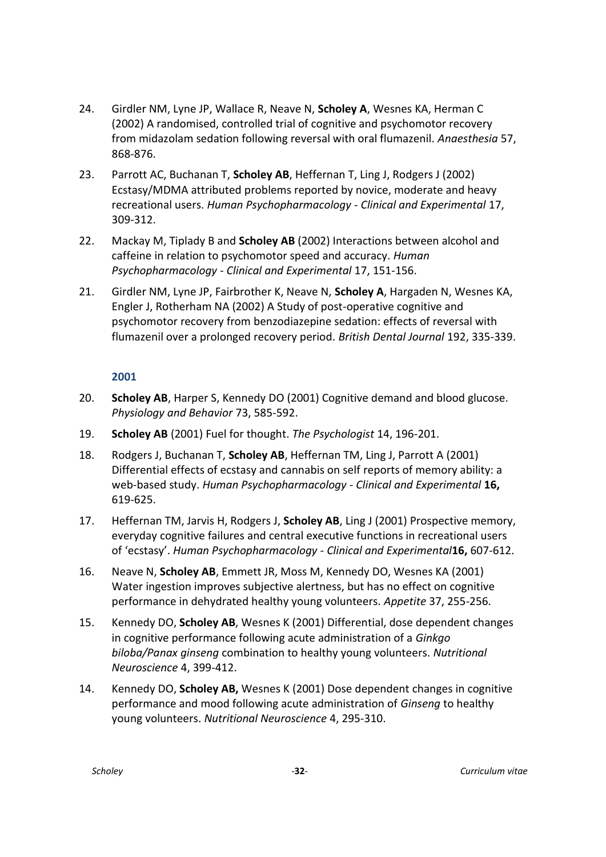- 24. Girdler NM, Lyne JP, Wallace R, Neave N, **Scholey A**, Wesnes KA, Herman C (2002) A randomised, controlled trial of cognitive and psychomotor recovery from midazolam sedation following reversal with oral flumazenil. *Anaesthesia* 57, 868-876.
- 23. Parrott AC, Buchanan T, **Scholey AB**, Heffernan T, Ling J, Rodgers J (2002) Ecstasy/MDMA attributed problems reported by novice, moderate and heavy recreational users. *Human Psychopharmacology - Clinical and Experimental* 17, 309-312.
- 22. Mackay M, Tiplady B and **Scholey AB** (2002) Interactions between alcohol and caffeine in relation to psychomotor speed and accuracy. *Human Psychopharmacology - Clinical and Experimental* 17, 151-156.
- 21. Girdler NM, Lyne JP, Fairbrother K, Neave N, **Scholey A**, Hargaden N, Wesnes KA, Engler J, Rotherham NA (2002) A Study of post-operative cognitive and psychomotor recovery from benzodiazepine sedation: effects of reversal with flumazenil over a prolonged recovery period. *British Dental Journal* 192, 335-339.

- 20. **Scholey AB**, Harper S, Kennedy DO (2001) Cognitive demand and blood glucose. *Physiology and Behavior* 73, 585-592.
- 19. **Scholey AB** (2001) Fuel for thought. *The Psychologist* 14, 196-201.
- 18. Rodgers J, Buchanan T, **Scholey AB**, Heffernan TM, Ling J, Parrott A (2001) Differential effects of ecstasy and cannabis on self reports of memory ability: a web-based study. *Human Psychopharmacology - Clinical and Experimental* **16,** 619-625.
- 17. Heffernan TM, Jarvis H, Rodgers J, **Scholey AB**, Ling J (2001) Prospective memory, everyday cognitive failures and central executive functions in recreational users of 'ecstasy'. *Human Psychopharmacology - Clinical and Experimental***16,** 607-612.
- 16. Neave N, **Scholey AB**, Emmett JR, Moss M, Kennedy DO, Wesnes KA (2001) Water ingestion improves subjective alertness, but has no effect on cognitive performance in dehydrated healthy young volunteers. *Appetite* 37, 255-256.
- 15. Kennedy DO, **Scholey AB**, Wesnes K (2001) Differential, dose dependent changes in cognitive performance following acute administration of a *Ginkgo biloba/Panax ginseng* combination to healthy young volunteers. *Nutritional Neuroscience* 4, 399-412.
- 14. Kennedy DO, **Scholey AB,** Wesnes K (2001) Dose dependent changes in cognitive performance and mood following acute administration of *Ginseng* to healthy young volunteers. *Nutritional Neuroscience* 4, 295-310.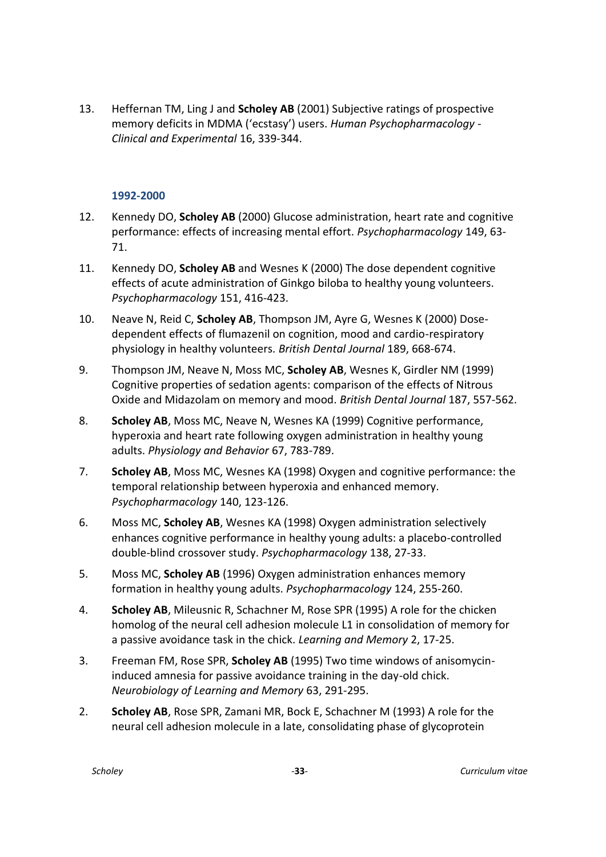13. Heffernan TM, Ling J and **Scholey AB** (2001) Subjective ratings of prospective memory deficits in MDMA ('ecstasy') users. *Human Psychopharmacology - Clinical and Experimental* 16, 339-344.

#### **1992-2000**

- 12. Kennedy DO, **Scholey AB** (2000) Glucose administration, heart rate and cognitive performance: effects of increasing mental effort. *Psychopharmacology* 149, 63- 71.
- 11. Kennedy DO, **Scholey AB** and Wesnes K (2000) The dose dependent cognitive effects of acute administration of Ginkgo biloba to healthy young volunteers. *Psychopharmacology* 151, 416-423.
- 10. Neave N, Reid C, **Scholey AB**, Thompson JM, Ayre G, Wesnes K (2000) Dosedependent effects of flumazenil on cognition, mood and cardio-respiratory physiology in healthy volunteers. *British Dental Journal* 189, 668-674.
- 9. Thompson JM, Neave N, Moss MC, **Scholey AB**, Wesnes K, Girdler NM (1999) Cognitive properties of sedation agents: comparison of the effects of Nitrous Oxide and Midazolam on memory and mood. *British Dental Journal* 187, 557-562.
- 8. **Scholey AB**, Moss MC, Neave N, Wesnes KA (1999) Cognitive performance, hyperoxia and heart rate following oxygen administration in healthy young adults. *Physiology and Behavior* 67, 783-789.
- 7. **Scholey AB**, Moss MC, Wesnes KA (1998) Oxygen and cognitive performance: the temporal relationship between hyperoxia and enhanced memory. *Psychopharmacology* 140, 123-126.
- 6. Moss MC, **Scholey AB**, Wesnes KA (1998) Oxygen administration selectively enhances cognitive performance in healthy young adults: a placebo-controlled double-blind crossover study. *Psychopharmacology* 138, 27-33.
- 5. Moss MC, **Scholey AB** (1996) Oxygen administration enhances memory formation in healthy young adults. *Psychopharmacology* 124, 255-260.
- 4. **Scholey AB**, Mileusnic R, Schachner M, Rose SPR (1995) A role for the chicken homolog of the neural cell adhesion molecule L1 in consolidation of memory for a passive avoidance task in the chick. *Learning and Memory* 2, 17-25.
- 3. Freeman FM, Rose SPR, **Scholey AB** (1995) Two time windows of anisomycininduced amnesia for passive avoidance training in the day-old chick. *Neurobiology of Learning and Memory* 63, 291-295.
- 2. **Scholey AB**, Rose SPR, Zamani MR, Bock E, Schachner M (1993) A role for the neural cell adhesion molecule in a late, consolidating phase of glycoprotein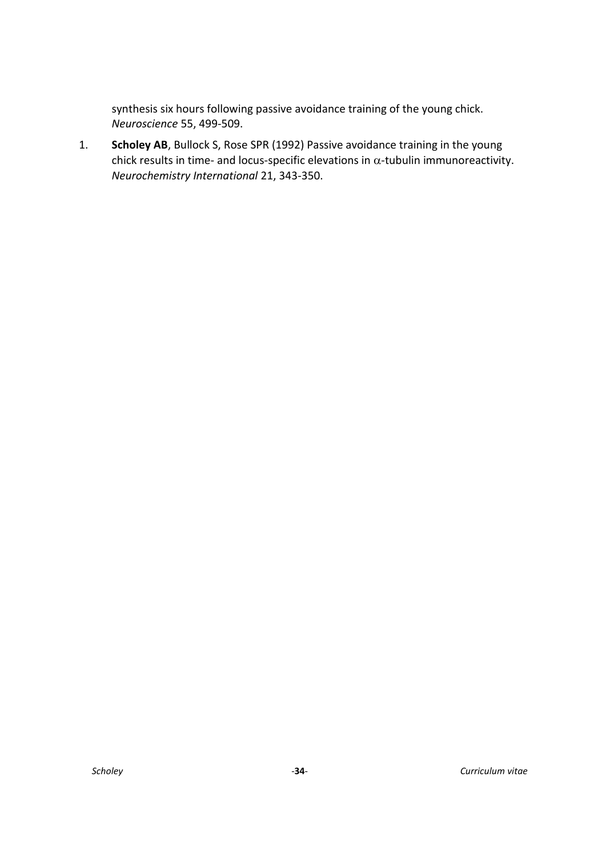synthesis six hours following passive avoidance training of the young chick. *Neuroscience* 55, 499-509.

1. **Scholey AB**, Bullock S, Rose SPR (1992) Passive avoidance training in the young chick results in time- and locus-specific elevations in  $\alpha$ -tubulin immunoreactivity. *Neurochemistry International* 21, 343-350.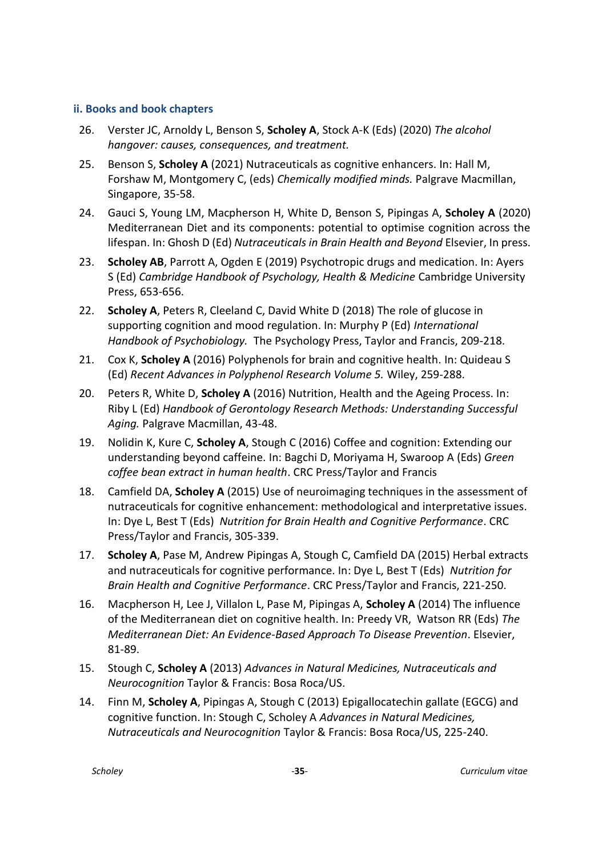#### <span id="page-34-0"></span>**ii. Books and book chapters**

- 26. Verster JC, Arnoldy L, Benson S, **Scholey A**, Stock A-K (Eds) (2020) *The alcohol hangover: causes, consequences, and treatment.*
- 25. Benson S, **Scholey A** (2021) Nutraceuticals as cognitive enhancers. In: Hall M, Forshaw M, Montgomery C, (eds) *Chemically modified minds.* Palgrave Macmillan, Singapore, 35-58.
- 24. Gauci S, Young LM, Macpherson H, White D, Benson S, Pipingas A, **Scholey A** (2020) Mediterranean Diet and its components: potential to optimise cognition across the lifespan. In: Ghosh D (Ed) *Nutraceuticals in Brain Health and Beyond* Elsevier, In press.
- 23. **Scholey AB**, Parrott A, Ogden E (2019) Psychotropic drugs and medication. In: Ayers S (Ed) *Cambridge Handbook of Psychology, Health & Medicine* Cambridge University Press, 653-656.
- 22. **Scholey A**, Peters R, Cleeland C, David White D (2018) The role of glucose in supporting cognition and mood regulation. In: Murphy P (Ed) *International Handbook of Psychobiology.* The Psychology Press, Taylor and Francis, 209-218.
- 21. Cox K, **Scholey A** (2016) Polyphenols for brain and cognitive health. In: Quideau S (Ed) *Recent Advances in Polyphenol Research Volume 5.* Wiley, 259-288.
- 20. Peters R, White D, **Scholey A** (2016) Nutrition, Health and the Ageing Process. In: Riby L (Ed) *Handbook of Gerontology Research Methods: Understanding Successful Aging.* Palgrave Macmillan, 43-48.
- 19. Nolidin K, Kure C, **Scholey A**, Stough C (2016) Coffee and cognition: Extending our understanding beyond caffeine. In: Bagchi D, Moriyama H, Swaroop A (Eds) *Green coffee bean extract in human health*. CRC Press/Taylor and Francis
- 18. Camfield DA, **Scholey A** (2015) Use of neuroimaging techniques in the assessment of nutraceuticals for cognitive enhancement: methodological and interpretative issues. In: Dye L, Best T (Eds) *Nutrition for Brain Health and Cognitive Performance*. CRC Press/Taylor and Francis, 305-339.
- 17. **Scholey A**, Pase M, Andrew Pipingas A, Stough C, Camfield DA (2015) Herbal extracts and nutraceuticals for cognitive performance. In: Dye L, Best T (Eds) *Nutrition for Brain Health and Cognitive Performance*. CRC Press/Taylor and Francis, 221-250.
- 16. Macpherson H, Lee J, Villalon L, Pase M, Pipingas A, **Scholey A** (2014) The influence of the Mediterranean diet on cognitive health. In: Preedy VR, Watson RR (Eds) *The Mediterranean Diet: An Evidence-Based Approach To Disease Prevention*. Elsevier, 81-89.
- 15. Stough C, **Scholey A** (2013) *Advances in Natural Medicines, Nutraceuticals and Neurocognition* Taylor & Francis: Bosa Roca/US.
- 14. Finn M, **Scholey A**, Pipingas A, Stough C (2013) Epigallocatechin gallate (EGCG) and cognitive function. In: Stough C, Scholey A *Advances in Natural Medicines, Nutraceuticals and Neurocognition* Taylor & Francis: Bosa Roca/US, 225-240.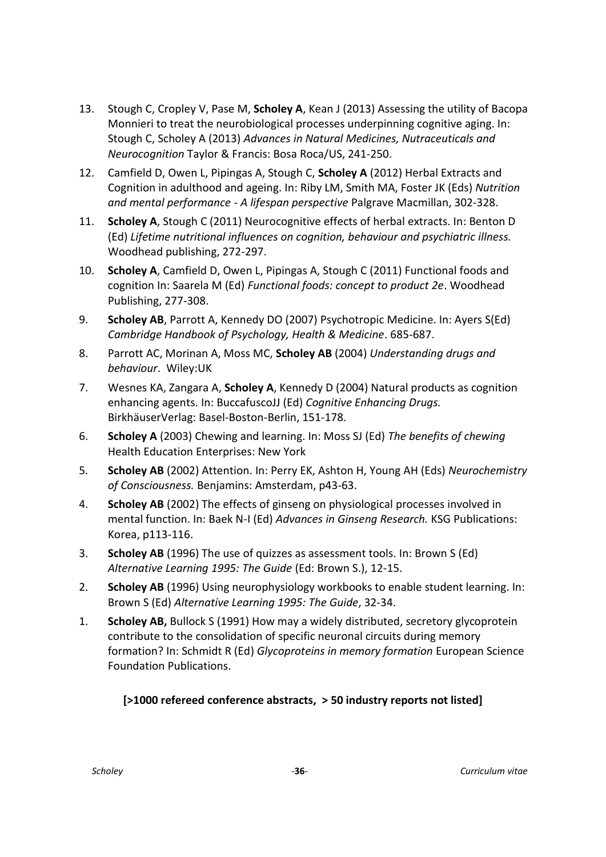- 13. Stough C, Cropley V, Pase M, **Scholey A**, Kean J (2013) Assessing the utility of Bacopa Monnieri to treat the neurobiological processes underpinning cognitive aging. In: Stough C, Scholey A (2013) *Advances in Natural Medicines, Nutraceuticals and Neurocognition* Taylor & Francis: Bosa Roca/US, 241-250.
- 12. Camfield D, Owen L, Pipingas A, Stough C, **Scholey A** (2012) Herbal Extracts and Cognition in adulthood and ageing. In: Riby LM, Smith MA, Foster JK (Eds) *Nutrition and mental performance - A lifespan perspective* Palgrave Macmillan, 302-328.
- 11. **Scholey A**, Stough C (2011) Neurocognitive effects of herbal extracts. In: Benton D (Ed) *Lifetime nutritional influences on cognition, behaviour and psychiatric illness.*  Woodhead publishing, 272-297.
- 10. **Scholey A**, Camfield D, Owen L, Pipingas A, Stough C (2011) Functional foods and cognition In: Saarela M (Ed) *Functional foods: concept to product 2e*. Woodhead Publishing, 277-308.
- 9. **Scholey AB**, Parrott A, Kennedy DO (2007) Psychotropic Medicine. In: Ayers S(Ed) *Cambridge Handbook of Psychology, Health & Medicine*. 685-687.
- 8. Parrott AC, Morinan A, Moss MC, **Scholey AB** (2004) *Understanding drugs and behaviour*. Wiley:UK
- 7. Wesnes KA, Zangara A, **Scholey A**, Kennedy D (2004) Natural products as cognition enhancing agents. In: BuccafuscoJJ (Ed) *Cognitive Enhancing Drugs.*  BirkhäuserVerlag: Basel-Boston-Berlin, 151-178.
- 6. **Scholey A** (2003) Chewing and learning. In: Moss SJ (Ed) *The benefits of chewing*  Health Education Enterprises: New York
- 5. **Scholey AB** (2002) Attention. In: Perry EK, Ashton H, Young AH (Eds) *Neurochemistry of Consciousness.* Benjamins: Amsterdam, p43-63.
- 4. **Scholey AB** (2002) The effects of ginseng on physiological processes involved in mental function. In: Baek N-I (Ed) *Advances in Ginseng Research.* KSG Publications: Korea, p113-116.
- 3. **Scholey AB** (1996) The use of quizzes as assessment tools. In: Brown S (Ed) *Alternative Learning 1995: The Guide* (Ed: Brown S.), 12-15.
- 2. **Scholey AB** (1996) Using neurophysiology workbooks to enable student learning. In: Brown S (Ed) *Alternative Learning 1995: The Guide*, 32-34.
- 1. **Scholey AB,** Bullock S (1991) How may a widely distributed, secretory glycoprotein contribute to the consolidation of specific neuronal circuits during memory formation? In: Schmidt R (Ed) *Glycoproteins in memory formation* European Science Foundation Publications.

# **[>1000 refereed conference abstracts, > 50 industry reports not listed]**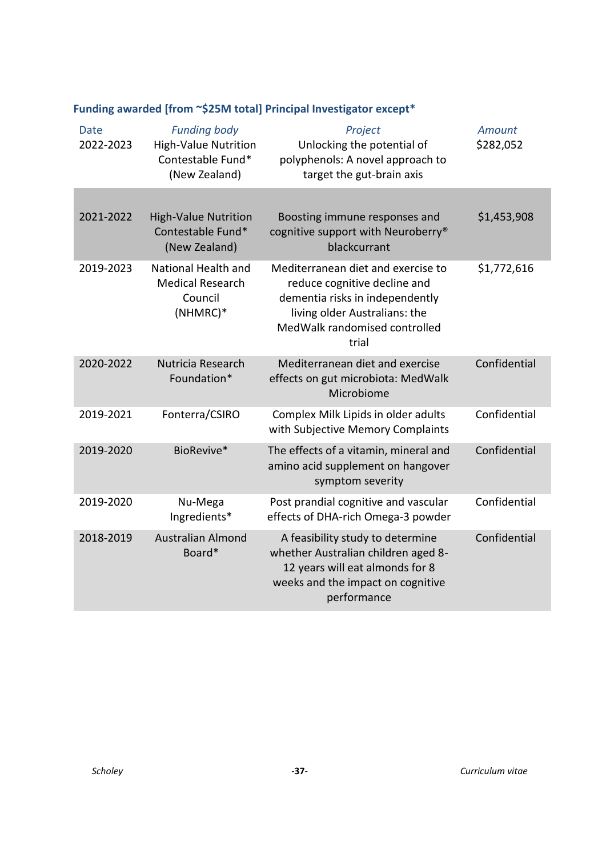| Date<br>2022-2023 | <b>Funding body</b><br><b>High-Value Nutrition</b><br>Contestable Fund*<br>(New Zealand) | Project<br>Unlocking the potential of<br>polyphenols: A novel approach to<br>target the gut-brain axis                                                                           | Amount<br>\$282,052 |
|-------------------|------------------------------------------------------------------------------------------|----------------------------------------------------------------------------------------------------------------------------------------------------------------------------------|---------------------|
| 2021-2022         | <b>High-Value Nutrition</b><br>Contestable Fund*<br>(New Zealand)                        | Boosting immune responses and<br>cognitive support with Neuroberry®<br>blackcurrant                                                                                              | \$1,453,908         |
| 2019-2023         | National Health and<br><b>Medical Research</b><br>Council<br>(NHMRC)*                    | Mediterranean diet and exercise to<br>reduce cognitive decline and<br>dementia risks in independently<br>living older Australians: the<br>MedWalk randomised controlled<br>trial | \$1,772,616         |
| 2020-2022         | Nutricia Research<br>Foundation*                                                         | Mediterranean diet and exercise<br>effects on gut microbiota: MedWalk<br>Microbiome                                                                                              | Confidential        |
| 2019-2021         | Fonterra/CSIRO                                                                           | Complex Milk Lipids in older adults<br>with Subjective Memory Complaints                                                                                                         | Confidential        |
| 2019-2020         | BioRevive*                                                                               | The effects of a vitamin, mineral and<br>amino acid supplement on hangover<br>symptom severity                                                                                   | Confidential        |
| 2019-2020         | Nu-Mega<br>Ingredients*                                                                  | Post prandial cognitive and vascular<br>effects of DHA-rich Omega-3 powder                                                                                                       | Confidential        |
| 2018-2019         | <b>Australian Almond</b><br>Board*                                                       | A feasibility study to determine<br>whether Australian children aged 8-<br>12 years will eat almonds for 8<br>weeks and the impact on cognitive<br>performance                   | Confidential        |

# <span id="page-36-0"></span>**Funding awarded [from ~\$25M total] Principal Investigator except\***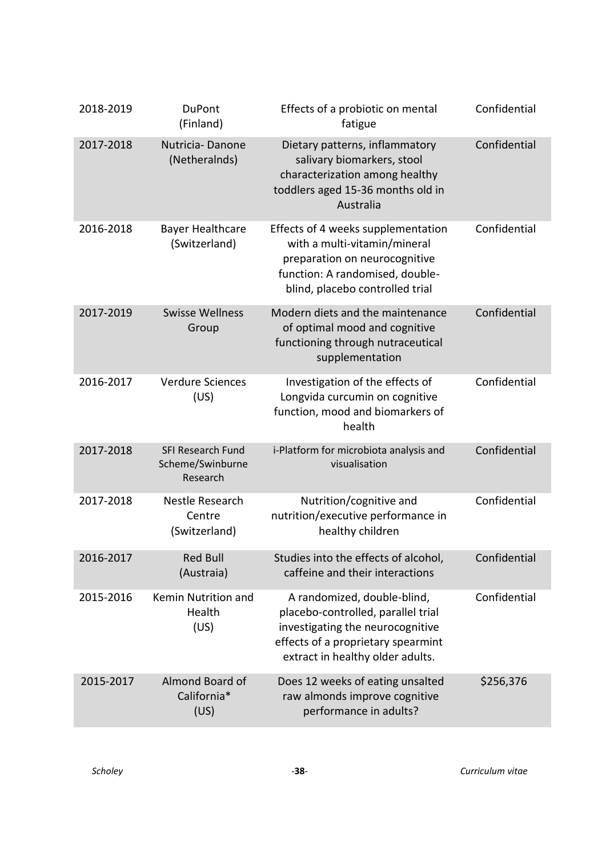| 2018-2019 | <b>DuPont</b><br>(Finland)                               | Effects of a probiotic on mental<br>fatigue                                                                                                                                     | Confidential |
|-----------|----------------------------------------------------------|---------------------------------------------------------------------------------------------------------------------------------------------------------------------------------|--------------|
| 2017-2018 | Nutricia-Danone<br>(Netheralnds)                         | Dietary patterns, inflammatory<br>salivary biomarkers, stool<br>characterization among healthy<br>toddlers aged 15-36 months old in<br>Australia                                | Confidential |
| 2016-2018 | <b>Bayer Healthcare</b><br>(Switzerland)                 | Effects of 4 weeks supplementation<br>with a multi-vitamin/mineral<br>preparation on neurocognitive<br>function: A randomised, double-<br>blind, placebo controlled trial       | Confidential |
| 2017-2019 | <b>Swisse Wellness</b><br>Group                          | Modern diets and the maintenance<br>of optimal mood and cognitive<br>functioning through nutraceutical<br>supplementation                                                       | Confidential |
| 2016-2017 | <b>Verdure Sciences</b><br>(US)                          | Investigation of the effects of<br>Longvida curcumin on cognitive<br>function, mood and biomarkers of<br>health                                                                 | Confidential |
| 2017-2018 | <b>SFI Research Fund</b><br>Scheme/Swinburne<br>Research | i-Platform for microbiota analysis and<br>visualisation                                                                                                                         | Confidential |
| 2017-2018 | Nestle Research<br>Centre<br>(Switzerland)               | Nutrition/cognitive and<br>nutrition/executive performance in<br>healthy children                                                                                               | Confidential |
| 2016-2017 | <b>Red Bull</b><br>(Austraia)                            | Studies into the effects of alcohol,<br>caffeine and their interactions                                                                                                         | Confidential |
| 2015-2016 | Kemin Nutrition and<br>Health<br>(US)                    | A randomized, double-blind,<br>placebo-controlled, parallel trial<br>investigating the neurocognitive<br>effects of a proprietary spearmint<br>extract in healthy older adults. | Confidential |
| 2015-2017 | Almond Board of<br>California*<br>(US)                   | Does 12 weeks of eating unsalted<br>raw almonds improve cognitive<br>performance in adults?                                                                                     | \$256,376    |

*Scholey* -**38**- *Curriculum vitae*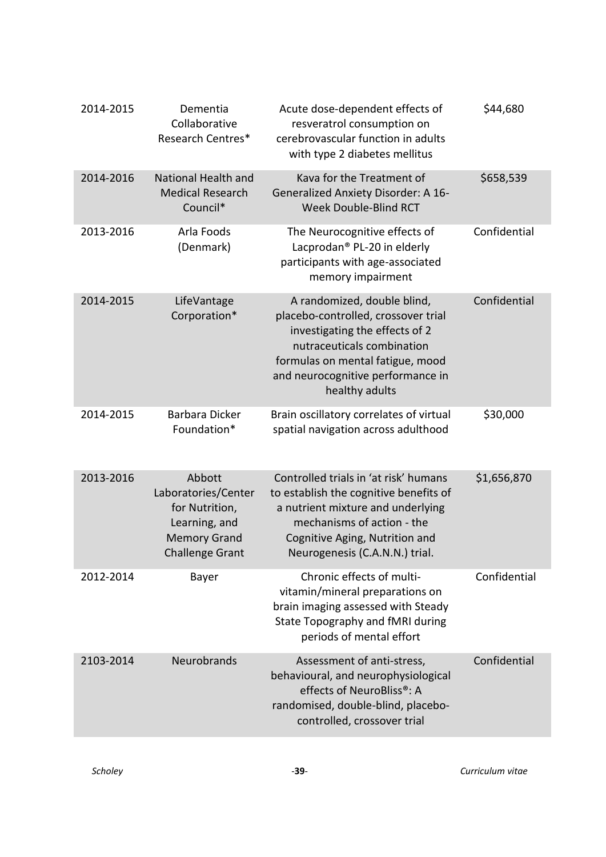| 2014-2015 | Dementia<br>Collaborative<br>Research Centres*                                                                    | Acute dose-dependent effects of<br>resveratrol consumption on<br>cerebrovascular function in adults<br>with type 2 diabetes mellitus                                                                                          | \$44,680     |
|-----------|-------------------------------------------------------------------------------------------------------------------|-------------------------------------------------------------------------------------------------------------------------------------------------------------------------------------------------------------------------------|--------------|
| 2014-2016 | National Health and<br><b>Medical Research</b><br>Council*                                                        | Kava for the Treatment of<br><b>Generalized Anxiety Disorder: A 16-</b><br><b>Week Double-Blind RCT</b>                                                                                                                       | \$658,539    |
| 2013-2016 | Arla Foods<br>(Denmark)                                                                                           | The Neurocognitive effects of<br>Lacprodan <sup>®</sup> PL-20 in elderly<br>participants with age-associated<br>memory impairment                                                                                             | Confidential |
| 2014-2015 | LifeVantage<br>Corporation*                                                                                       | A randomized, double blind,<br>placebo-controlled, crossover trial<br>investigating the effects of 2<br>nutraceuticals combination<br>formulas on mental fatigue, mood<br>and neurocognitive performance in<br>healthy adults | Confidential |
| 2014-2015 | Barbara Dicker<br>Foundation*                                                                                     | Brain oscillatory correlates of virtual<br>spatial navigation across adulthood                                                                                                                                                | \$30,000     |
| 2013-2016 | Abbott<br>Laboratories/Center<br>for Nutrition,<br>Learning, and<br><b>Memory Grand</b><br><b>Challenge Grant</b> | Controlled trials in 'at risk' humans<br>to establish the cognitive benefits of<br>a nutrient mixture and underlying<br>mechanisms of action - the<br>Cognitive Aging, Nutrition and<br>Neurogenesis (C.A.N.N.) trial.        | \$1,656,870  |
| 2012-2014 | Bayer                                                                                                             | Chronic effects of multi-<br>vitamin/mineral preparations on<br>brain imaging assessed with Steady<br>State Topography and fMRI during<br>periods of mental effort                                                            | Confidential |
| 2103-2014 | <b>Neurobrands</b>                                                                                                | Assessment of anti-stress,<br>behavioural, and neurophysiological<br>effects of NeuroBliss®: A<br>randomised, double-blind, placebo-<br>controlled, crossover trial                                                           | Confidential |

*Scholey* -**39**- *Curriculum vitae*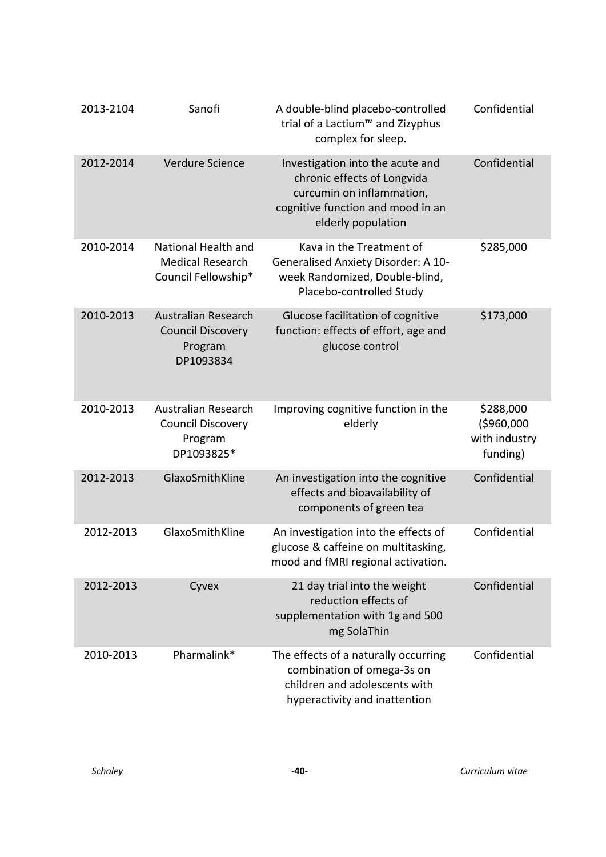| 2013-2104 | Sanofi                                                                          | A double-blind placebo-controlled<br>trial of a Lactium <sup>™</sup> and Zizyphus<br>complex for sleep.                                                 | Confidential                                         |
|-----------|---------------------------------------------------------------------------------|---------------------------------------------------------------------------------------------------------------------------------------------------------|------------------------------------------------------|
| 2012-2014 | Verdure Science                                                                 | Investigation into the acute and<br>chronic effects of Longvida<br>curcumin on inflammation,<br>cognitive function and mood in an<br>elderly population | Confidential                                         |
| 2010-2014 | National Health and<br><b>Medical Research</b><br>Council Fellowship*           | Kava in the Treatment of<br>Generalised Anxiety Disorder: A 10-<br>week Randomized, Double-blind,<br>Placebo-controlled Study                           | \$285,000                                            |
| 2010-2013 | <b>Australian Research</b><br><b>Council Discovery</b><br>Program<br>DP1093834  | Glucose facilitation of cognitive<br>function: effects of effort, age and<br>glucose control                                                            | \$173,000                                            |
| 2010-2013 | <b>Australian Research</b><br><b>Council Discovery</b><br>Program<br>DP1093825* | Improving cognitive function in the<br>elderly                                                                                                          | \$288,000<br>(\$960,000<br>with industry<br>funding) |
| 2012-2013 | GlaxoSmithKline                                                                 | An investigation into the cognitive<br>effects and bioavailability of<br>components of green tea                                                        | Confidential                                         |
| 2012-2013 | GlaxoSmithKline                                                                 | An investigation into the effects of<br>glucose & caffeine on multitasking,<br>mood and fMRI regional activation.                                       | Confidential                                         |
| 2012-2013 | Cyvex                                                                           | 21 day trial into the weight<br>reduction effects of<br>supplementation with 1g and 500<br>mg SolaThin                                                  | Confidential                                         |
| 2010-2013 | Pharmalink*                                                                     | The effects of a naturally occurring<br>combination of omega-3s on<br>children and adolescents with<br>hyperactivity and inattention                    | Confidential                                         |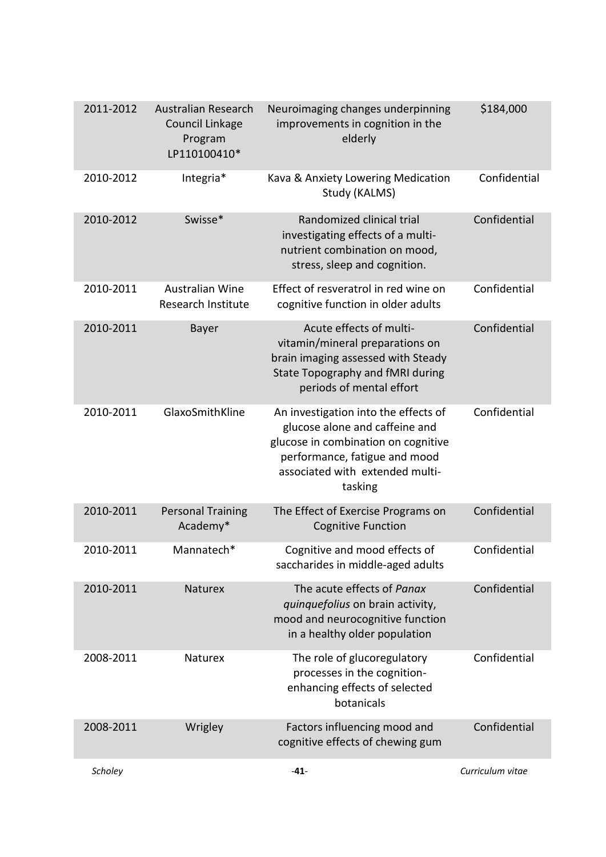| 2011-2012 | <b>Australian Research</b><br>Council Linkage<br>Program<br>LP110100410* | Neuroimaging changes underpinning<br>improvements in cognition in the<br>elderly                                                                                                             | \$184,000        |
|-----------|--------------------------------------------------------------------------|----------------------------------------------------------------------------------------------------------------------------------------------------------------------------------------------|------------------|
| 2010-2012 | Integria*                                                                | Kava & Anxiety Lowering Medication<br>Study (KALMS)                                                                                                                                          | Confidential     |
| 2010-2012 | Swisse*                                                                  | Randomized clinical trial<br>investigating effects of a multi-<br>nutrient combination on mood,<br>stress, sleep and cognition.                                                              | Confidential     |
| 2010-2011 | <b>Australian Wine</b><br><b>Research Institute</b>                      | Effect of resveratrol in red wine on<br>cognitive function in older adults                                                                                                                   | Confidential     |
| 2010-2011 | Bayer                                                                    | Acute effects of multi-<br>vitamin/mineral preparations on<br>brain imaging assessed with Steady<br>State Topography and fMRI during<br>periods of mental effort                             | Confidential     |
| 2010-2011 | GlaxoSmithKline                                                          | An investigation into the effects of<br>glucose alone and caffeine and<br>glucose in combination on cognitive<br>performance, fatigue and mood<br>associated with extended multi-<br>tasking | Confidential     |
| 2010-2011 | <b>Personal Training</b><br>Academy*                                     | The Effect of Exercise Programs on<br><b>Cognitive Function</b>                                                                                                                              | Confidential     |
| 2010-2011 | Mannatech*                                                               | Cognitive and mood effects of<br>saccharides in middle-aged adults                                                                                                                           | Confidential     |
| 2010-2011 | Naturex                                                                  | The acute effects of Panax<br>quinquefolius on brain activity,<br>mood and neurocognitive function<br>in a healthy older population                                                          | Confidential     |
| 2008-2011 | Naturex                                                                  | The role of glucoregulatory<br>processes in the cognition-<br>enhancing effects of selected<br>botanicals                                                                                    | Confidential     |
| 2008-2011 | Wrigley                                                                  | Factors influencing mood and<br>cognitive effects of chewing gum                                                                                                                             | Confidential     |
| Scholey   |                                                                          | $-41-$                                                                                                                                                                                       | Curriculum vitae |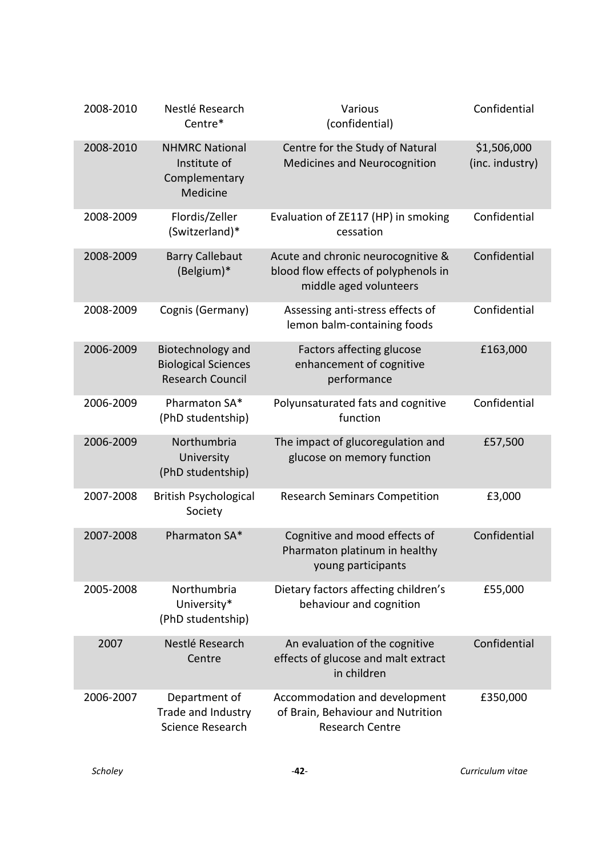| 2008-2010 | Nestlé Research<br>Centre*                                                 | Various<br>(confidential)                                                                            | Confidential                   |
|-----------|----------------------------------------------------------------------------|------------------------------------------------------------------------------------------------------|--------------------------------|
| 2008-2010 | <b>NHMRC National</b><br>Institute of<br>Complementary<br>Medicine         | Centre for the Study of Natural<br><b>Medicines and Neurocognition</b>                               | \$1,506,000<br>(inc. industry) |
| 2008-2009 | Flordis/Zeller<br>(Switzerland)*                                           | Evaluation of ZE117 (HP) in smoking<br>cessation                                                     | Confidential                   |
| 2008-2009 | <b>Barry Callebaut</b><br>(Belgium)*                                       | Acute and chronic neurocognitive &<br>blood flow effects of polyphenols in<br>middle aged volunteers | Confidential                   |
| 2008-2009 | Cognis (Germany)                                                           | Assessing anti-stress effects of<br>lemon balm-containing foods                                      | Confidential                   |
| 2006-2009 | Biotechnology and<br><b>Biological Sciences</b><br><b>Research Council</b> | Factors affecting glucose<br>enhancement of cognitive<br>performance                                 | £163,000                       |
| 2006-2009 | Pharmaton SA*<br>(PhD studentship)                                         | Polyunsaturated fats and cognitive<br>function                                                       | Confidential                   |
| 2006-2009 | Northumbria<br>University<br>(PhD studentship)                             | The impact of glucoregulation and<br>glucose on memory function                                      | £57,500                        |
| 2007-2008 | <b>British Psychological</b><br>Society                                    | <b>Research Seminars Competition</b>                                                                 | £3,000                         |
| 2007-2008 | Pharmaton SA*                                                              | Cognitive and mood effects of<br>Pharmaton platinum in healthy<br>young participants                 | Confidential                   |
| 2005-2008 | Northumbria<br>University*<br>(PhD studentship)                            | Dietary factors affecting children's<br>behaviour and cognition                                      | £55,000                        |
| 2007      | Nestlé Research<br>Centre                                                  | An evaluation of the cognitive<br>effects of glucose and malt extract<br>in children                 | Confidential                   |
| 2006-2007 | Department of<br>Trade and Industry<br>Science Research                    | Accommodation and development<br>of Brain, Behaviour and Nutrition<br><b>Research Centre</b>         | £350,000                       |

*Scholey* -**42**- *Curriculum vitae*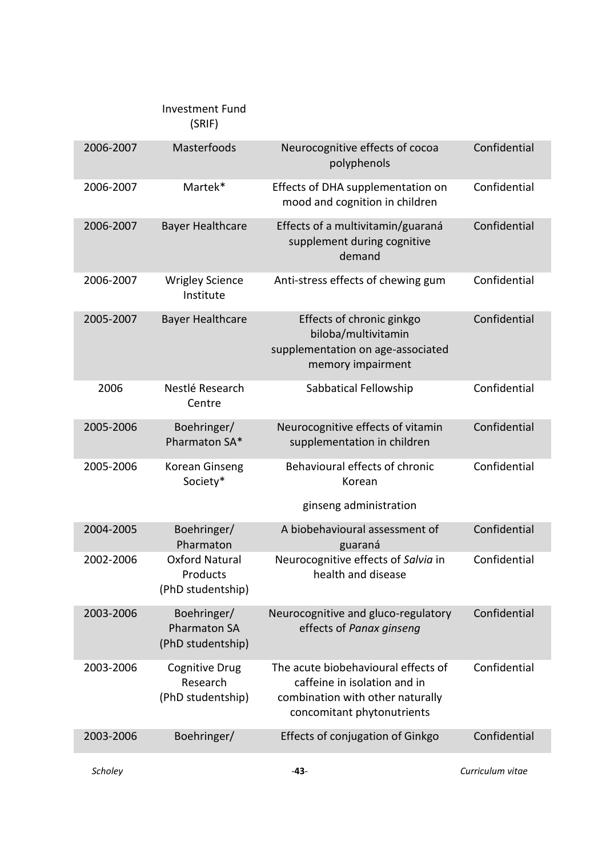|           | <b>Investment Fund</b><br>(SRIF)                        |                                                                                                                                       |                  |
|-----------|---------------------------------------------------------|---------------------------------------------------------------------------------------------------------------------------------------|------------------|
| 2006-2007 | Masterfoods                                             | Neurocognitive effects of cocoa<br>polyphenols                                                                                        | Confidential     |
| 2006-2007 | Martek*                                                 | Effects of DHA supplementation on<br>mood and cognition in children                                                                   | Confidential     |
| 2006-2007 | <b>Bayer Healthcare</b>                                 | Effects of a multivitamin/guaraná<br>supplement during cognitive<br>demand                                                            | Confidential     |
| 2006-2007 | <b>Wrigley Science</b><br>Institute                     | Anti-stress effects of chewing gum                                                                                                    | Confidential     |
| 2005-2007 | <b>Bayer Healthcare</b>                                 | Effects of chronic ginkgo<br>biloba/multivitamin<br>supplementation on age-associated<br>memory impairment                            | Confidential     |
| 2006      | Nestlé Research<br>Centre                               | Sabbatical Fellowship                                                                                                                 | Confidential     |
| 2005-2006 | Boehringer/<br>Pharmaton SA*                            | Neurocognitive effects of vitamin<br>supplementation in children                                                                      | Confidential     |
| 2005-2006 | Korean Ginseng<br>Society*                              | Behavioural effects of chronic<br>Korean<br>ginseng administration                                                                    | Confidential     |
| 2004-2005 | Boehringer/                                             | A biobehavioural assessment of                                                                                                        | Confidential     |
|           | Pharmaton                                               | guaraná                                                                                                                               |                  |
| 2002-2006 | Oxford Natural<br>Products<br>(PhD studentship)         | Neurocognitive effects of Salvia in<br>health and disease                                                                             | Confidential     |
| 2003-2006 | Boehringer/<br><b>Pharmaton SA</b><br>(PhD studentship) | Neurocognitive and gluco-regulatory<br>effects of Panax ginseng                                                                       | Confidential     |
| 2003-2006 | <b>Cognitive Drug</b><br>Research<br>(PhD studentship)  | The acute biobehavioural effects of<br>caffeine in isolation and in<br>combination with other naturally<br>concomitant phytonutrients | Confidential     |
| 2003-2006 | Boehringer/                                             | Effects of conjugation of Ginkgo                                                                                                      | Confidential     |
| Scholey   |                                                         | $-43-$                                                                                                                                | Curriculum vitae |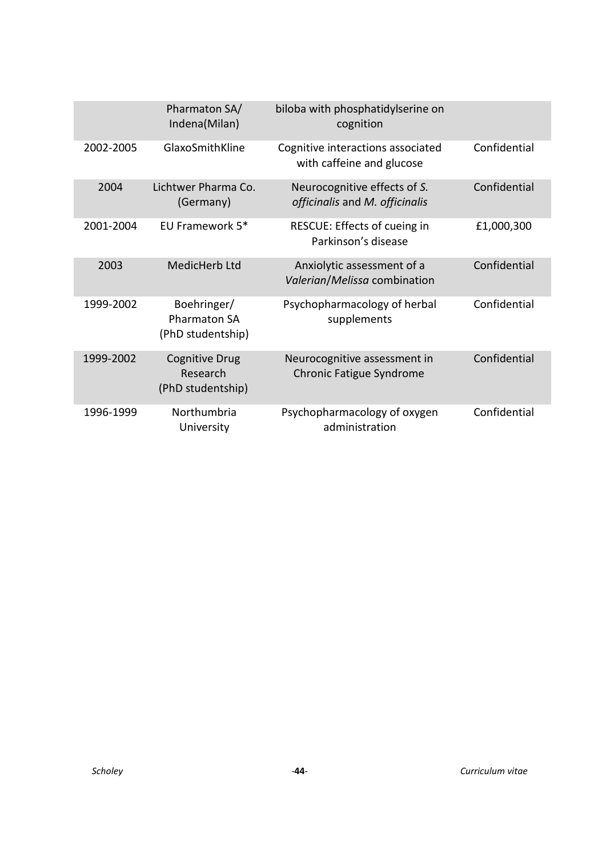|           | Pharmaton SA/<br>Indena(Milan)                          | biloba with phosphatidylserine on<br>cognition                  |              |
|-----------|---------------------------------------------------------|-----------------------------------------------------------------|--------------|
| 2002-2005 | GlaxoSmithKline                                         | Cognitive interactions associated<br>with caffeine and glucose  | Confidential |
| 2004      | Lichtwer Pharma Co.<br>(Germany)                        | Neurocognitive effects of S.<br>officinalis and M. officinalis  | Confidential |
| 2001-2004 | EU Framework 5*                                         | RESCUE: Effects of cueing in<br>Parkinson's disease             | £1,000,300   |
| 2003      | MedicHerb Ltd                                           | Anxiolytic assessment of a<br>Valerian/Melissa combination      | Confidential |
| 1999-2002 | Boehringer/<br><b>Pharmaton SA</b><br>(PhD studentship) | Psychopharmacology of herbal<br>supplements                     | Confidential |
| 1999-2002 | <b>Cognitive Drug</b><br>Research<br>(PhD studentship)  | Neurocognitive assessment in<br><b>Chronic Fatigue Syndrome</b> | Confidential |
| 1996-1999 | Northumbria<br>University                               | Psychopharmacology of oxygen<br>administration                  | Confidential |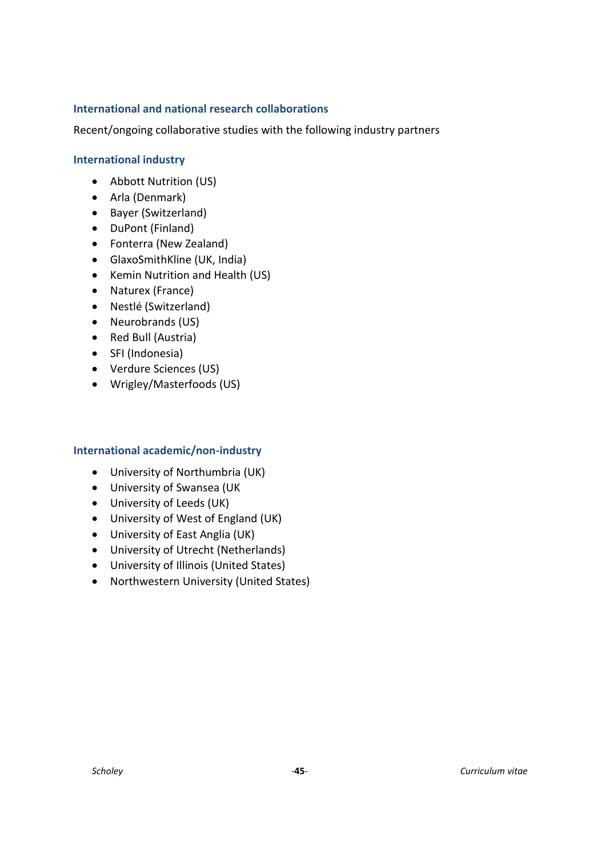# <span id="page-44-0"></span>**International and national research collaborations**

Recent/ongoing collaborative studies with the following industry partners

#### **International industry**

- Abbott Nutrition (US)
- Arla (Denmark)
- Bayer (Switzerland)
- DuPont (Finland)
- Fonterra (New Zealand)
- GlaxoSmithKline (UK, India)
- Kemin Nutrition and Health (US)
- Naturex (France)
- Nestlé (Switzerland)
- Neurobrands (US)
- Red Bull (Austria)
- SFI (Indonesia)
- Verdure Sciences (US)
- Wrigley/Masterfoods (US)

#### **International academic/non-industry**

- University of Northumbria (UK)
- University of Swansea (UK
- University of Leeds (UK)
- University of West of England (UK)
- University of East Anglia (UK)
- University of Utrecht (Netherlands)
- University of Illinois (United States)
- Northwestern University (United States)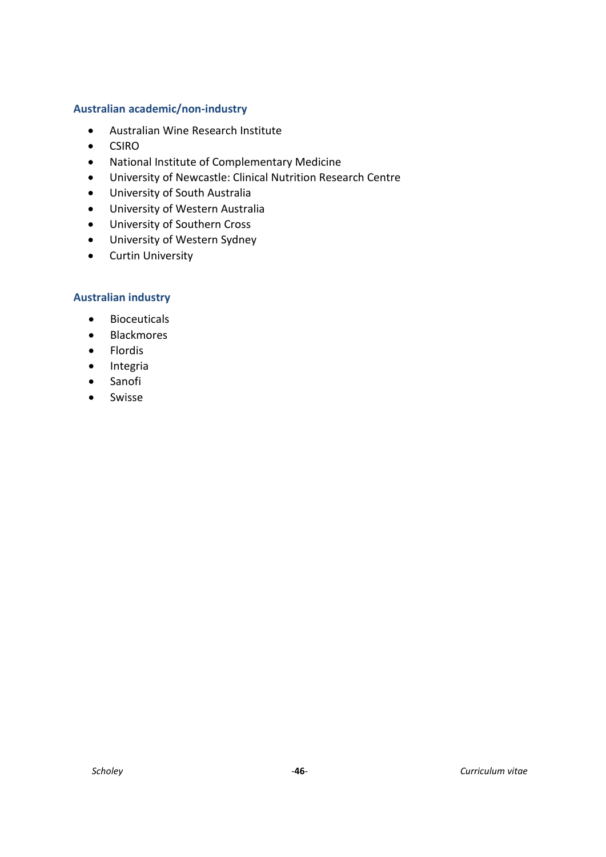#### **Australian academic/non-industry**

- Australian Wine Research Institute
- CSIRO
- National Institute of Complementary Medicine
- University of Newcastle: Clinical Nutrition Research Centre
- University of South Australia
- University of Western Australia
- University of Southern Cross
- University of Western Sydney
- Curtin University

#### **Australian industry**

- Bioceuticals
- Blackmores
- Flordis
- Integria
- Sanofi
- Swisse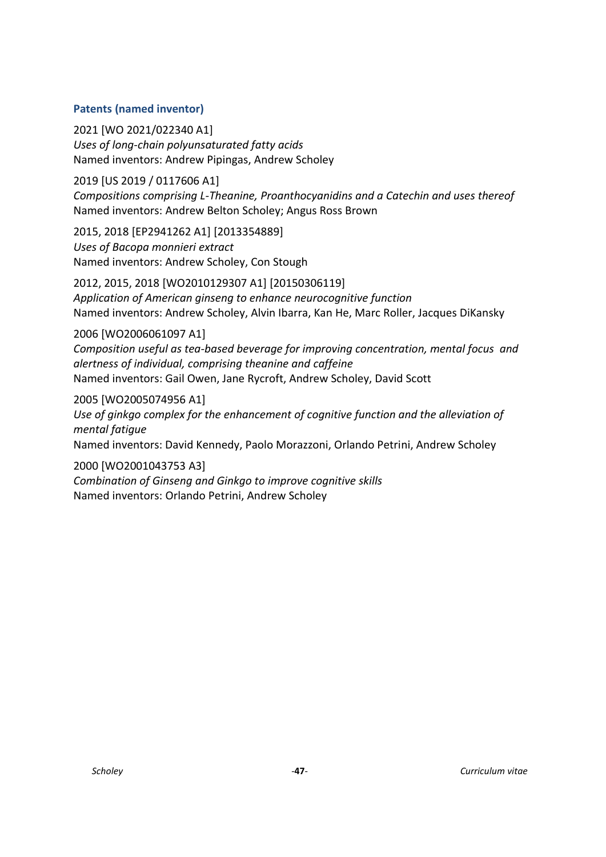# <span id="page-46-0"></span>**Patents (named inventor)**

2021 [WO 2021/022340 A1] *Uses of long-chain polyunsaturated fatty acids* Named inventors: Andrew Pipingas, Andrew Scholey

2019 [US 2019 / 0117606 A1] *Compositions comprising L-Theanine, Proanthocyanidins and a Catechin and uses thereof* Named inventors: Andrew Belton Scholey; Angus Ross Brown

2015, 2018 [EP2941262 A1] [2013354889] *Uses of Bacopa monnieri extract* Named inventors: Andrew Scholey, Con Stough

2012, 2015, 2018 [WO2010129307 A1] [20150306119] *Application of American ginseng to enhance neurocognitive function* Named inventors: Andrew Scholey, Alvin Ibarra, Kan He, Marc Roller, Jacques DiKansky

2006 [WO2006061097 A1]

*Composition useful as tea-based beverage for improving concentration, mental focus and alertness of individual, comprising theanine and caffeine* Named inventors: Gail Owen, Jane Rycroft, Andrew Scholey, David Scott

2005 [WO2005074956 A1] *Use of ginkgo complex for the enhancement of cognitive function and the alleviation of mental fatigue* Named inventors: David Kennedy, Paolo Morazzoni, Orlando Petrini, Andrew Scholey

2000 [WO2001043753 A3] *Combination of Ginseng and Ginkgo to improve cognitive skills* Named inventors: Orlando Petrini, Andrew Scholey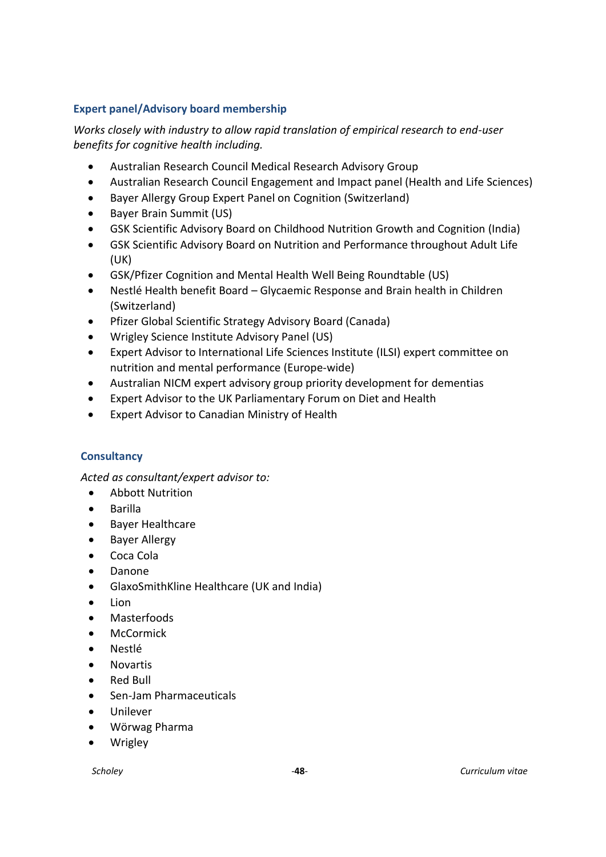# <span id="page-47-0"></span>**Expert panel/Advisory board membership**

*Works closely with industry to allow rapid translation of empirical research to end-user benefits for cognitive health including.* 

- Australian Research Council Medical Research Advisory Group
- Australian Research Council Engagement and Impact panel (Health and Life Sciences)
- Bayer Allergy Group Expert Panel on Cognition (Switzerland)
- Bayer Brain Summit (US)
- GSK Scientific Advisory Board on Childhood Nutrition Growth and Cognition (India)
- GSK Scientific Advisory Board on Nutrition and Performance throughout Adult Life (UK)
- GSK/Pfizer Cognition and Mental Health Well Being Roundtable (US)
- Nestlé Health benefit Board Glycaemic Response and Brain health in Children (Switzerland)
- Pfizer Global Scientific Strategy Advisory Board (Canada)
- Wrigley Science Institute Advisory Panel (US)
- Expert Advisor to International Life Sciences Institute (ILSI) expert committee on nutrition and mental performance (Europe-wide)
- Australian NICM expert advisory group priority development for dementias
- Expert Advisor to the UK Parliamentary Forum on Diet and Health
- Expert Advisor to Canadian Ministry of Health

# <span id="page-47-1"></span>**Consultancy**

*Acted as consultant/expert advisor to:*

- Abbott Nutrition
- Barilla
- Bayer Healthcare
- Bayer Allergy
- Coca Cola
- Danone
- GlaxoSmithKline Healthcare (UK and India)
- Lion
- Masterfoods
- McCormick
- Nestlé
- Novartis
- Red Bull
- Sen-Jam Pharmaceuticals
- Unilever
- Wörwag Pharma
- Wrigley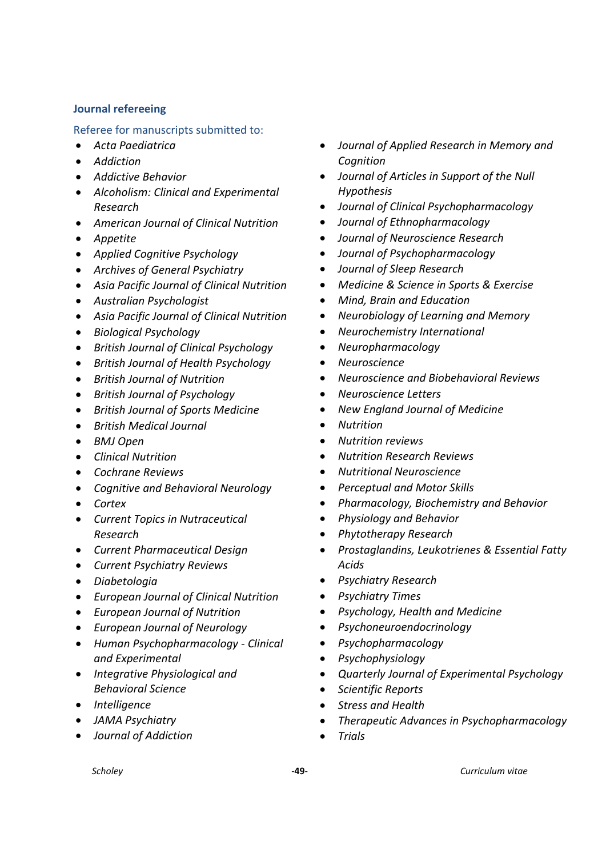# <span id="page-48-0"></span>**Journal refereeing**

Referee for manuscripts submitted to:

- *Acta Paediatrica*
- *Addiction*
- *Addictive Behavior*
- *Alcoholism: Clinical and Experimental Research*
- *American Journal of Clinical Nutrition*
- *Appetite*
- *Applied Cognitive Psychology*
- *Archives of General Psychiatry*
- *Asia Pacific Journal of Clinical Nutrition*
- *Australian Psychologist*
- *Asia Pacific Journal of Clinical Nutrition*
- *Biological Psychology*
- *British Journal of Clinical Psychology*
- *British Journal of Health Psychology*
- *British Journal of Nutrition*
- *British Journal of Psychology*
- *British Journal of Sports Medicine*
- *British Medical Journal*
- *BMJ Open*
- *Clinical Nutrition*
- *Cochrane Reviews*
- *Cognitive and Behavioral Neurology*
- *Cortex*
- *Current Topics in Nutraceutical Research*
- *Current Pharmaceutical Design*
- *Current Psychiatry Reviews*
- *Diabetologia*
- *European Journal of Clinical Nutrition*
- *European Journal of Nutrition*
- *European Journal of Neurology*
- *Human Psychopharmacology - Clinical and Experimental*
- *Integrative Physiological and Behavioral Science*
- *Intelligence*
- *JAMA Psychiatry*
- *Journal of Addiction*
- *Journal of Applied Research in Memory and Cognition*
- *Journal of Articles in Support of the Null Hypothesis*
- *Journal of Clinical Psychopharmacology*
- *Journal of Ethnopharmacology*
- *Journal of Neuroscience Research*
- *Journal of Psychopharmacology*
- *Journal of Sleep Research*
- *Medicine & Science in Sports & Exercise*
- *Mind, Brain and Education*
- *Neurobiology of Learning and Memory*
- *Neurochemistry International*
- *Neuropharmacology*
- *Neuroscience*
- *Neuroscience and Biobehavioral Reviews*
- *Neuroscience Letters*
- *New England Journal of Medicine*
- *Nutrition*
- *Nutrition reviews*
- *Nutrition Research Reviews*
- *Nutritional Neuroscience*
- *Perceptual and Motor Skills*
- *Pharmacology, Biochemistry and Behavior*
- *Physiology and Behavior*
- *Phytotherapy Research*
- *Prostaglandins, Leukotrienes & Essential Fatty Acids*
- *Psychiatry Research*
- *Psychiatry Times*
- *Psychology, Health and Medicine*
- *Psychoneuroendocrinology*
- *Psychopharmacology*
- *Psychophysiology*
- *Quarterly Journal of Experimental Psychology*
- *Scientific Reports*
- *Stress and Health*
- *Therapeutic Advances in Psychopharmacology*
- *Trials*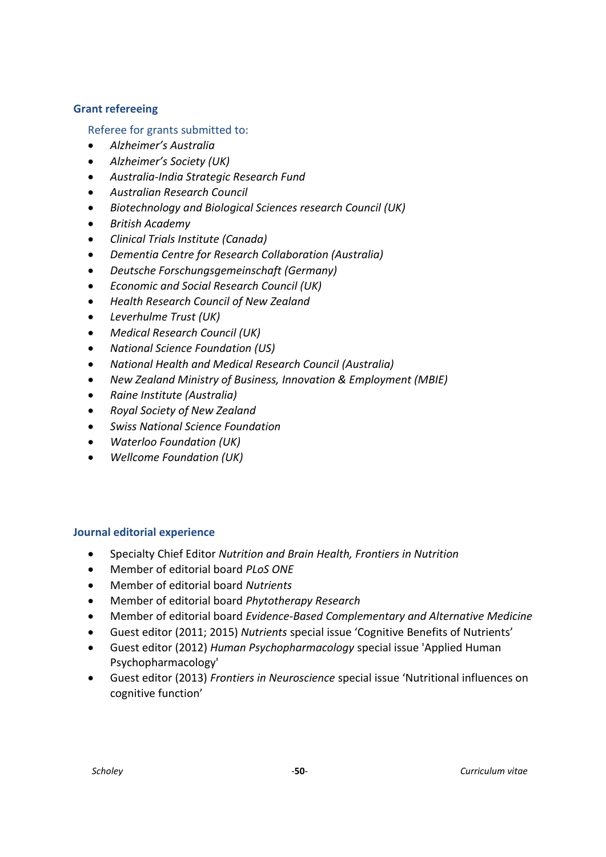## <span id="page-49-0"></span>**Grant refereeing**

Referee for grants submitted to:

- *Alzheimer's Australia*
- *Alzheimer's Society (UK)*
- *Australia-India Strategic Research Fund*
- *Australian Research Council*
- *Biotechnology and Biological Sciences research Council (UK)*
- *British Academy*
- *Clinical Trials Institute (Canada)*
- *Dementia Centre for Research Collaboration (Australia)*
- *Deutsche Forschungsgemeinschaft (Germany)*
- *Economic and Social Research Council (UK)*
- *Health Research Council of New Zealand*
- *Leverhulme Trust (UK)*
- *Medical Research Council (UK)*
- *National Science Foundation (US)*
- *National Health and Medical Research Council (Australia)*
- *New Zealand Ministry of Business, Innovation & Employment (MBIE)*
- *Raine Institute (Australia)*
- *Royal Society of New Zealand*
- *Swiss National Science Foundation*
- *Waterloo Foundation (UK)*
- *Wellcome Foundation (UK)*

# <span id="page-49-1"></span>**Journal editorial experience**

- Specialty Chief Editor *Nutrition and Brain Health, Frontiers in Nutrition*
- Member of editorial board *PLoS ONE*
- Member of editorial board *Nutrients*
- Member of editorial board *Phytotherapy Research*
- Member of editorial board *Evidence-Based Complementary and Alternative Medicine*
- Guest editor (2011; 2015) *Nutrients* special issue 'Cognitive Benefits of Nutrients'
- Guest editor (2012) *Human Psychopharmacology* special issue 'Applied Human Psychopharmacology'
- Guest editor (2013) *Frontiers in Neuroscience* special issue 'Nutritional influences on cognitive function'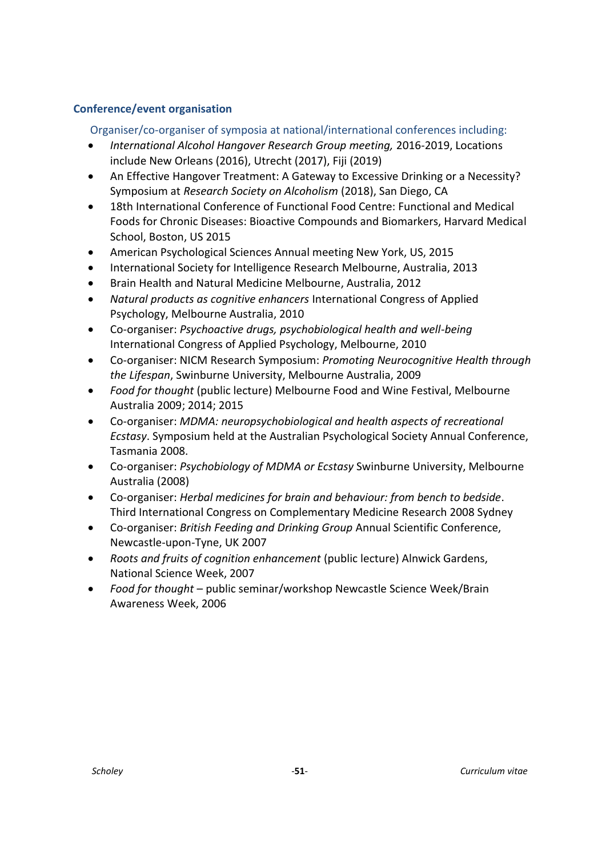# <span id="page-50-0"></span>**Conference/event organisation**

Organiser/co-organiser of symposia at national/international conferences including:

- *International Alcohol Hangover Research Group meeting,* 2016-2019, Locations include New Orleans (2016), Utrecht (2017), Fiji (2019)
- An Effective Hangover Treatment: A Gateway to Excessive Drinking or a Necessity? Symposium at *Research Society on Alcoholism* (2018), San Diego, CA
- 18th International Conference of Functional Food Centre: Functional and Medical Foods for Chronic Diseases: Bioactive Compounds and Biomarkers, Harvard Medical School, Boston, US 2015
- American Psychological Sciences Annual meeting New York, US, 2015
- International Society for Intelligence Research Melbourne, Australia, 2013
- Brain Health and Natural Medicine Melbourne, Australia, 2012
- *Natural products as cognitive enhancers* International Congress of Applied Psychology, Melbourne Australia, 2010
- Co-organiser: *Psychoactive drugs, psychobiological health and well-being*  International Congress of Applied Psychology, Melbourne, 2010
- Co-organiser: NICM Research Symposium: *Promoting Neurocognitive Health through the Lifespan*, Swinburne University, Melbourne Australia, 2009
- *Food for thought* (public lecture) Melbourne Food and Wine Festival, Melbourne Australia 2009; 2014; 2015
- Co-organiser: *MDMA: neuropsychobiological and health aspects of recreational Ecstasy*. Symposium held at the Australian Psychological Society Annual Conference, Tasmania 2008.
- Co-organiser: *Psychobiology of MDMA or Ecstasy* Swinburne University, Melbourne Australia (2008)
- Co-organiser: *Herbal medicines for brain and behaviour: from bench to bedside*. Third International Congress on Complementary Medicine Research 2008 Sydney
- Co-organiser: *British Feeding and Drinking Group* Annual Scientific Conference, Newcastle-upon-Tyne, UK 2007
- *Roots and fruits of cognition enhancement* (public lecture) Alnwick Gardens, National Science Week, 2007
- *Food for thought* public seminar/workshop Newcastle Science Week/Brain Awareness Week, 2006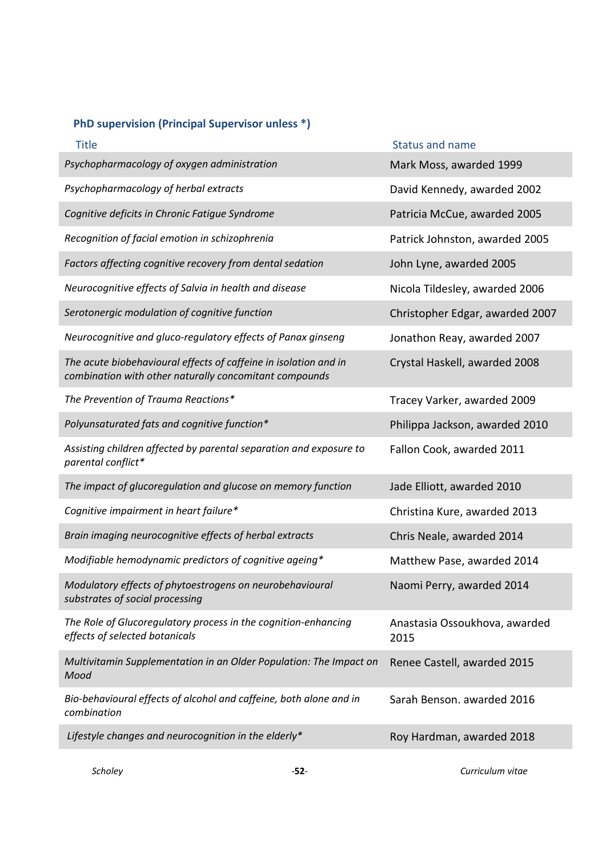# <span id="page-51-0"></span>**PhD supervision (Principal Supervisor unless \*)**

| <b>Title</b>                                                                                                               | <b>Status and name</b>                |
|----------------------------------------------------------------------------------------------------------------------------|---------------------------------------|
| Psychopharmacology of oxygen administration                                                                                | Mark Moss, awarded 1999               |
| Psychopharmacology of herbal extracts                                                                                      | David Kennedy, awarded 2002           |
| Cognitive deficits in Chronic Fatigue Syndrome                                                                             | Patricia McCue, awarded 2005          |
| Recognition of facial emotion in schizophrenia                                                                             | Patrick Johnston, awarded 2005        |
| Factors affecting cognitive recovery from dental sedation                                                                  | John Lyne, awarded 2005               |
| Neurocognitive effects of Salvia in health and disease                                                                     | Nicola Tildesley, awarded 2006        |
| Serotonergic modulation of cognitive function                                                                              | Christopher Edgar, awarded 2007       |
| Neurocognitive and gluco-regulatory effects of Panax ginseng                                                               | Jonathon Reay, awarded 2007           |
| The acute biobehavioural effects of caffeine in isolation and in<br>combination with other naturally concomitant compounds | Crystal Haskell, awarded 2008         |
| The Prevention of Trauma Reactions*                                                                                        | Tracey Varker, awarded 2009           |
| Polyunsaturated fats and cognitive function*                                                                               | Philippa Jackson, awarded 2010        |
| Assisting children affected by parental separation and exposure to<br>parental conflict*                                   | Fallon Cook, awarded 2011             |
| The impact of glucoregulation and glucose on memory function                                                               | Jade Elliott, awarded 2010            |
| Cognitive impairment in heart failure*                                                                                     | Christina Kure, awarded 2013          |
| Brain imaging neurocognitive effects of herbal extracts                                                                    | Chris Neale, awarded 2014             |
| Modifiable hemodynamic predictors of cognitive ageing*                                                                     | Matthew Pase, awarded 2014            |
| Modulatory effects of phytoestrogens on neurobehavioural<br>substrates of social processing                                | Naomi Perry, awarded 2014             |
| The Role of Glucoregulatory process in the cognition-enhancing<br>effects of selected botanicals                           | Anastasia Ossoukhova, awarded<br>2015 |
| Multivitamin Supplementation in an Older Population: The Impact on<br>Mood                                                 | Renee Castell, awarded 2015           |
| Bio-behavioural effects of alcohol and caffeine, both alone and in<br>combination                                          | Sarah Benson. awarded 2016            |
| Lifestyle changes and neurocognition in the elderly*                                                                       | Roy Hardman, awarded 2018             |
|                                                                                                                            |                                       |

*Scholey* -**52**- *Curriculum vitae*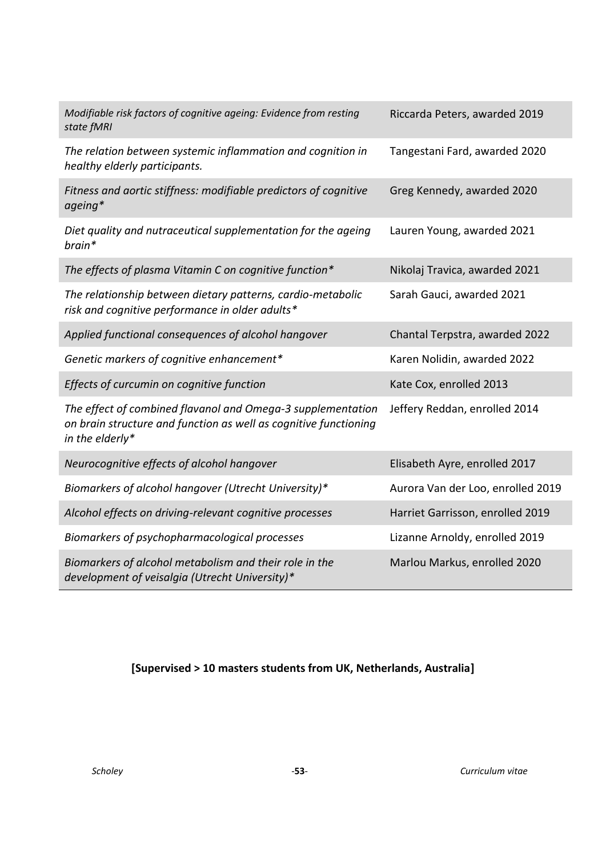| Modifiable risk factors of cognitive ageing: Evidence from resting<br>state fMRI                                                                   | Riccarda Peters, awarded 2019     |
|----------------------------------------------------------------------------------------------------------------------------------------------------|-----------------------------------|
| The relation between systemic inflammation and cognition in<br>healthy elderly participants.                                                       | Tangestani Fard, awarded 2020     |
| Fitness and aortic stiffness: modifiable predictors of cognitive<br>ageing*                                                                        | Greg Kennedy, awarded 2020        |
| Diet quality and nutraceutical supplementation for the ageing<br>brain*                                                                            | Lauren Young, awarded 2021        |
| The effects of plasma Vitamin C on cognitive function*                                                                                             | Nikolaj Travica, awarded 2021     |
| The relationship between dietary patterns, cardio-metabolic<br>risk and cognitive performance in older adults*                                     | Sarah Gauci, awarded 2021         |
| Applied functional consequences of alcohol hangover                                                                                                | Chantal Terpstra, awarded 2022    |
| Genetic markers of cognitive enhancement*                                                                                                          | Karen Nolidin, awarded 2022       |
| Effects of curcumin on cognitive function                                                                                                          | Kate Cox, enrolled 2013           |
| The effect of combined flavanol and Omega-3 supplementation<br>on brain structure and function as well as cognitive functioning<br>in the elderly* | Jeffery Reddan, enrolled 2014     |
|                                                                                                                                                    |                                   |
| Neurocognitive effects of alcohol hangover                                                                                                         | Elisabeth Ayre, enrolled 2017     |
| Biomarkers of alcohol hangover (Utrecht University)*                                                                                               | Aurora Van der Loo, enrolled 2019 |
| Alcohol effects on driving-relevant cognitive processes                                                                                            | Harriet Garrisson, enrolled 2019  |
| Biomarkers of psychopharmacological processes                                                                                                      | Lizanne Arnoldy, enrolled 2019    |

# **[Supervised > 10 masters students from UK, Netherlands, Australia]**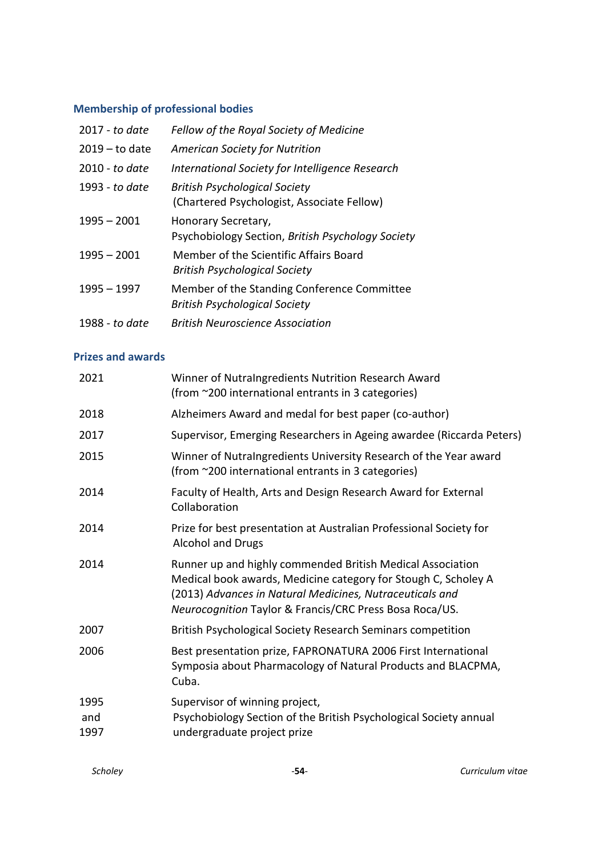# <span id="page-53-0"></span>**Membership of professional bodies**

| 2017 - to date   | Fellow of the Royal Society of Medicine                                             |
|------------------|-------------------------------------------------------------------------------------|
| $2019 -$ to date | <b>American Society for Nutrition</b>                                               |
| 2010 - to date   | International Society for Intelligence Research                                     |
| 1993 - to date   | <b>British Psychological Society</b><br>(Chartered Psychologist, Associate Fellow)  |
| $1995 - 2001$    | Honorary Secretary,<br>Psychobiology Section, British Psychology Society            |
| $1995 - 2001$    | Member of the Scientific Affairs Board<br><b>British Psychological Society</b>      |
| $1995 - 1997$    | Member of the Standing Conference Committee<br><b>British Psychological Society</b> |
| 1988 - to date   | British Neuroscience Association                                                    |

#### <span id="page-53-1"></span>**Prizes and awards**

| 2021                | Winner of NutraIngredients Nutrition Research Award<br>(from ~200 international entrants in 3 categories)                                                                                                                                           |
|---------------------|-----------------------------------------------------------------------------------------------------------------------------------------------------------------------------------------------------------------------------------------------------|
| 2018                | Alzheimers Award and medal for best paper (co-author)                                                                                                                                                                                               |
| 2017                | Supervisor, Emerging Researchers in Ageing awardee (Riccarda Peters)                                                                                                                                                                                |
| 2015                | Winner of NutraIngredients University Research of the Year award<br>(from ~200 international entrants in 3 categories)                                                                                                                              |
| 2014                | Faculty of Health, Arts and Design Research Award for External<br>Collaboration                                                                                                                                                                     |
| 2014                | Prize for best presentation at Australian Professional Society for<br><b>Alcohol and Drugs</b>                                                                                                                                                      |
| 2014                | Runner up and highly commended British Medical Association<br>Medical book awards, Medicine category for Stough C, Scholey A<br>(2013) Advances in Natural Medicines, Nutraceuticals and<br>Neurocognition Taylor & Francis/CRC Press Bosa Roca/US. |
| 2007                | British Psychological Society Research Seminars competition                                                                                                                                                                                         |
| 2006                | Best presentation prize, FAPRONATURA 2006 First International<br>Symposia about Pharmacology of Natural Products and BLACPMA,<br>Cuba.                                                                                                              |
| 1995<br>and<br>1997 | Supervisor of winning project,<br>Psychobiology Section of the British Psychological Society annual<br>undergraduate project prize                                                                                                                  |
|                     |                                                                                                                                                                                                                                                     |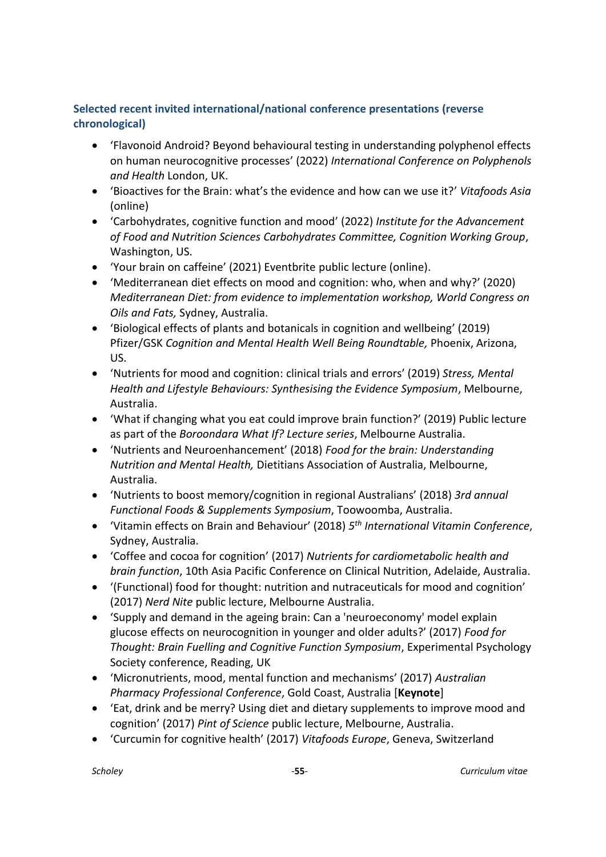# <span id="page-54-0"></span>**Selected recent invited international/national conference presentations (reverse chronological)**

- 'Flavonoid Android? Beyond behavioural testing in understanding polyphenol effects on human neurocognitive processes' (2022) *International Conference on Polyphenols and Health* London, UK.
- 'Bioactives for the Brain: what's the evidence and how can we use it?' *Vitafoods Asia*  (online)
- 'Carbohydrates, cognitive function and mood' (2022) *Institute for the Advancement of Food and Nutrition Sciences Carbohydrates Committee, Cognition Working Group*, Washington, US.
- 'Your brain on caffeine' (2021) Eventbrite public lecture (online).
- 'Mediterranean diet effects on mood and cognition: who, when and why?' (2020) *Mediterranean Diet: from evidence to implementation workshop, World Congress on Oils and Fats,* Sydney, Australia.
- 'Biological effects of plants and botanicals in cognition and wellbeing' (2019) Pfizer/GSK *Cognition and Mental Health Well Being Roundtable,* Phoenix, Arizona, US.
- 'Nutrients for mood and cognition: clinical trials and errors' (2019) *Stress, Mental Health and Lifestyle Behaviours: Synthesising the Evidence Symposium*, Melbourne, Australia.
- 'What if changing what you eat could improve brain function?' (2019) Public lecture as part of the *Boroondara What If? Lecture series*, Melbourne Australia.
- 'Nutrients and Neuroenhancement' (2018) *Food for the brain: Understanding Nutrition and Mental Health,* Dietitians Association of Australia, Melbourne, Australia.
- 'Nutrients to boost memory/cognition in regional Australians' (2018) *3rd annual Functional Foods & Supplements Symposium*, Toowoomba, Australia.
- 'Vitamin effects on Brain and Behaviour' (2018) *5 th International Vitamin Conference*, Sydney, Australia.
- 'Coffee and cocoa for cognition' (2017) *Nutrients for cardiometabolic health and brain function*, 10th Asia Pacific Conference on Clinical Nutrition, Adelaide, Australia.
- '(Functional) food for thought: nutrition and nutraceuticals for mood and cognition' (2017) *Nerd Nite* public lecture, Melbourne Australia.
- 'Supply and demand in the ageing brain: Can a 'neuroeconomy' model explain glucose effects on neurocognition in younger and older adults?' (2017) *Food for Thought: Brain Fuelling and Cognitive Function Symposium*, Experimental Psychology Society conference, Reading, UK
- 'Micronutrients, mood, mental function and mechanisms' (2017) *Australian Pharmacy Professional Conference*, Gold Coast, Australia [**Keynote**]
- 'Eat, drink and be merry? Using diet and dietary supplements to improve mood and cognition' (2017) *Pint of Science* public lecture, Melbourne, Australia.
- 'Curcumin for cognitive health' (2017) *Vitafoods Europe*, Geneva, Switzerland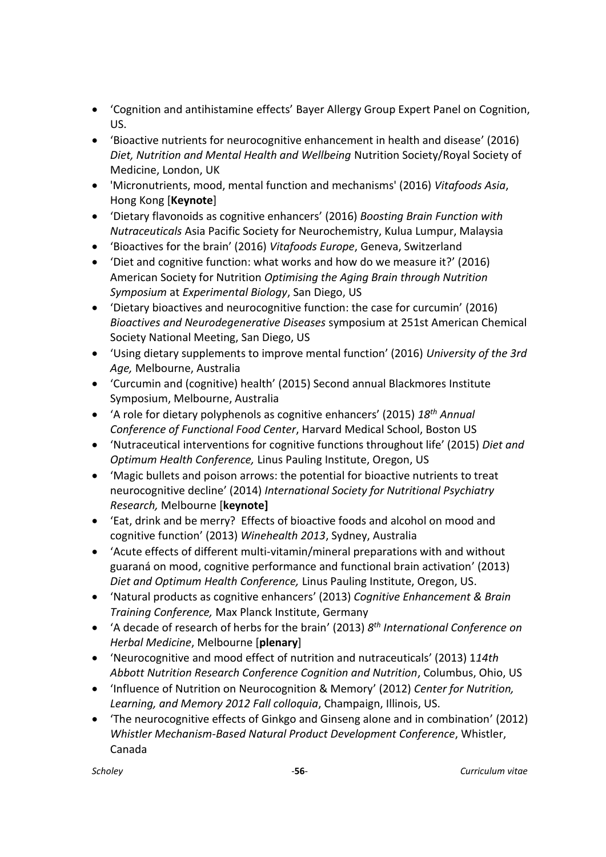- 'Cognition and antihistamine effects' Bayer Allergy Group Expert Panel on Cognition, US.
- 'Bioactive nutrients for neurocognitive enhancement in health and disease' (2016) *Diet, Nutrition and Mental Health and Wellbeing* Nutrition Society/Royal Society of Medicine, London, UK
- 'Micronutrients, mood, mental function and mechanisms' (2016) *Vitafoods Asia*, Hong Kong [**Keynote**]
- 'Dietary flavonoids as cognitive enhancers' (2016) *Boosting Brain Function with Nutraceuticals* Asia Pacific Society for Neurochemistry, Kulua Lumpur, Malaysia
- 'Bioactives for the brain' (2016) *Vitafoods Europe*, Geneva, Switzerland
- 'Diet and cognitive function: what works and how do we measure it?' (2016) American Society for Nutrition *Optimising the Aging Brain through Nutrition Symposium* at *Experimental Biology*, San Diego, US
- 'Dietary bioactives and neurocognitive function: the case for curcumin' (2016) *Bioactives and Neurodegenerative Diseases* symposium at 251st American Chemical Society National Meeting, San Diego, US
- 'Using dietary supplements to improve mental function' (2016) *University of the 3rd Age,* Melbourne, Australia
- 'Curcumin and (cognitive) health' (2015) Second annual Blackmores Institute Symposium, Melbourne, Australia
- 'A role for dietary polyphenols as cognitive enhancers' (2015) *18th Annual Conference of Functional Food Center*, Harvard Medical School, Boston US
- 'Nutraceutical interventions for cognitive functions throughout life' (2015) *Diet and Optimum Health Conference,* Linus Pauling Institute, Oregon, US
- 'Magic bullets and poison arrows: the potential for bioactive nutrients to treat neurocognitive decline' (2014) *International Society for Nutritional Psychiatry Research,* Melbourne [**keynote]**
- 'Eat, drink and be merry? Effects of bioactive foods and alcohol on mood and cognitive function' (2013) *Winehealth 2013*, Sydney, Australia
- 'Acute effects of different multi-vitamin/mineral preparations with and without guaraná on mood, cognitive performance and functional brain activation' (2013) *Diet and Optimum Health Conference,* Linus Pauling Institute, Oregon, US.
- 'Natural products as cognitive enhancers' (2013) *Cognitive Enhancement & Brain Training Conference,* Max Planck Institute, Germany
- 'A decade of research of herbs for the brain' (2013) *8 th International Conference on Herbal Medicine*, Melbourne [**plenary**]
- 'Neurocognitive and mood effect of nutrition and nutraceuticals' (2013) 1*14th Abbott Nutrition Research Conference Cognition and Nutrition*, Columbus, Ohio, US
- 'Influence of Nutrition on Neurocognition & Memory' (2012) *Center for Nutrition, Learning, and Memory 2012 Fall colloquia*, Champaign, Illinois, US.
- 'The neurocognitive effects of Ginkgo and Ginseng alone and in combination' (2012) *Whistler Mechanism-Based Natural Product Development Conference*, Whistler, Canada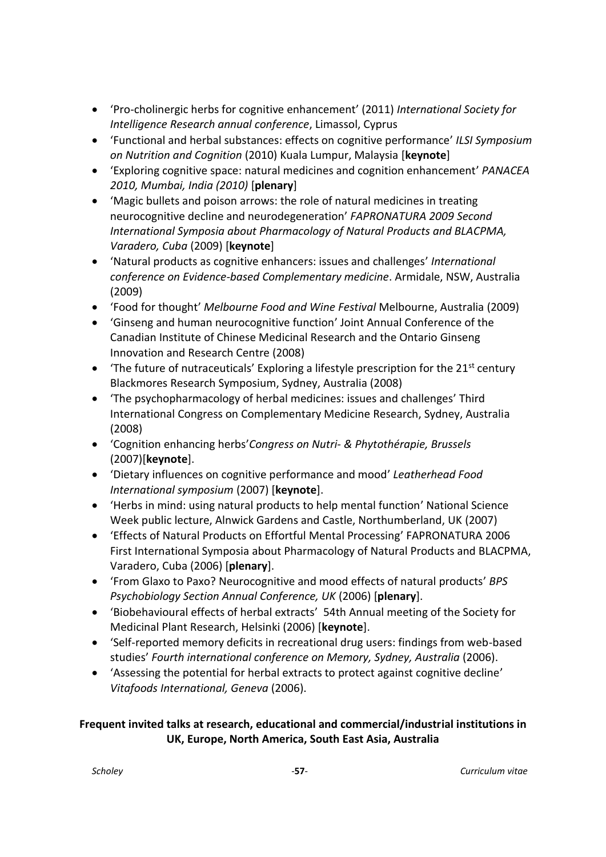- 'Pro-cholinergic herbs for cognitive enhancement' (2011) *International Society for Intelligence Research annual conference*, Limassol, Cyprus
- 'Functional and herbal substances: effects on cognitive performance' *ILSI Symposium on Nutrition and Cognition* (2010) Kuala Lumpur, Malaysia [**keynote**]
- 'Exploring cognitive space: natural medicines and cognition enhancement' *PANACEA 2010, Mumbai, India (2010)* [**plenary**]
- 'Magic bullets and poison arrows: the role of natural medicines in treating neurocognitive decline and neurodegeneration' *FAPRONATURA 2009 Second International Symposia about Pharmacology of Natural Products and BLACPMA, Varadero, Cuba* (2009) [**keynote**]
- 'Natural products as cognitive enhancers: issues and challenges' *International conference on Evidence-based Complementary medicine*. Armidale, NSW, Australia (2009)
- 'Food for thought' *Melbourne Food and Wine Festival* Melbourne, Australia (2009)
- 'Ginseng and human neurocognitive function' Joint Annual Conference of the Canadian Institute of Chinese Medicinal Research and the Ontario Ginseng Innovation and Research Centre (2008)
- The future of nutraceuticals' Exploring a lifestyle prescription for the  $21<sup>st</sup>$  century Blackmores Research Symposium, Sydney, Australia (2008)
- 'The psychopharmacology of herbal medicines: issues and challenges' Third International Congress on Complementary Medicine Research, Sydney, Australia (2008)
- 'Cognition enhancing herbs'*Congress on Nutri- & Phytothérapie, Brussels* (2007)[**keynote**].
- 'Dietary influences on cognitive performance and mood' *Leatherhead Food International symposium* (2007) [**keynote**].
- 'Herbs in mind: using natural products to help mental function' National Science Week public lecture, Alnwick Gardens and Castle, Northumberland, UK (2007)
- 'Effects of Natural Products on Effortful Mental Processing' FAPRONATURA 2006 First International Symposia about Pharmacology of Natural Products and BLACPMA, Varadero, Cuba (2006) [**plenary**].
- 'From Glaxo to Paxo? Neurocognitive and mood effects of natural products' *BPS Psychobiology Section Annual Conference, UK* (2006) [**plenary**].
- 'Biobehavioural effects of herbal extracts' 54th Annual meeting of the Society for Medicinal Plant Research, Helsinki (2006) [**keynote**].
- 'Self-reported memory deficits in recreational drug users: findings from web-based studies' *Fourth international conference on Memory, Sydney, Australia* (2006).
- 'Assessing the potential for herbal extracts to protect against cognitive decline' *Vitafoods International, Geneva* (2006).

# **Frequent invited talks at research, educational and commercial/industrial institutions in UK, Europe, North America, South East Asia, Australia**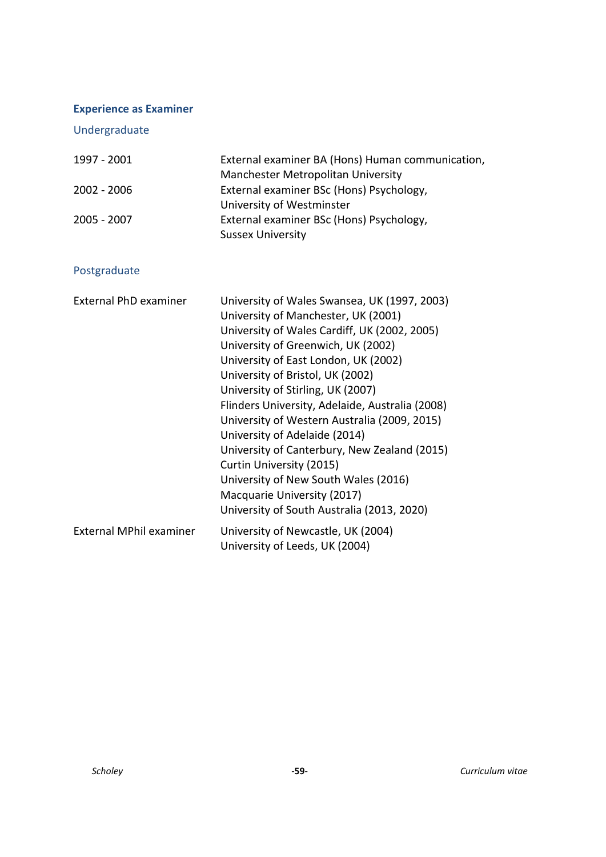# <span id="page-58-0"></span>**Experience as Examiner**

Undergraduate

| 1997 - 2001 | External examiner BA (Hons) Human communication, |
|-------------|--------------------------------------------------|
|             | Manchester Metropolitan University               |
| 2002 - 2006 | External examiner BSc (Hons) Psychology,         |
|             | University of Westminster                        |
| 2005 - 2007 | External examiner BSc (Hons) Psychology,         |
|             | <b>Sussex University</b>                         |

# Postgraduate

| <b>External PhD examiner</b> | University of Wales Swansea, UK (1997, 2003)<br>University of Manchester, UK (2001)<br>University of Wales Cardiff, UK (2002, 2005)<br>University of Greenwich, UK (2002)<br>University of East London, UK (2002)<br>University of Bristol, UK (2002)<br>University of Stirling, UK (2007)<br>Flinders University, Adelaide, Australia (2008)<br>University of Western Australia (2009, 2015)<br>University of Adelaide (2014)<br>University of Canterbury, New Zealand (2015)<br>Curtin University (2015)<br>University of New South Wales (2016)<br>Macquarie University (2017)<br>University of South Australia (2013, 2020) |
|------------------------------|---------------------------------------------------------------------------------------------------------------------------------------------------------------------------------------------------------------------------------------------------------------------------------------------------------------------------------------------------------------------------------------------------------------------------------------------------------------------------------------------------------------------------------------------------------------------------------------------------------------------------------|
| External MPhil examiner      | University of Newcastle, UK (2004)<br>University of Leeds, UK (2004)                                                                                                                                                                                                                                                                                                                                                                                                                                                                                                                                                            |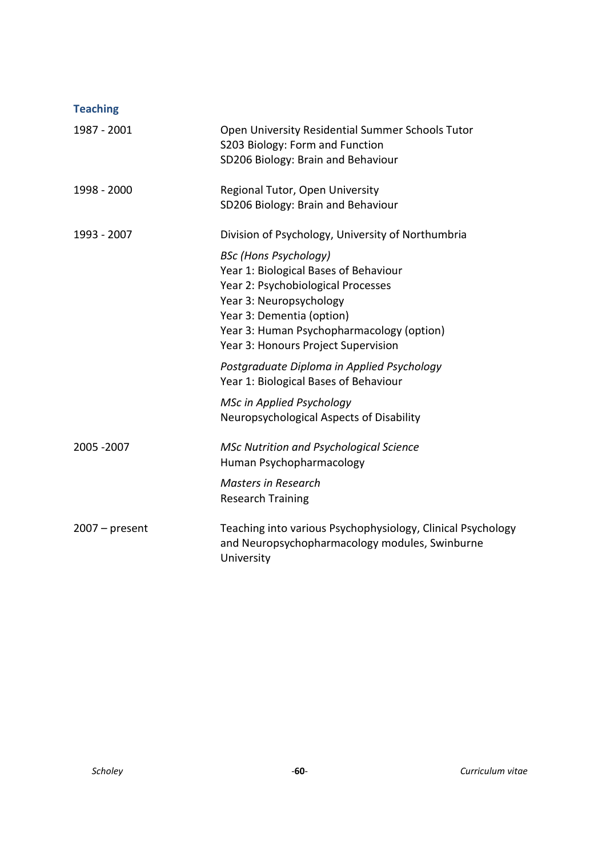<span id="page-59-0"></span>

| <b>Teaching</b>  |                                                                                                                                                                                                                                                         |
|------------------|---------------------------------------------------------------------------------------------------------------------------------------------------------------------------------------------------------------------------------------------------------|
| 1987 - 2001      | Open University Residential Summer Schools Tutor<br>S203 Biology: Form and Function<br>SD206 Biology: Brain and Behaviour                                                                                                                               |
| 1998 - 2000      | Regional Tutor, Open University<br>SD206 Biology: Brain and Behaviour                                                                                                                                                                                   |
| 1993 - 2007      | Division of Psychology, University of Northumbria                                                                                                                                                                                                       |
|                  | <b>BSc (Hons Psychology)</b><br>Year 1: Biological Bases of Behaviour<br>Year 2: Psychobiological Processes<br>Year 3: Neuropsychology<br>Year 3: Dementia (option)<br>Year 3: Human Psychopharmacology (option)<br>Year 3: Honours Project Supervision |
|                  | Postgraduate Diploma in Applied Psychology<br>Year 1: Biological Bases of Behaviour                                                                                                                                                                     |
|                  | <b>MSc in Applied Psychology</b><br>Neuropsychological Aspects of Disability                                                                                                                                                                            |
| 2005 - 2007      | <b>MSc Nutrition and Psychological Science</b><br>Human Psychopharmacology                                                                                                                                                                              |
|                  | <b>Masters in Research</b><br><b>Research Training</b>                                                                                                                                                                                                  |
| $2007 - present$ | Teaching into various Psychophysiology, Clinical Psychology<br>and Neuropsychopharmacology modules, Swinburne<br>University                                                                                                                             |